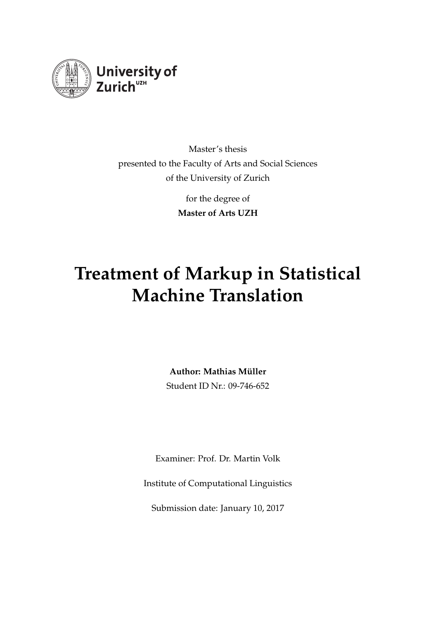

Master's thesis presented to the Faculty of Arts and Social Sciences of the University of Zurich

> for the degree of **Master of Arts UZH**

# **Treatment of Markup in Statistical Machine Translation**

**Author: Mathias Müller**

Student ID Nr.: 09-746-652

Examiner: Prof. Dr. Martin Volk

Institute of Computational Linguistics

Submission date: January 10, 2017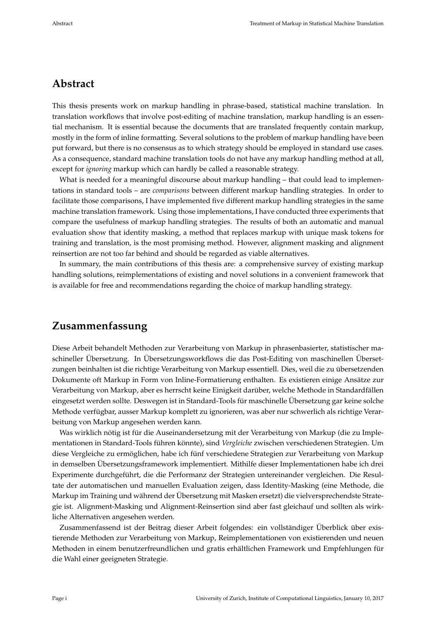### **Abstract**

This thesis presents work on markup handling in phrase-based, statistical machine translation. In translation workflows that involve post-editing of machine translation, markup handling is an essential mechanism. It is essential because the documents that are translated frequently contain markup, mostly in the form of inline formatting. Several solutions to the problem of markup handling have been put forward, but there is no consensus as to which strategy should be employed in standard use cases. As a consequence, standard machine translation tools do not have any markup handling method at all, except for *ignoring* markup which can hardly be called a reasonable strategy.

What is needed for a meaningful discourse about markup handling - that could lead to implementations in standard tools – are *comparisons* between different markup handling strategies. In order to facilitate those comparisons, I have implemented five different markup handling strategies in the same machine translation framework. Using those implementations, I have conducted three experiments that compare the usefulness of markup handling strategies. The results of both an automatic and manual evaluation show that identity masking, a method that replaces markup with unique mask tokens for training and translation, is the most promising method. However, alignment masking and alignment reinsertion are not too far behind and should be regarded as viable alternatives.

In summary, the main contributions of this thesis are: a comprehensive survey of existing markup handling solutions, reimplementations of existing and novel solutions in a convenient framework that is available for free and recommendations regarding the choice of markup handling strategy.

### **Zusammenfassung**

Diese Arbeit behandelt Methoden zur Verarbeitung von Markup in phrasenbasierter, statistischer maschineller Übersetzung. In Übersetzungsworkflows die das Post-Editing von maschinellen Übersetzungen beinhalten ist die richtige Verarbeitung von Markup essentiell. Dies, weil die zu übersetzenden Dokumente oft Markup in Form von Inline-Formatierung enthalten. Es existieren einige Ansätze zur Verarbeitung von Markup, aber es herrscht keine Einigkeit darüber, welche Methode in Standardfällen eingesetzt werden sollte. Deswegen ist in Standard-Tools für maschinelle Übersetzung gar keine solche Methode verfügbar, ausser Markup komplett zu ignorieren, was aber nur schwerlich als richtige Verarbeitung von Markup angesehen werden kann.

Was wirklich nötig ist für die Auseinandersetzung mit der Verarbeitung von Markup (die zu Implementationen in Standard-Tools führen könnte), sind *Vergleiche* zwischen verschiedenen Strategien. Um diese Vergleiche zu ermöglichen, habe ich fünf verschiedene Strategien zur Verarbeitung von Markup in demselben Übersetzungsframework implementiert. Mithilfe dieser Implementationen habe ich drei Experimente durchgeführt, die die Performanz der Strategien untereinander vergleichen. Die Resultate der automatischen und manuellen Evaluation zeigen, dass Identity-Masking (eine Methode, die Markup im Training und während der Übersetzung mit Masken ersetzt) die vielversprechendste Strategie ist. Alignment-Masking und Alignment-Reinsertion sind aber fast gleichauf und sollten als wirkliche Alternativen angesehen werden.

Zusammenfassend ist der Beitrag dieser Arbeit folgendes: ein vollständiger Überblick über existierende Methoden zur Verarbeitung von Markup, Reimplementationen von existierenden und neuen Methoden in einem benutzerfreundlichen und gratis erhältlichen Framework und Empfehlungen für die Wahl einer geeigneten Strategie.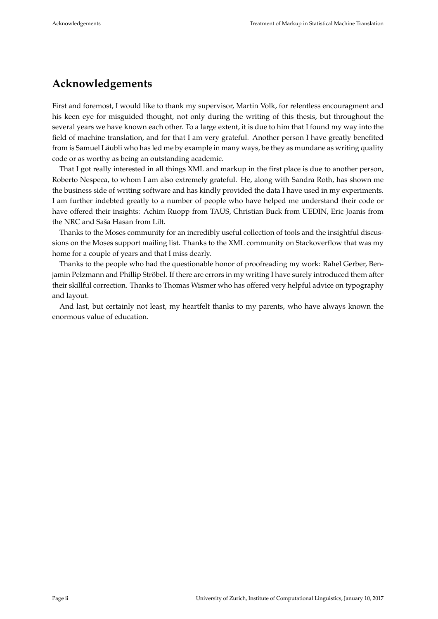# **Acknowledgements**

First and foremost, I would like to thank my supervisor, Martin Volk, for relentless encouragment and his keen eye for misguided thought, not only during the writing of this thesis, but throughout the several years we have known each other. To a large extent, it is due to him that I found my way into the field of machine translation, and for that I am very grateful. Another person I have greatly benefited from is Samuel Läubli who has led me by example in many ways, be they as mundane as writing quality code or as worthy as being an outstanding academic.

That I got really interested in all things XML and markup in the first place is due to another person, Roberto Nespeca, to whom I am also extremely grateful. He, along with Sandra Roth, has shown me the business side of writing software and has kindly provided the data I have used in my experiments. I am further indebted greatly to a number of people who have helped me understand their code or have offered their insights: Achim Ruopp from TAUS, Christian Buck from UEDIN, Eric Joanis from the NRC and Saša Hasan from Lilt.

Thanks to the Moses community for an incredibly useful collection of tools and the insightful discussions on the Moses support mailing list. Thanks to the XML community on Stackoverflow that was my home for a couple of years and that I miss dearly.

Thanks to the people who had the questionable honor of proofreading my work: Rahel Gerber, Benjamin Pelzmann and Phillip Ströbel. If there are errors in my writing I have surely introduced them after their skillful correction. Thanks to Thomas Wismer who has offered very helpful advice on typography and layout.

And last, but certainly not least, my heartfelt thanks to my parents, who have always known the enormous value of education.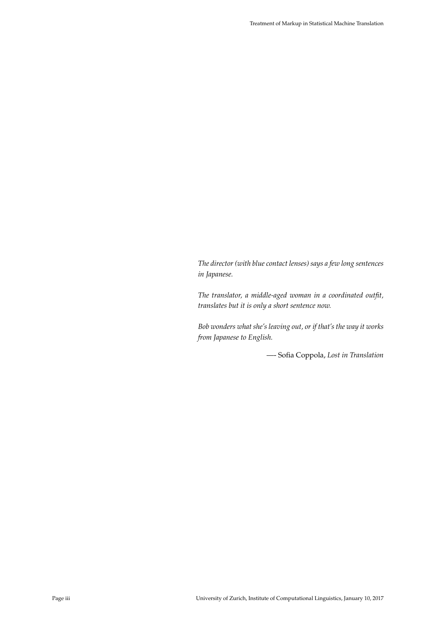*The director (with blue contact lenses) says a few long sentences in Japanese.*

*The translator, a middle-aged woman in a coordinated outfit, translates but it is only a short sentence now.*

*Bob wonders what she's leaving out, or if that's the way it works from Japanese to English.*

—- Sofia Coppola, *Lost in Translation*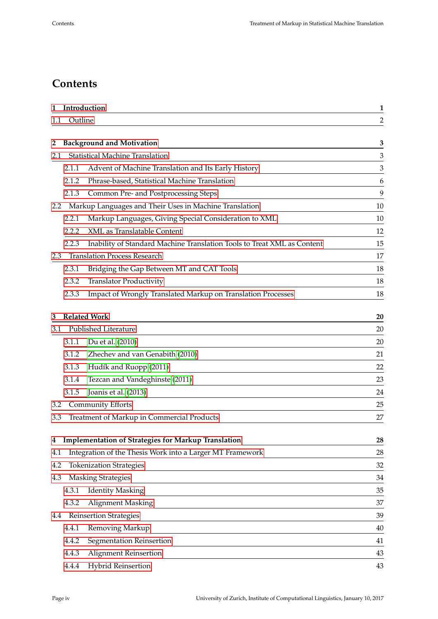# **Contents**

| 1   |                                        | Introduction                                                            | $\mathbf{1}$   |
|-----|----------------------------------------|-------------------------------------------------------------------------|----------------|
| 1.1 | Outline                                |                                                                         | $\overline{c}$ |
|     |                                        |                                                                         |                |
| 2   |                                        | <b>Background and Motivation</b>                                        | 3              |
| 2.1 | <b>Statistical Machine Translation</b> |                                                                         |                |
|     | 2.1.1                                  | Advent of Machine Translation and Its Early History                     | 3              |
|     | 2.1.2                                  | Phrase-based, Statistical Machine Translation                           | 6              |
|     | 2.1.3                                  | Common Pre- and Postprocessing Steps                                    | 9              |
| 2.2 |                                        | Markup Languages and Their Uses in Machine Translation                  | 10             |
|     | 2.2.1                                  | Markup Languages, Giving Special Consideration to XML                   | 10             |
|     | 2.2.2                                  | XML as Translatable Content                                             | 12             |
|     | 2.2.3                                  | Inability of Standard Machine Translation Tools to Treat XML as Content | 15             |
| 2.3 | <b>Translation Process Research</b>    |                                                                         |                |
|     | 2.3.1                                  | Bridging the Gap Between MT and CAT Tools                               | 18             |
|     | 2.3.2                                  | <b>Translator Productivity</b>                                          | 18             |
|     | 2.3.3                                  | Impact of Wrongly Translated Markup on Translation Processes            | 18             |
|     |                                        |                                                                         |                |
| 3   |                                        | <b>Related Work</b>                                                     | 20             |
| 3.1 |                                        | Published Literature                                                    | 20             |
|     | 3.1.1                                  | Du et al. (2010)                                                        | 20             |
|     | 3.1.2                                  | Zhechev and van Genabith (2010)                                         | 21             |
|     | 3.1.3                                  | Hudík and Ruopp (2011)                                                  | 22             |
|     | 3.1.4                                  | Tezcan and Vandeghinste (2011)                                          | 23             |
|     | 3.1.5                                  | Joanis et al. (2013)                                                    | 24             |
| 3.2 |                                        | <b>Community Efforts</b>                                                | 25             |
| 3.3 |                                        | Treatment of Markup in Commercial Products                              | 27             |
|     |                                        |                                                                         |                |
| 4   |                                        | <b>Implementation of Strategies for Markup Translation</b>              | 28             |
| 4.1 |                                        | Integration of the Thesis Work into a Larger MT Framework               | 28             |
| 4.2 |                                        | <b>Tokenization Strategies</b>                                          | 32             |
| 4.3 |                                        | <b>Masking Strategies</b>                                               | 34             |
|     | 4.3.1                                  | <b>Identity Masking</b>                                                 | 35             |
|     | 4.3.2                                  | Alignment Masking                                                       | 37             |
| 4.4 |                                        | <b>Reinsertion Strategies</b>                                           | 39             |
|     | 4.4.1                                  | Removing Markup                                                         | 40             |
|     | 4.4.2                                  | Segmentation Reinsertion                                                | 41             |
|     | 4.4.3                                  | Alignment Reinsertion                                                   | 43             |
|     | 4.4.4                                  | <b>Hybrid Reinsertion</b>                                               | 43             |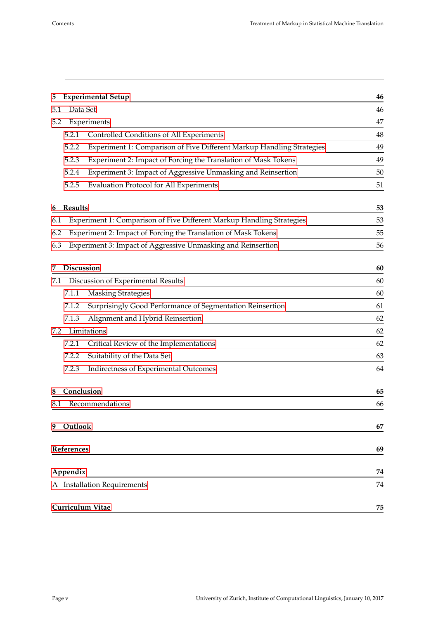| 5        | <b>Experimental Setup</b>                                                      | 46 |  |  |
|----------|--------------------------------------------------------------------------------|----|--|--|
| 5.1      | Data Set                                                                       | 46 |  |  |
| 5.2      | Experiments                                                                    |    |  |  |
|          | Controlled Conditions of All Experiments<br>5.2.1                              | 48 |  |  |
|          | 5.2.2<br>Experiment 1: Comparison of Five Different Markup Handling Strategies | 49 |  |  |
|          | Experiment 2: Impact of Forcing the Translation of Mask Tokens<br>5.2.3        | 49 |  |  |
|          | Experiment 3: Impact of Aggressive Unmasking and Reinsertion<br>5.2.4          | 50 |  |  |
|          | 5.2.5<br><b>Evaluation Protocol for All Experiments</b>                        | 51 |  |  |
| 6        | <b>Results</b>                                                                 | 53 |  |  |
| 6.1      | Experiment 1: Comparison of Five Different Markup Handling Strategies          | 53 |  |  |
| 6.2      | Experiment 2: Impact of Forcing the Translation of Mask Tokens                 | 55 |  |  |
| 6.3      | Experiment 3: Impact of Aggressive Unmasking and Reinsertion                   | 56 |  |  |
|          |                                                                                |    |  |  |
| 7        | <b>Discussion</b>                                                              | 60 |  |  |
| 7.1      | Discussion of Experimental Results                                             |    |  |  |
|          | <b>Masking Strategies</b><br>7.1.1                                             | 60 |  |  |
|          | 7.1.2<br>Surprisingly Good Performance of Segmentation Reinsertion             | 61 |  |  |
|          | Alignment and Hybrid Reinsertion<br>7.1.3                                      | 62 |  |  |
| 7.2      | Limitations                                                                    | 62 |  |  |
|          | 7.2.1<br>Critical Review of the Implementations                                | 62 |  |  |
|          | 7.2.2<br>Suitability of the Data Set                                           | 63 |  |  |
|          | 7.2.3<br>Indirectness of Experimental Outcomes                                 | 64 |  |  |
| 8        | Conclusion                                                                     | 65 |  |  |
| 8.1      | Recommendations                                                                | 66 |  |  |
|          |                                                                                |    |  |  |
| 9        | Outlook                                                                        | 67 |  |  |
|          | References                                                                     | 69 |  |  |
|          |                                                                                | 74 |  |  |
| Appendix |                                                                                |    |  |  |
|          | A Installation Requirements                                                    |    |  |  |
|          | Curriculum Vitae                                                               | 75 |  |  |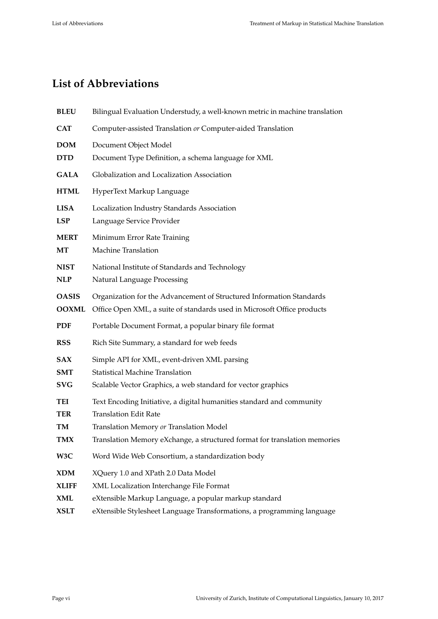# **List of Abbreviations**

| <b>BLEU</b>                  | Bilingual Evaluation Understudy, a well-known metric in machine translation                                                                     |
|------------------------------|-------------------------------------------------------------------------------------------------------------------------------------------------|
| <b>CAT</b>                   | Computer-assisted Translation or Computer-aided Translation                                                                                     |
| <b>DOM</b>                   | Document Object Model                                                                                                                           |
| <b>DTD</b>                   | Document Type Definition, a schema language for XML                                                                                             |
| <b>GALA</b>                  | Globalization and Localization Association                                                                                                      |
| <b>HTML</b>                  | HyperText Markup Language                                                                                                                       |
| <b>LISA</b><br><b>LSP</b>    | Localization Industry Standards Association<br>Language Service Provider                                                                        |
| <b>MERT</b><br>MT            | Minimum Error Rate Training<br>Machine Translation                                                                                              |
| <b>NIST</b><br><b>NLP</b>    | National Institute of Standards and Technology<br>Natural Language Processing                                                                   |
| <b>OASIS</b><br><b>OOXML</b> | Organization for the Advancement of Structured Information Standards<br>Office Open XML, a suite of standards used in Microsoft Office products |
| <b>PDF</b>                   | Portable Document Format, a popular binary file format                                                                                          |
| <b>RSS</b>                   | Rich Site Summary, a standard for web feeds                                                                                                     |
| <b>SAX</b>                   | Simple API for XML, event-driven XML parsing                                                                                                    |
| <b>SMT</b>                   | <b>Statistical Machine Translation</b>                                                                                                          |
| <b>SVG</b>                   | Scalable Vector Graphics, a web standard for vector graphics                                                                                    |
| TEI                          | Text Encoding Initiative, a digital humanities standard and community                                                                           |
| <b>TER</b>                   | <b>Translation Edit Rate</b>                                                                                                                    |
| TM                           | Translation Memory or Translation Model                                                                                                         |
| <b>TMX</b>                   | Translation Memory eXchange, a structured format for translation memories                                                                       |
| W3C                          | Word Wide Web Consortium, a standardization body                                                                                                |
| <b>XDM</b>                   | XQuery 1.0 and XPath 2.0 Data Model                                                                                                             |
| <b>XLIFF</b>                 | XML Localization Interchange File Format                                                                                                        |
| <b>XML</b>                   | eXtensible Markup Language, a popular markup standard                                                                                           |
| <b>XSLT</b>                  | eXtensible Stylesheet Language Transformations, a programming language                                                                          |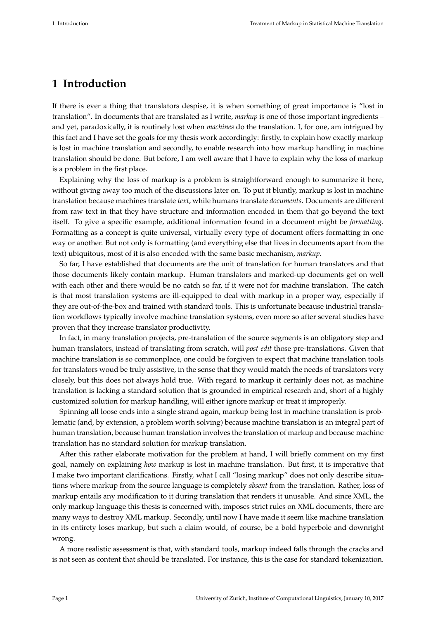## <span id="page-7-0"></span>**1 Introduction**

If there is ever a thing that translators despise, it is when something of great importance is "lost in translation". In documents that are translated as I write, *markup* is one of those important ingredients – and yet, paradoxically, it is routinely lost when *machines* do the translation. I, for one, am intrigued by this fact and I have set the goals for my thesis work accordingly: firstly, to explain how exactly markup is lost in machine translation and secondly, to enable research into how markup handling in machine translation should be done. But before, I am well aware that I have to explain why the loss of markup is a problem in the first place.

Explaining why the loss of markup is a problem is straightforward enough to summarize it here, without giving away too much of the discussions later on. To put it bluntly, markup is lost in machine translation because machines translate *text*, while humans translate *documents*. Documents are different from raw text in that they have structure and information encoded in them that go beyond the text itself. To give a specific example, additional information found in a document might be *formatting*. Formatting as a concept is quite universal, virtually every type of document offers formatting in one way or another. But not only is formatting (and everything else that lives in documents apart from the text) ubiquitous, most of it is also encoded with the same basic mechanism, *markup*.

So far, I have established that documents are the unit of translation for human translators and that those documents likely contain markup. Human translators and marked-up documents get on well with each other and there would be no catch so far, if it were not for machine translation. The catch is that most translation systems are ill-equipped to deal with markup in a proper way, especially if they are out-of-the-box and trained with standard tools. This is unfortunate because industrial translation workflows typically involve machine translation systems, even more so after several studies have proven that they increase translator productivity.

In fact, in many translation projects, pre-translation of the source segments is an obligatory step and human translators, instead of translating from scratch, will *post-edit* those pre-translations. Given that machine translation is so commonplace, one could be forgiven to expect that machine translation tools for translators woud be truly assistive, in the sense that they would match the needs of translators very closely, but this does not always hold true. With regard to markup it certainly does not, as machine translation is lacking a standard solution that is grounded in empirical research and, short of a highly customized solution for markup handling, will either ignore markup or treat it improperly.

Spinning all loose ends into a single strand again, markup being lost in machine translation is problematic (and, by extension, a problem worth solving) because machine translation is an integral part of human translation, because human translation involves the translation of markup and because machine translation has no standard solution for markup translation.

After this rather elaborate motivation for the problem at hand, I will briefly comment on my first goal, namely on explaining *how* markup is lost in machine translation. But first, it is imperative that I make two important clarifications. Firstly, what I call "losing markup" does not only describe situations where markup from the source language is completely *absent* from the translation. Rather, loss of markup entails any modification to it during translation that renders it unusable. And since XML, the only markup language this thesis is concerned with, imposes strict rules on XML documents, there are many ways to destroy XML markup. Secondly, until now I have made it seem like machine translation in its entirety loses markup, but such a claim would, of course, be a bold hyperbole and downright wrong.

A more realistic assessment is that, with standard tools, markup indeed falls through the cracks and is not seen as content that should be translated. For instance, this is the case for standard tokenization.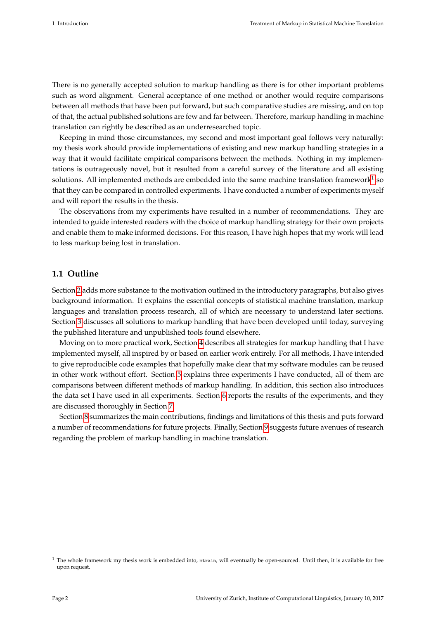There is no generally accepted solution to markup handling as there is for other important problems such as word alignment. General acceptance of one method or another would require comparisons between all methods that have been put forward, but such comparative studies are missing, and on top of that, the actual published solutions are few and far between. Therefore, markup handling in machine translation can rightly be described as an underresearched topic.

Keeping in mind those circumstances, my second and most important goal follows very naturally: my thesis work should provide implementations of existing and new markup handling strategies in a way that it would facilitate empirical comparisons between the methods. Nothing in my implementations is outrageously novel, but it resulted from a careful survey of the literature and all existing solutions. All implemented methods are embedded into the same machine translation framework $^1$  $^1$  so that they can be compared in controlled experiments. I have conducted a number of experiments myself and will report the results in the thesis.

The observations from my experiments have resulted in a number of recommendations. They are intended to guide interested readers with the choice of markup handling strategy for their own projects and enable them to make informed decisions. For this reason, I have high hopes that my work will lead to less markup being lost in translation.

#### <span id="page-8-0"></span>**1.1 Outline**

Section [2](#page-9-0) adds more substance to the motivation outlined in the introductory paragraphs, but also gives background information. It explains the essential concepts of statistical machine translation, markup languages and translation process research, all of which are necessary to understand later sections. Section [3](#page-26-0) discusses all solutions to markup handling that have been developed until today, surveying the published literature and unpublished tools found elsewhere.

Moving on to more practical work, Section [4](#page-34-0) describes all strategies for markup handling that I have implemented myself, all inspired by or based on earlier work entirely. For all methods, I have intended to give reproducible code examples that hopefully make clear that my software modules can be reused in other work without effort. Section [5](#page-52-0) explains three experiments I have conducted, all of them are comparisons between different methods of markup handling. In addition, this section also introduces the data set I have used in all experiments. Section [6](#page-59-0) reports the results of the experiments, and they are discussed thoroughly in Section [7.](#page-66-0)

Section [8](#page-71-0) summarizes the main contributions, findings and limitations of this thesis and puts forward a number of recommendations for future projects. Finally, Section [9](#page-73-0) suggests future avenues of research regarding the problem of markup handling in machine translation.

<span id="page-8-1"></span> $1$  The whole framework my thesis work is embedded into,  $m$ train, will eventually be open-sourced. Until then, it is available for free upon request.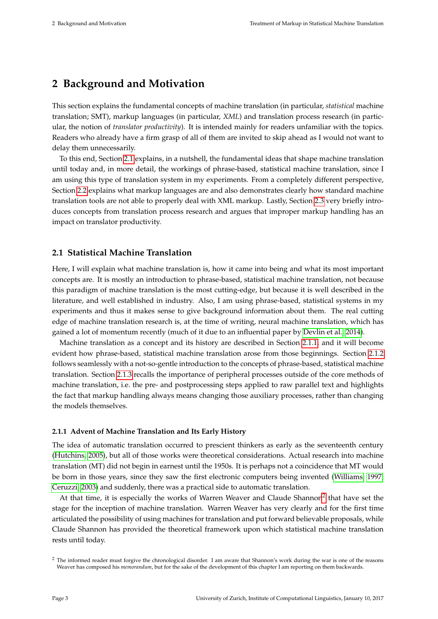# <span id="page-9-0"></span>**2 Background and Motivation**

This section explains the fundamental concepts of machine translation (in particular, *statistical* machine translation; SMT), markup languages (in particular, *XML*) and translation process research (in particular, the notion of *translator productivity*). It is intended mainly for readers unfamiliar with the topics. Readers who already have a firm grasp of all of them are invited to skip ahead as I would not want to delay them unnecessarily.

To this end, Section [2.1](#page-9-1) explains, in a nutshell, the fundamental ideas that shape machine translation until today and, in more detail, the workings of phrase-based, statistical machine translation, since I am using this type of translation system in my experiments. From a completely different perspective, Section [2.2](#page-16-0) explains what markup languages are and also demonstrates clearly how standard machine translation tools are not able to properly deal with XML markup. Lastly, Section [2.3](#page-23-0) very briefly introduces concepts from translation process research and argues that improper markup handling has an impact on translator productivity.

#### <span id="page-9-1"></span>**2.1 Statistical Machine Translation**

Here, I will explain what machine translation is, how it came into being and what its most important concepts are. It is mostly an introduction to phrase-based, statistical machine translation, not because this paradigm of machine translation is the most cutting-edge, but because it is well described in the literature, and well established in industry. Also, I am using phrase-based, statistical systems in my experiments and thus it makes sense to give background information about them. The real cutting edge of machine translation research is, at the time of writing, neural machine translation, which has gained a lot of momentum recently (much of it due to an influential paper by [Devlin et al., 2014\)](#page-75-1).

Machine translation as a concept and its history are described in Section [2.1.1,](#page-9-2) and it will become evident how phrase-based, statistical machine translation arose from those beginnings. Section [2.1.2](#page-12-0) follows seamlessly with a not-so-gentle introduction to the concepts of phrase-based, statistical machine translation. Section [2.1.3](#page-15-0) recalls the importance of peripheral processes outside of the core methods of machine translation, i.e. the pre- and postprocessing steps applied to raw parallel text and highlights the fact that markup handling always means changing those auxiliary processes, rather than changing the models themselves.

#### <span id="page-9-2"></span>**2.1.1 Advent of Machine Translation and Its Early History**

The idea of automatic translation occurred to prescient thinkers as early as the seventeenth century [\(Hutchins, 2005\)](#page-77-1), but all of those works were theoretical considerations. Actual research into machine translation (MT) did not begin in earnest until the 1950s. It is perhaps not a coincidence that MT would be born in those years, since they saw the first electronic computers being invented [\(Williams, 1997;](#page-79-2) [Ceruzzi, 2003\)](#page-75-2) and suddenly, there was a practical side to automatic translation.

At that time, it is especially the works of Warren Weaver and Claude Shannon<sup>[2](#page-9-3)</sup> that have set the stage for the inception of machine translation. Warren Weaver has very clearly and for the first time articulated the possibility of using machines for translation and put forward believable proposals, while Claude Shannon has provided the theoretical framework upon which statistical machine translation rests until today.

<span id="page-9-3"></span><sup>&</sup>lt;sup>2</sup> The informed reader must forgive the chronological disorder. I am aware that Shannon's work during the war is one of the reasons Weaver has composed his *memorandum*, but for the sake of the development of this chapter I am reporting on them backwards.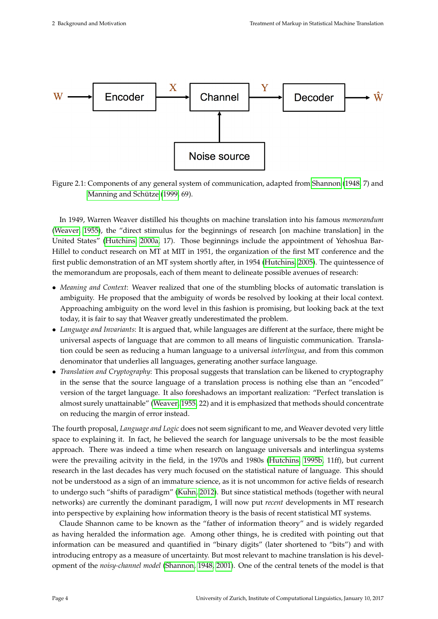<span id="page-10-0"></span>

Figure 2.1: Components of any general system of communication, adapted from [Shannon](#page-78-0) [\(1948,](#page-78-0) 7) and [Manning and Schütze](#page-78-1) [\(1999,](#page-78-1) 69).

In 1949, Warren Weaver distilled his thoughts on machine translation into his famous *memorandum* [\(Weaver, 1955\)](#page-79-3), the "direct stimulus for the beginnings of research [on machine translation] in the United States" [\(Hutchins, 2000a,](#page-77-2) 17). Those beginnings include the appointment of Yehoshua Bar-Hillel to conduct research on MT at MIT in 1951, the organization of the first MT conference and the first public demonstration of an MT system shortly after, in 1954 [\(Hutchins, 2005\)](#page-77-1). The quintessence of the memorandum are proposals, each of them meant to delineate possible avenues of research:

- *Meaning and Context*: Weaver realized that one of the stumbling blocks of automatic translation is ambiguity. He proposed that the ambiguity of words be resolved by looking at their local context. Approaching ambiguity on the word level in this fashion is promising, but looking back at the text today, it is fair to say that Weaver greatly underestimated the problem.
- *Language and Invariants*: It is argued that, while languages are different at the surface, there might be universal aspects of language that are common to all means of linguistic communication. Translation could be seen as reducing a human language to a universal *interlingua*, and from this common denominator that underlies all languages, generating another surface language.
- *Translation and Cryptography*: This proposal suggests that translation can be likened to cryptography in the sense that the source language of a translation process is nothing else than an "encoded" version of the target language. It also foreshadows an important realization: "Perfect translation is almost surely unattainable" [\(Weaver, 1955,](#page-79-3) 22) and it is emphasized that methods should concentrate on reducing the margin of error instead.

The fourth proposal, *Language and Logic* does not seem significant to me, and Weaver devoted very little space to explaining it. In fact, he believed the search for language universals to be the most feasible approach. There was indeed a time when research on language universals and interlingua systems were the prevailing acitvity in the field, in the 1970s and 1980s [\(Hutchins, 1995b,](#page-77-3) 11ff), but current research in the last decades has very much focused on the statistical nature of language. This should not be understood as a sign of an immature science, as it is not uncommon for active fields of research to undergo such "shifts of paradigm" [\(Kuhn, 2012\)](#page-78-2). But since statistical methods (together with neural networks) are currently the dominant paradigm, I will now put *recent* developments in MT research into perspective by explaining how information theory is the basis of recent statistical MT systems.

Claude Shannon came to be known as the "father of information theory" and is widely regarded as having heralded the information age. Among other things, he is credited with pointing out that information can be measured and quantified in "binary digits" (later shortened to "bits") and with introducing entropy as a measure of uncertainty. But most relevant to machine translation is his development of the *noisy-channel model* [\(Shannon, 1948,](#page-78-0) [2001\)](#page-78-3). One of the central tenets of the model is that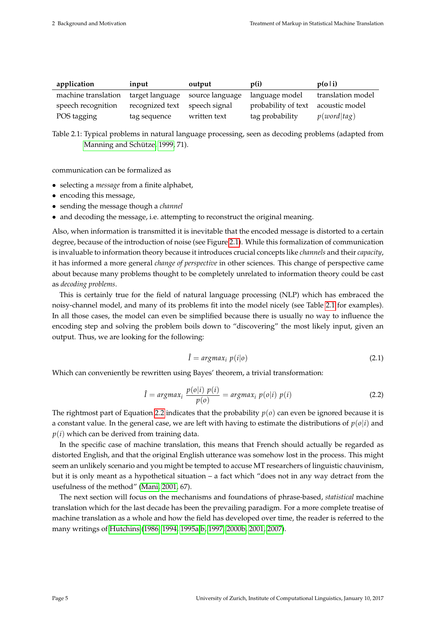<span id="page-11-0"></span>

| application         | input           | output                          | p(i)                               | p(o i)            |
|---------------------|-----------------|---------------------------------|------------------------------------|-------------------|
| machine translation |                 | target language source language | language model                     | translation model |
| speech recognition  | recognized text | speech signal                   | probability of text acoustic model |                   |
| POS tagging         | tag sequence    | written text                    | tag probability                    | p(word tag)       |

Table 2.1: Typical problems in natural language processing, seen as decoding problems (adapted from [Manning and Schütze, 1999,](#page-78-1) 71).

communication can be formalized as

- selecting a *message* from a finite alphabet,
- encoding this message,
- sending the message though a *channel*
- and decoding the message, i.e. attempting to reconstruct the original meaning.

Also, when information is transmitted it is inevitable that the encoded message is distorted to a certain degree, because of the introduction of noise (see Figure [2.1\)](#page-10-0). While this formalization of communication is invaluable to information theory because it introduces crucial concepts like *channels* and their *capacity*, it has informed a more general *change of perspective* in other sciences. This change of perspective came about because many problems thought to be completely unrelated to information theory could be cast as *decoding problems*.

This is certainly true for the field of natural language processing (NLP) which has embraced the noisy-channel model, and many of its problems fit into the model nicely (see Table [2.1](#page-11-0) for examples). In all those cases, the model can even be simplified because there is usually no way to influence the encoding step and solving the problem boils down to "discovering" the most likely input, given an output. Thus, we are looking for the following:

$$
\hat{I} = argmax_i p(i|o)
$$
 (2.1)

Which can conveniently be rewritten using Bayes' theorem, a trivial transformation:

<span id="page-11-1"></span>
$$
\hat{I} = argmax_i \frac{p(o|i) p(i)}{p(o)} = argmax_i p(o|i) p(i)
$$
\n(2.2)

The rightmost part of Equation [2.2](#page-11-1) indicates that the probability  $p(o)$  can even be ignored because it is a constant value. In the general case, we are left with having to estimate the distributions of  $p(o|i)$  and  $p(i)$  which can be derived from training data.

In the specific case of machine translation, this means that French should actually be regarded as distorted English, and that the original English utterance was somehow lost in the process. This might seem an unlikely scenario and you might be tempted to accuse MT researchers of linguistic chauvinism, but it is only meant as a hypothetical situation – a fact which "does not in any way detract from the usefulness of the method" [\(Mani, 2001,](#page-78-4) 67).

The next section will focus on the mechanisms and foundations of phrase-based, *statistical* machine translation which for the last decade has been the prevailing paradigm. For a more complete treatise of machine translation as a whole and how the field has developed over time, the reader is referred to the many writings of [Hutchins](#page-77-4) [\(1986,](#page-77-4) [1994,](#page-76-1) [1995a](#page-77-5)[,b,](#page-77-3) [1997,](#page-77-6) [2000b,](#page-77-7) [2001,](#page-77-8) [2007\)](#page-77-9).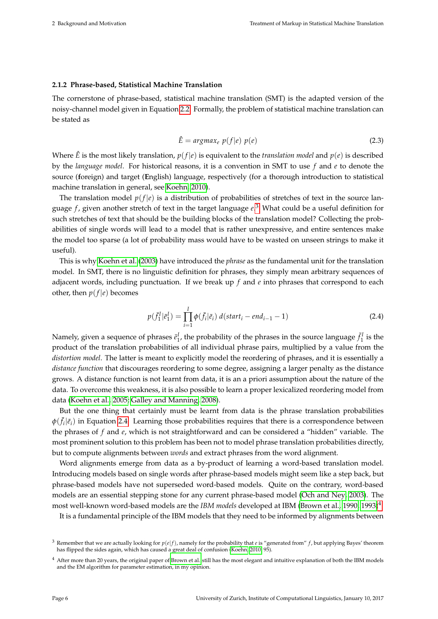#### <span id="page-12-0"></span>**2.1.2 Phrase-based, Statistical Machine Translation**

The cornerstone of phrase-based, statistical machine translation (SMT) is the adapted version of the noisy-channel model given in Equation [2.2.](#page-11-1) Formally, the problem of statistical machine translation can be stated as

<span id="page-12-4"></span>
$$
\hat{E} = argmax_e p(f|e) p(e)
$$
\n(2.3)

Where  $\hat{E}$  is the most likely translation,  $p(f|e)$  is equivalent to the *translation model* and  $p(e)$  is described by the *language model*. For historical reasons, it is a convention in SMT to use *f* and *e* to denote the source (**f**oreign) and target (**E**nglish) language, respectively (for a thorough introduction to statistical machine translation in general, see [Koehn, 2010\)](#page-77-10).

The translation model  $p(f|e)$  is a distribution of probabilities of stretches of text in the source language *f* , given another stretch of text in the target language *e*. [3](#page-12-1) What could be a useful definition for such stretches of text that should be the building blocks of the translation model? Collecting the probabilities of single words will lead to a model that is rather unexpressive, and entire sentences make the model too sparse (a lot of probability mass would have to be wasted on unseen strings to make it useful).

This is why [Koehn et al.](#page-77-11) [\(2003\)](#page-77-11) have introduced the *phrase* as the fundamental unit for the translation model. In SMT, there is no linguistic definition for phrases, they simply mean arbitrary sequences of adjacent words, including punctuation. If we break up *f* and *e* into phrases that correspond to each other, then  $p(f|e)$  becomes

<span id="page-12-2"></span>
$$
p(\bar{f}_1^I | \bar{e}_1^I) = \prod_{i=1}^I \phi(\bar{f}_i | \bar{e}_i) d(stat_i - end_{i-1} - 1)
$$
\n(2.4)

Namely, given a sequence of phrases  $\bar{e}_1^I$ , the probability of the phrases in the source language  $\bar{f}_1^I$  is the product of the translation probabilities of all individual phrase pairs, multiplied by a value from the *distortion model*. The latter is meant to explicitly model the reordering of phrases, and it is essentially a *distance function* that discourages reordering to some degree, assigning a larger penalty as the distance grows. A distance function is not learnt from data, it is an a priori assumption about the nature of the data. To overcome this weakness, it is also possible to learn a proper lexicalized reordering model from data [\(Koehn et al., 2005;](#page-77-12) [Galley and Manning, 2008\)](#page-76-2).

But the one thing that certainly must be learnt from data is the phrase translation probabilities  $\phi(\bar{f}_i|\bar{e}_i)$  in Equation [2.4.](#page-12-2) Learning those probabilities requires that there is a correspondence between the phrases of *f* and *e*, which is not straightforward and can be considered a "hidden" variable. The most prominent solution to this problem has been not to model phrase translation probabilities directly, but to compute alignments between *words* and extract phrases from the word alignment.

Word alignments emerge from data as a by-product of learning a word-based translation model. Introducing models based on single words after phrase-based models might seem like a step back, but phrase-based models have not superseded word-based models. Quite on the contrary, word-based models are an essential stepping stone for any current phrase-based model [\(Och and Ney, 2003\)](#page-78-5). The most well-known word-based models are the *IBM models* developed at IBM [\(Brown et al., 1990,](#page-75-3) [1993\)](#page-75-4)[4](#page-12-3)

It is a fundamental principle of the IBM models that they need to be informed by alignments between

<span id="page-12-1"></span><sup>&</sup>lt;sup>3</sup> Remember that we are actually looking for  $p(e|f)$ , namely for the probability that *e* is "generated from" *f*, but applying Bayes' theorem has flipped the sides again, which has caused a great deal of confusion [\(Koehn, 2010,](#page-77-10) 95).

<span id="page-12-3"></span><sup>&</sup>lt;sup>4</sup> After more than 20 years, the original paper of [Brown et al.](#page-75-4) still has the most elegant and intuitive explanation of both the IBM models and the EM algorithm for parameter estimation, in my opinion.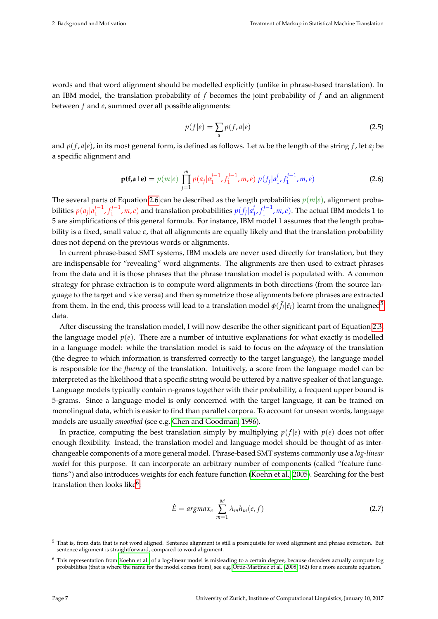words and that word alignment should be modelled explicitly (unlike in phrase-based translation). In an IBM model, the translation probability of *f* becomes the joint probability of *f* and an alignment between *f* and *e*, summed over all possible alignments:

$$
p(f|e) = \sum_{a} p(f, a|e)
$$
\n(2.5)

and  $p(f, a|e)$ , in its most general form, is defined as follows. Let *m* be the length of the string *f*, let  $a_i$  be a specific alignment and

<span id="page-13-0"></span>
$$
\mathbf{p}(\mathbf{f}, \mathbf{a} \mid \mathbf{e}) = p(m|e) \prod_{j=1}^{m} p(a_j | a_1^{j-1}, f_1^{j-1}, m, e) \ p(f_j | a_1^j, f_1^{j-1}, m, e) \tag{2.6}
$$

The several parts of Equation [2.6](#page-13-0) can be described as the length probabilities  $p(m|e)$ , alignment probabilities  $p(a_j | a_1^{j-1})$ *j*−1, *f*<sub>1</sub><sup>*j*−1</sup>  $(n+1/n, n, e)$  and translation probabilities  $p(f_j|a_j^j)$ 1 , *f j*−1  $\binom{n}{1}$ , *m*, *e*). The actual IBM models 1 to 5 are simplifications of this general formula. For instance, IBM model 1 assumes that the length probability is a fixed, small value  $\epsilon$ , that all alignments are equally likely and that the translation probability does not depend on the previous words or alignments.

In current phrase-based SMT systems, IBM models are never used directly for translation, but they are indispensable for "revealing" word alignments. The alignments are then used to extract phrases from the data and it is those phrases that the phrase translation model is populated with. A common strategy for phrase extraction is to compute word alignments in both directions (from the source language to the target and vice versa) and then symmetrize those alignments before phrases are extracted from them. In the end, this process will lead to a translation model  $\phi(\bar{f}_i|\bar{e}_i)$  learnt from the unaligned<sup>[5](#page-13-1)</sup> data.

After discussing the translation model, I will now describe the other significant part of Equation [2.3,](#page-12-4) the language model  $p(e)$ . There are a number of intuitive explanations for what exactly is modelled in a language model: while the translation model is said to focus on the *adequacy* of the translation (the degree to which information is transferred correctly to the target language), the language model is responsible for the *fluency* of the translation. Intuitively, a score from the language model can be interpreted as the likelihood that a specific string would be uttered by a native speaker of that language. Language models typically contain n-grams together with their probability, a frequent upper bound is 5-grams. Since a language model is only concerned with the target language, it can be trained on monolingual data, which is easier to find than parallel corpora. To account for unseen words, language models are usually *smoothed* (see e.g. [Chen and Goodman, 1996\)](#page-75-5).

In practice, computing the best translation simply by multiplying  $p(f|e)$  with  $p(e)$  does not offer enough flexibility. Instead, the translation model and language model should be thought of as interchangeable components of a more general model. Phrase-based SMT systems commonly use a *log-linear model* for this purpose. It can incorporate an arbitrary number of components (called "feature functions") and also introduces weights for each feature function [\(Koehn et al., 2005\)](#page-77-12). Searching for the best translation then looks like<sup>[6](#page-13-2)</sup>:

$$
\hat{E} = argmax_{e} \sum_{m=1}^{M} \lambda_m h_m(e, f) \tag{2.7}
$$

<span id="page-13-1"></span> $5$  That is, from data that is not word aligned. Sentence alignment is still a prerequisite for word alignment and phrase extraction. But sentence alignment is straightforward, compared to word alignment.

<span id="page-13-2"></span><sup>6</sup> This representation from [Koehn et al.](#page-77-12) of a log-linear model is misleading to a certain degree, because decoders actually compute log probabilities (that is where the name for the model comes from), see e.g. [Ortiz-Martínez et al.](#page-78-6) [\(2008,](#page-78-6) 162) for a more accurate equation.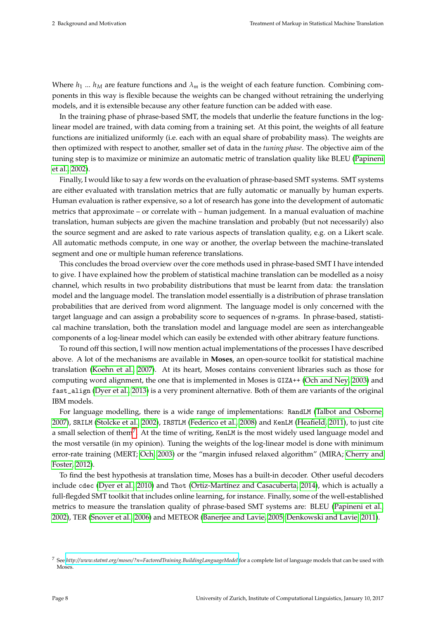Where  $h_1$  ...  $h_M$  are feature functions and  $\lambda_m$  is the weight of each feature function. Combining components in this way is flexible because the weights can be changed without retraining the underlying models, and it is extensible because any other feature function can be added with ease.

In the training phase of phrase-based SMT, the models that underlie the feature functions in the loglinear model are trained, with data coming from a training set. At this point, the weights of all feature functions are initialized uniformly (i.e. each with an equal share of probability mass). The weights are then optimized with respect to another, smaller set of data in the *tuning phase*. The objective aim of the tuning step is to maximize or minimize an automatic metric of translation quality like BLEU [\(Papineni](#page-78-7) [et al., 2002\)](#page-78-7).

Finally, I would like to say a few words on the evaluation of phrase-based SMT systems. SMT systems are either evaluated with translation metrics that are fully automatic or manually by human experts. Human evaluation is rather expensive, so a lot of research has gone into the development of automatic metrics that approximate – or correlate with – human judgement. In a manual evaluation of machine translation, human subjects are given the machine translation and probably (but not necessarily) also the source segment and are asked to rate various aspects of translation quality, e.g. on a Likert scale. All automatic methods compute, in one way or another, the overlap between the machine-translated segment and one or multiple human reference translations.

This concludes the broad overview over the core methods used in phrase-based SMT I have intended to give. I have explained how the problem of statistical machine translation can be modelled as a noisy channel, which results in two probability distributions that must be learnt from data: the translation model and the language model. The translation model essentially is a distribution of phrase translation probabilities that are derived from word alignment. The language model is only concerned with the target language and can assign a probability score to sequences of n-grams. In phrase-based, statistical machine translation, both the translation model and language model are seen as interchangeable components of a log-linear model which can easily be extended with other abitrary feature functions.

To round off this section, I will now mention actual implementations of the processes I have described above. A lot of the mechanisms are available in **Moses**, an open-source toolkit for statistical machine translation [\(Koehn et al., 2007\)](#page-77-13). At its heart, Moses contains convenient libraries such as those for computing word alignment, the one that is implemented in Moses is GIZA++ [\(Och and Ney, 2003\)](#page-78-5) and fast\_align [\(Dyer et al., 2013\)](#page-76-3) is a very prominent alternative. Both of them are variants of the original IBM models.

For language modelling, there is a wide range of implementations: RandLM [\(Talbot and Osborne,](#page-79-4) [2007\)](#page-79-4), SRILM [\(Stolcke et al., 2002\)](#page-78-8), IRSTLM [\(Federico et al., 2008\)](#page-76-4) and KenLM [\(Heafield, 2011\)](#page-76-5), to just cite a small selection of them<sup>[7](#page-14-0)</sup>. At the time of writing, KenLM is the most widely used language model and the most versatile (in my opinion). Tuning the weights of the log-linear model is done with minimum error-rate training (MERT; [Och, 2003\)](#page-78-9) or the "margin infused relaxed algorithm" (MIRA; [Cherry and](#page-75-6) [Foster, 2012\)](#page-75-6).

To find the best hypothesis at translation time, Moses has a built-in decoder. Other useful decoders include cdec [\(Dyer et al., 2010\)](#page-76-6) and Thot [\(Ortiz-Martínez and Casacuberta, 2014\)](#page-78-10), which is actually a full-flegded SMT toolkit that includes online learning, for instance. Finally, some of the well-established metrics to measure the translation quality of phrase-based SMT systems are: BLEU [\(Papineni et al.,](#page-78-7) [2002\)](#page-78-7), TER [\(Snover et al., 2006\)](#page-78-11) and METEOR [\(Banerjee and Lavie, 2005;](#page-75-7) [Denkowski and Lavie, 2011\)](#page-75-8).

<span id="page-14-0"></span><sup>7</sup> See *<http://www.statmt.org/moses/?n=FactoredTraining.BuildingLanguageModel>* for a complete list of language models that can be used with Moses.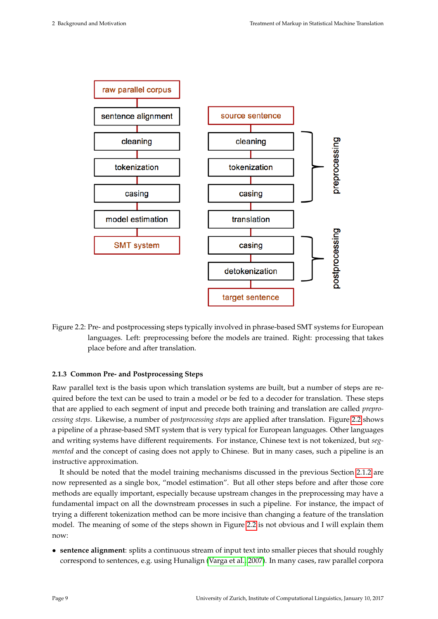<span id="page-15-1"></span>

Figure 2.2: Pre- and postprocessing steps typically involved in phrase-based SMT systems for European languages. Left: preprocessing before the models are trained. Right: processing that takes place before and after translation.

#### <span id="page-15-0"></span>**2.1.3 Common Pre- and Postprocessing Steps**

Raw parallel text is the basis upon which translation systems are built, but a number of steps are required before the text can be used to train a model or be fed to a decoder for translation. These steps that are applied to each segment of input and precede both training and translation are called *preprocessing steps*. Likewise, a number of *postprocessing steps* are applied after translation. Figure [2.2](#page-15-1) shows a pipeline of a phrase-based SMT system that is very typical for European languages. Other languages and writing systems have different requirements. For instance, Chinese text is not tokenized, but *segmented* and the concept of casing does not apply to Chinese. But in many cases, such a pipeline is an instructive approximation.

It should be noted that the model training mechanisms discussed in the previous Section [2.1.2](#page-12-0) are now represented as a single box, "model estimation". But all other steps before and after those core methods are equally important, especially because upstream changes in the preprocessing may have a fundamental impact on all the downstream processes in such a pipeline. For instance, the impact of trying a different tokenization method can be more incisive than changing a feature of the translation model. The meaning of some of the steps shown in Figure [2.2](#page-15-1) is not obvious and I will explain them now:

• **sentence alignment**: splits a continuous stream of input text into smaller pieces that should roughly correspond to sentences, e.g. using Hunalign [\(Varga et al., 2007\)](#page-79-5). In many cases, raw parallel corpora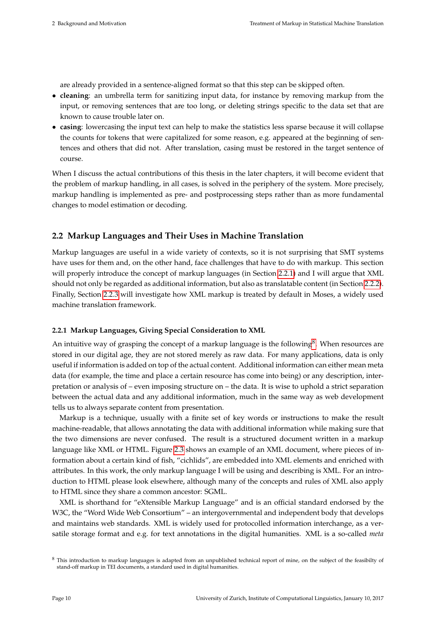are already provided in a sentence-aligned format so that this step can be skipped often.

- **cleaning**: an umbrella term for sanitizing input data, for instance by removing markup from the input, or removing sentences that are too long, or deleting strings specific to the data set that are known to cause trouble later on.
- **casing**: lowercasing the input text can help to make the statistics less sparse because it will collapse the counts for tokens that were capitalized for some reason, e.g. appeared at the beginning of sentences and others that did not. After translation, casing must be restored in the target sentence of course.

When I discuss the actual contributions of this thesis in the later chapters, it will become evident that the problem of markup handling, in all cases, is solved in the periphery of the system. More precisely, markup handling is implemented as pre- and postprocessing steps rather than as more fundamental changes to model estimation or decoding.

#### <span id="page-16-0"></span>**2.2 Markup Languages and Their Uses in Machine Translation**

Markup languages are useful in a wide variety of contexts, so it is not surprising that SMT systems have uses for them and, on the other hand, face challenges that have to do with markup. This section will properly introduce the concept of markup languages (in Section [2.2.1\)](#page-16-1) and I will argue that XML should not only be regarded as additional information, but also as translatable content (in Section [2.2.2\)](#page-18-0). Finally, Section [2.2.3](#page-21-0) will investigate how XML markup is treated by default in Moses, a widely used machine translation framework.

#### <span id="page-16-1"></span>**2.2.1 Markup Languages, Giving Special Consideration to XML**

An intuitive way of grasping the concept of a markup language is the following<sup>[8](#page-16-2)</sup>. When resources are stored in our digital age, they are not stored merely as raw data. For many applications, data is only useful if information is added on top of the actual content. Additional information can either mean meta data (for example, the time and place a certain resource has come into being) or any description, interpretation or analysis of – even imposing structure on – the data. It is wise to uphold a strict separation between the actual data and any additional information, much in the same way as web development tells us to always separate content from presentation.

Markup is a technique, usually with a finite set of key words or instructions to make the result machine-readable, that allows annotating the data with additional information while making sure that the two dimensions are never confused. The result is a structured document written in a markup language like XML or HTML. Figure [2.3](#page-17-0) shows an example of an XML document, where pieces of information about a certain kind of fish, "cichlids", are embedded into XML elements and enriched with attributes. In this work, the only markup language I will be using and describing is XML. For an introduction to HTML please look elsewhere, although many of the concepts and rules of XML also apply to HTML since they share a common ancestor: SGML.

XML is shorthand for "eXtensible Markup Language" and is an official standard endorsed by the W3C, the "Word Wide Web Consortium" – an intergovernmental and independent body that develops and maintains web standards. XML is widely used for protocolled information interchange, as a versatile storage format and e.g. for text annotations in the digital humanities. XML is a so-called *meta*

<span id="page-16-2"></span><sup>&</sup>lt;sup>8</sup> This introduction to markup languages is adapted from an unpublished technical report of mine, on the subject of the feasibilty of stand-off markup in TEI documents, a standard used in digital humanities.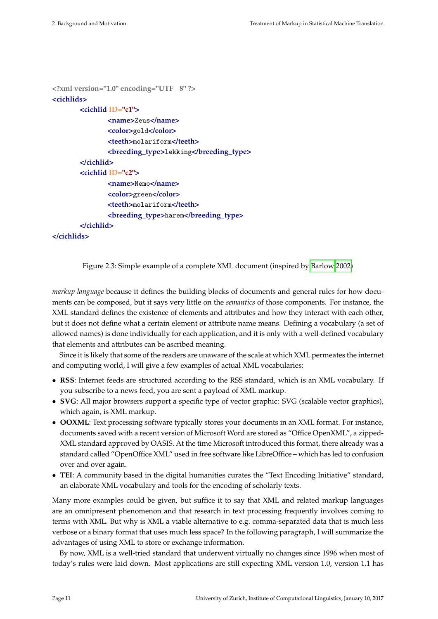```
<?xml version="1.0" encoding="UTF−8" ?>
<cichlids>
       <cichlid ID="c1">
               <name>Zeus</name>
               <color>gold</color>
               <teeth>molariform</teeth>
               <breeding_type>lekking</breeding_type>
       </cichlid>
       <cichlid ID="c2">
               <name>Nemo</name>
               <color>green</color>
               <teeth>molariform</teeth>
               <breeding_type>harem</breeding_type>
       </cichlid>
```
#### **</cichlids>**

Figure 2.3: Simple example of a complete XML document (inspired by [Barlow 2002\)](#page-75-9)

*markup language* because it defines the building blocks of documents and general rules for how documents can be composed, but it says very little on the *semantics* of those components. For instance, the XML standard defines the existence of elements and attributes and how they interact with each other, but it does not define what a certain element or attribute name means. Defining a vocabulary (a set of allowed names) is done individually for each application, and it is only with a well-defined vocabulary that elements and attributes can be ascribed meaning.

Since it is likely that some of the readers are unaware of the scale at which XML permeates the internet and computing world, I will give a few examples of actual XML vocabularies:

- **RSS**: Internet feeds are structured according to the RSS standard, which is an XML vocabulary. If you subscribe to a news feed, you are sent a payload of XML markup.
- **SVG**: All major browsers support a specific type of vector graphic: SVG (scalable vector graphics), which again, is XML markup.
- **OOXML**: Text processing software typically stores your documents in an XML format. For instance, documents saved with a recent version of Microsoft Word are stored as "Office OpenXML", a zipped-XML standard approved by OASIS. At the time Microsoft introduced this format, there already was a standard called "OpenOffice XML" used in free software like LibreOffice – which has led to confusion over and over again.
- **TEI**: A community based in the digital humanities curates the "Text Encoding Initiative" standard, an elaborate XML vocabulary and tools for the encoding of scholarly texts.

Many more examples could be given, but suffice it to say that XML and related markup languages are an omnipresent phenomenon and that research in text processing frequently involves coming to terms with XML. But why is XML a viable alternative to e.g. comma-separated data that is much less verbose or a binary format that uses much less space? In the following paragraph, I will summarize the advantages of using XML to store or exchange information.

By now, XML is a well-tried standard that underwent virtually no changes since 1996 when most of today's rules were laid down. Most applications are still expecting XML version 1.0, version 1.1 has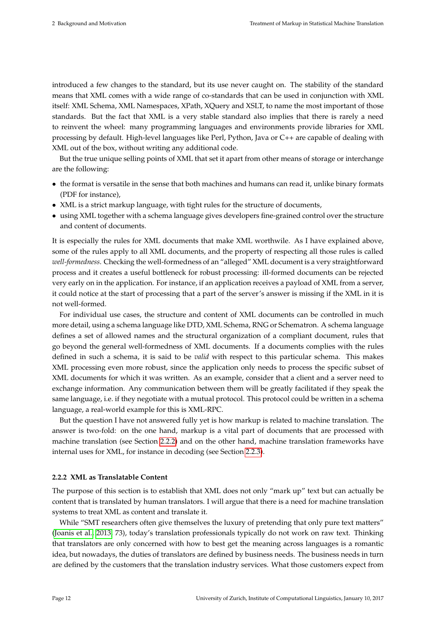introduced a few changes to the standard, but its use never caught on. The stability of the standard means that XML comes with a wide range of co-standards that can be used in conjunction with XML itself: XML Schema, XML Namespaces, XPath, XQuery and XSLT, to name the most important of those standards. But the fact that XML is a very stable standard also implies that there is rarely a need to reinvent the wheel: many programming languages and environments provide libraries for XML processing by default. High-level languages like Perl, Python, Java or C++ are capable of dealing with XML out of the box, without writing any additional code.

But the true unique selling points of XML that set it apart from other means of storage or interchange are the following:

- the format is versatile in the sense that both machines and humans can read it, unlike binary formats (PDF for instance),
- XML is a strict markup language, with tight rules for the structure of documents,
- using XML together with a schema language gives developers fine-grained control over the structure and content of documents.

It is especially the rules for XML documents that make XML worthwile. As I have explained above, some of the rules apply to all XML documents, and the property of respecting all those rules is called *well-formedness*. Checking the well-formedness of an "alleged" XML document is a very straightforward process and it creates a useful bottleneck for robust processing: ill-formed documents can be rejected very early on in the application. For instance, if an application receives a payload of XML from a server, it could notice at the start of processing that a part of the server's answer is missing if the XML in it is not well-formed.

For individual use cases, the structure and content of XML documents can be controlled in much more detail, using a schema language like DTD, XML Schema, RNG or Schematron. A schema language defines a set of allowed names and the structural organization of a compliant document, rules that go beyond the general well-formedness of XML documents. If a documents complies with the rules defined in such a schema, it is said to be *valid* with respect to this particular schema. This makes XML processing even more robust, since the application only needs to process the specific subset of XML documents for which it was written. As an example, consider that a client and a server need to exchange information. Any communication between them will be greatly facilitated if they speak the same language, i.e. if they negotiate with a mutual protocol. This protocol could be written in a schema language, a real-world example for this is XML-RPC.

But the question I have not answered fully yet is how markup is related to machine translation. The answer is two-fold: on the one hand, markup is a vital part of documents that are processed with machine translation (see Section [2.2.2\)](#page-18-0) and on the other hand, machine translation frameworks have internal uses for XML, for instance in decoding (see Section [2.2.3\)](#page-21-0).

#### <span id="page-18-0"></span>**2.2.2 XML as Translatable Content**

The purpose of this section is to establish that XML does not only "mark up" text but can actually be content that is translated by human translators. I will argue that there is a need for machine translation systems to treat XML as content and translate it.

While "SMT researchers often give themselves the luxury of pretending that only pure text matters" [\(Joanis et al., 2013,](#page-77-0) 73), today's translation professionals typically do not work on raw text. Thinking that translators are only concerned with how to best get the meaning across languages is a romantic idea, but nowadays, the duties of translators are defined by business needs. The business needs in turn are defined by the customers that the translation industry services. What those customers expect from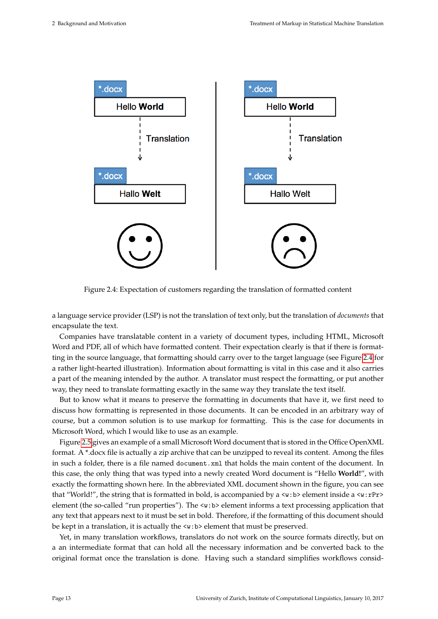<span id="page-19-0"></span>

Figure 2.4: Expectation of customers regarding the translation of formatted content

a language service provider (LSP) is not the translation of text only, but the translation of *documents* that encapsulate the text.

Companies have translatable content in a variety of document types, including HTML, Microsoft Word and PDF, all of which have formatted content. Their expectation clearly is that if there is formatting in the source language, that formatting should carry over to the target language (see Figure [2.4](#page-19-0) for a rather light-hearted illustration). Information about formatting is vital in this case and it also carries a part of the meaning intended by the author. A translator must respect the formatting, or put another way, they need to translate formatting exactly in the same way they translate the text itself.

But to know what it means to preserve the formatting in documents that have it, we first need to discuss how formatting is represented in those documents. It can be encoded in an arbitrary way of course, but a common solution is to use markup for formatting. This is the case for documents in Microsoft Word, which I would like to use as an example.

Figure [2.5](#page-20-0) gives an example of a small Microsoft Word document that is stored in the Office OpenXML format. A \*.docx file is actually a zip archive that can be unzipped to reveal its content. Among the files in such a folder, there is a file named document. xml that holds the main content of the document. In this case, the only thing that was typed into a newly created Word document is "Hello **World!**", with exactly the formatting shown here. In the abbreviated XML document shown in the figure, you can see that "World!", the string that is formatted in bold, is accompanied by a  $\langle w:b \rangle$  element inside a  $\langle w: rPr \rangle$ element (the so-called "run properties"). The <w:b> element informs a text processing application that any text that appears next to it must be set in bold. Therefore, if the formatting of this document should be kept in a translation, it is actually the <w:b> element that must be preserved.

Yet, in many translation workflows, translators do not work on the source formats directly, but on a an intermediate format that can hold all the necessary information and be converted back to the original format once the translation is done. Having such a standard simplifies workflows consid-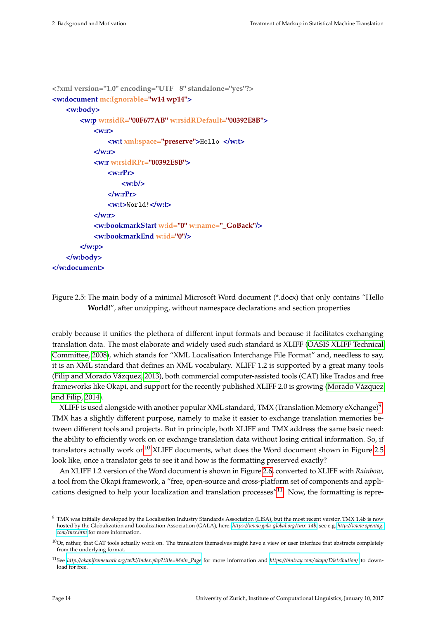```
<?xml version="1.0" encoding="UTF−8" standalone="yes"?>
<w:document mc:Ignorable="w14 wp14">
   <w:body>
       <w:p w:rsidR="00F677AB" w:rsidRDefault="00392E8B">
           <w:r>
               <w:t xml:space="preserve">Hello </w:t>
           </w:r>
           <w:r w:rsidRPr="00392E8B">
               <w:rPr>
                   <w:b/>
               </w:rPr>
               <w:t>World!</w:t>
           </w:r>
           <w:bookmarkStart w:id="0" w:name="_GoBack"/>
           <w:bookmarkEnd w:id="0"/>
       </w:p>
   </w:body>
</w:document>
```
Figure 2.5: The main body of a minimal Microsoft Word document (\*.docx) that only contains "Hello **World!**", after unzipping, without namespace declarations and section properties

erably because it unifies the plethora of different input formats and because it facilitates exchanging translation data. The most elaborate and widely used such standard is XLIFF [\(OASIS XLIFF Technical](#page-78-12) [Committee, 2008\)](#page-78-12), which stands for "XML Localisation Interchange File Format" and, needless to say, it is an XML standard that defines an XML vocabulary. XLIFF 1.2 is supported by a great many tools [\(Filip and Morado Vázquez, 2013\)](#page-76-7), both commercial computer-assisted tools (CAT) like Trados and free frameworks like Okapi, and support for the recently published XLIFF 2.0 is growing [\(Morado Vázquez](#page-78-13) [and Filip, 2014\)](#page-78-13).

XLIFF is used alongside with another popular XML standard, TMX (Translation Memory eXchange) $^9$  $^9$ . TMX has a slightly different purpose, namely to make it easier to exchange translation memories between different tools and projects. But in principle, both XLIFF and TMX address the same basic need: the ability to efficiently work on or exchange translation data without losing critical information. So, if translators actually work on<sup>[10](#page-20-2)</sup> XLIFF documents, what does the Word document shown in Figure [2.5](#page-20-0) look like, once a translator gets to see it and how is the formatting preserved exactly?

An XLIFF 1.2 version of the Word document is shown in Figure [2.6,](#page-21-1) converted to XLIFF with *Rainbow*, a tool from the Okapi framework, a "free, open-source and cross-platform set of components and appli-cations designed to help your localization and translation processes<sup>"[11](#page-20-3)</sup>. Now, the formatting is repre-

<span id="page-20-1"></span><sup>&</sup>lt;sup>9</sup> TMX was initially developed by the Localisation Industry Standards Association (LISA), but the most recent version TMX 1.4b is now hosted by the Globalization and Localization Association (GALA), here: *[https://www.gala-global.org/ tmx-14b](https://www.gala-global.org/tmx-14b)*, see e.g. *[http://www.opentag.](http://www.opentag.com/tmx.htm) [com/ tmx.htm](http://www.opentag.com/tmx.htm)* for more information.

<span id="page-20-2"></span> $10$ Or, rather, that CAT tools actually work on. The translators themselves might have a view or user interface that abstracts completely from the underlying format.

<span id="page-20-3"></span><sup>11</sup>See *[http://okapiframework.org/wiki/index.php?title=Main\\_Page](http://okapiframework.org/wiki/index.php?title=Main_Page)* for more information and *<https://bintray.com/okapi/Distribution/>* to download for free.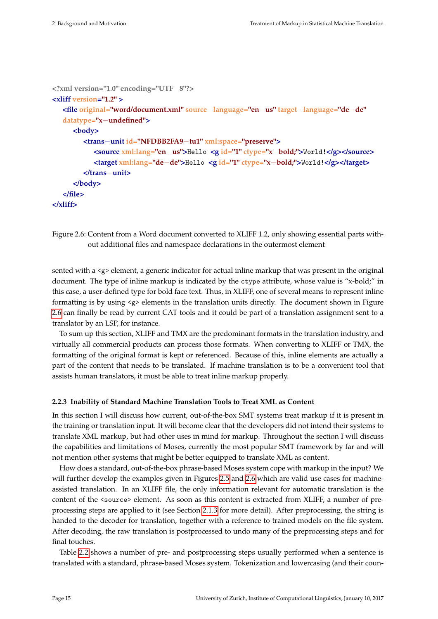```
<?xml version="1.0" encoding="UTF−8"?>
<xliff version="1.2" >
   <file original="word/document.xml" source−language="en−us" target−language="de−de"
  datatype="x−undefined">
     <body>
        <trans−unit id="NFDBB2FA9−tu1" xml:space="preserve">
           <source xml:lang="en−us">Hello <g id="1" ctype="x−bold;">World!</g></source>
           <target xml:lang="de−de">Hello <g id="1" ctype="x−bold;">World!</g></target>
        </trans−unit>
     </body>
   </file>
</xliff>
```
Figure 2.6: Content from a Word document converted to XLIFF 1.2, only showing essential parts without additional files and namespace declarations in the outermost element

sented with a  $\langle g \rangle$  element, a generic indicator for actual inline markup that was present in the original document. The type of inline markup is indicated by the ctype attribute, whose value is "x-bold;" in this case, a user-defined type for bold face text. Thus, in XLIFF, one of several means to represent inline formatting is by using  $\langle g \rangle$  elements in the translation units directly. The document shown in Figure [2.6](#page-21-1) can finally be read by current CAT tools and it could be part of a translation assignment sent to a translator by an LSP, for instance.

To sum up this section, XLIFF and TMX are the predominant formats in the translation industry, and virtually all commercial products can process those formats. When converting to XLIFF or TMX, the formatting of the original format is kept or referenced. Because of this, inline elements are actually a part of the content that needs to be translated. If machine translation is to be a convenient tool that assists human translators, it must be able to treat inline markup properly.

#### <span id="page-21-0"></span>**2.2.3 Inability of Standard Machine Translation Tools to Treat XML as Content**

In this section I will discuss how current, out-of-the-box SMT systems treat markup if it is present in the training or translation input. It will become clear that the developers did not intend their systems to translate XML markup, but had other uses in mind for markup. Throughout the section I will discuss the capabilities and limitations of Moses, currently the most popular SMT framework by far and will not mention other systems that might be better equipped to translate XML as content.

How does a standard, out-of-the-box phrase-based Moses system cope with markup in the input? We will further develop the examples given in Figures [2.5](#page-20-0) and [2.6](#page-21-1) which are valid use cases for machineassisted translation. In an XLIFF file, the only information relevant for automatic translation is the content of the <source> element. As soon as this content is extracted from XLIFF, a number of preprocessing steps are applied to it (see Section [2.1.3](#page-15-0) for more detail). After preprocessing, the string is handed to the decoder for translation, together with a reference to trained models on the file system. After decoding, the raw translation is postprocessed to undo many of the preprocessing steps and for final touches.

Table [2.2](#page-22-0) shows a number of pre- and postprocessing steps usually performed when a sentence is translated with a standard, phrase-based Moses system. Tokenization and lowercasing (and their coun-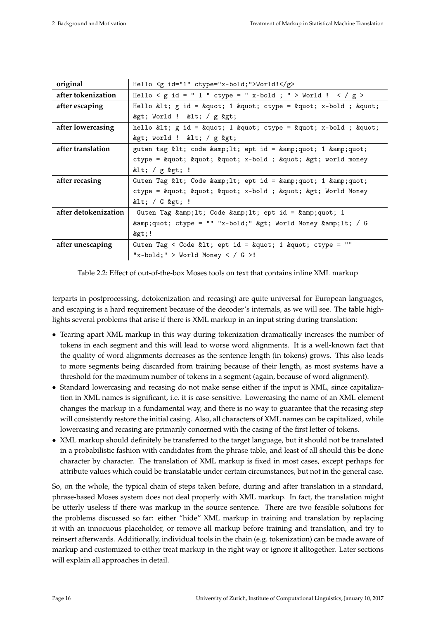<span id="page-22-0"></span>

| original             | Hello $\leq g$ id="1" ctype="x-bold;">World! $\leq/g$ >             |
|----------------------|---------------------------------------------------------------------|
| after tokenization   | Hello < g id = " 1 " ctype = " x-bold ; " > World ! < / g >         |
| after escaping       | Hello < $g$ id = " 1 " ctype = " x-bold; "                          |
|                      | $>$ ; World ! $>$ ; / g $>$ ;                                       |
| after lowercasing    | hello < g id = " 1 " ctype = " x-bold ; "                           |
|                      | > world ! < $\frac{1}{g}$ >                                         |
| after translation    | guten tag < code < ept id = " 1 "                                   |
|                      | ctype = " " " x-bold ; " > world money                              |
|                      | < / $g$ > !                                                         |
| after recasing       | Guten Tag < Code < ept id = " 1 "                                   |
|                      | ctype = " " " x-bold ; " > World Money                              |
|                      | $<$ : / G $>$ : !                                                   |
| after detokenization | Guten Tag $\&amp;;lt;;code;$ & $\&amp;;lt;;ept id = \&amp;;quot; 1$ |
|                      | " ctype = "" "x-bold;" > World Money < / G                          |
|                      | kgt;!                                                               |
| after unescaping     | Guten Tag < Code < ept id = " 1 " ctype = ""                        |
|                      | "x-bold;" > World Money < / $G >!$                                  |

Table 2.2: Effect of out-of-the-box Moses tools on text that contains inline XML markup

terparts in postprocessing, detokenization and recasing) are quite universal for European languages, and escaping is a hard requirement because of the decoder's internals, as we will see. The table highlights several problems that arise if there is XML markup in an input string during translation:

- Tearing apart XML markup in this way during tokenization dramatically increases the number of tokens in each segment and this will lead to worse word alignments. It is a well-known fact that the quality of word alignments decreases as the sentence length (in tokens) grows. This also leads to more segments being discarded from training because of their length, as most systems have a threshold for the maximum number of tokens in a segment (again, because of word alignment).
- Standard lowercasing and recasing do not make sense either if the input is XML, since capitalization in XML names is significant, i.e. it is case-sensitive. Lowercasing the name of an XML element changes the markup in a fundamental way, and there is no way to guarantee that the recasing step will consistently restore the initial casing. Also, all characters of XML names can be capitalized, while lowercasing and recasing are primarily concerned with the casing of the first letter of tokens.
- XML markup should definitely be transferred to the target language, but it should not be translated in a probabilistic fashion with candidates from the phrase table, and least of all should this be done character by character. The translation of XML markup is fixed in most cases, except perhaps for attribute values which could be translatable under certain circumstances, but not in the general case.

So, on the whole, the typical chain of steps taken before, during and after translation in a standard, phrase-based Moses system does not deal properly with XML markup. In fact, the translation might be utterly useless if there was markup in the source sentence. There are two feasible solutions for the problems discussed so far: either "hide" XML markup in training and translation by replacing it with an innocuous placeholder, or remove all markup before training and translation, and try to reinsert afterwards. Additionally, individual tools in the chain (e.g. tokenization) can be made aware of markup and customized to either treat markup in the right way or ignore it alltogether. Later sections will explain all approaches in detail.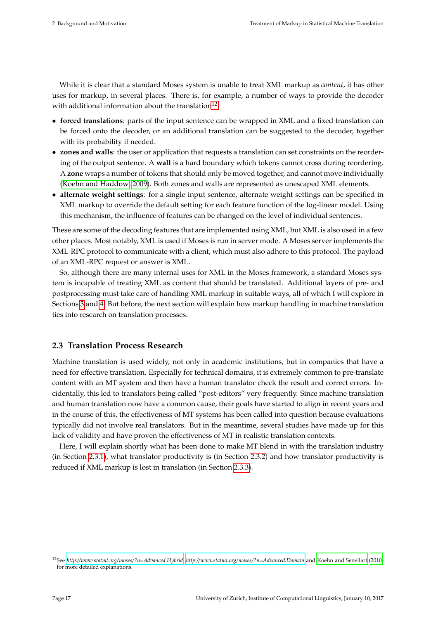While it is clear that a standard Moses system is unable to treat XML markup as *content*, it has other uses for markup, in several places. There is, for example, a number of ways to provide the decoder with additional information about the translation<sup>[12](#page-23-1)</sup>:

- **forced translations**: parts of the input sentence can be wrapped in XML and a fixed translation can be forced onto the decoder, or an additional translation can be suggested to the decoder, together with its probability if needed.
- **zones and walls**: the user or application that requests a translation can set constraints on the reordering of the output sentence. A **wall** is a hard boundary which tokens cannot cross during reordering. A **zone** wraps a number of tokens that should only be moved together, and cannot move individually [\(Koehn and Haddow, 2009\)](#page-77-14). Both zones and walls are represented as unescaped XML elements.
- **alternate weight settings**: for a single input sentence, alternate weight settings can be specified in XML markup to override the default setting for each feature function of the log-linear model. Using this mechanism, the influence of features can be changed on the level of individual sentences.

These are some of the decoding features that are implemented using XML, but XML is also used in a few other places. Most notably, XML is used if Moses is run in server mode. A Moses server implements the XML-RPC protocol to communicate with a client, which must also adhere to this protocol. The payload of an XML-RPC request or answer is XML.

So, although there are many internal uses for XML in the Moses framework, a standard Moses system is incapable of treating XML as content that should be translated. Additional layers of pre- and postprocessing must take care of handling XML markup in suitable ways, all of which I will explore in Sections [3](#page-26-0) and [4.](#page-34-0) But before, the next section will explain how markup handling in machine translation ties into research on translation processes.

#### <span id="page-23-0"></span>**2.3 Translation Process Research**

Machine translation is used widely, not only in academic institutions, but in companies that have a need for effective translation. Especially for technical domains, it is extremely common to pre-translate content with an MT system and then have a human translator check the result and correct errors. Incidentally, this led to translators being called "post-editors" very frequently. Since machine translation and human translation now have a common cause, their goals have started to align in recent years and in the course of this, the effectiveness of MT systems has been called into question because evaluations typically did not involve real translators. But in the meantime, several studies have made up for this lack of validity and have proven the effectiveness of MT in realistic translation contexts.

Here, I will explain shortly what has been done to make MT blend in with the translation industry (in Section [2.3.1\)](#page-24-0), what translator productivity is (in Section [2.3.2\)](#page-24-1) and how translator productivity is reduced if XML markup is lost in translation (in Section [2.3.3\)](#page-24-2).

<span id="page-23-1"></span><sup>12</sup>See *<http://www.statmt.org/moses/?n=Advanced.Hybrid>*, *<http://www.statmt.org/moses/?n=Advanced.Domain>* and [Koehn and Senellart](#page-77-15) [\(2010\)](#page-77-15) for more detailed explanations.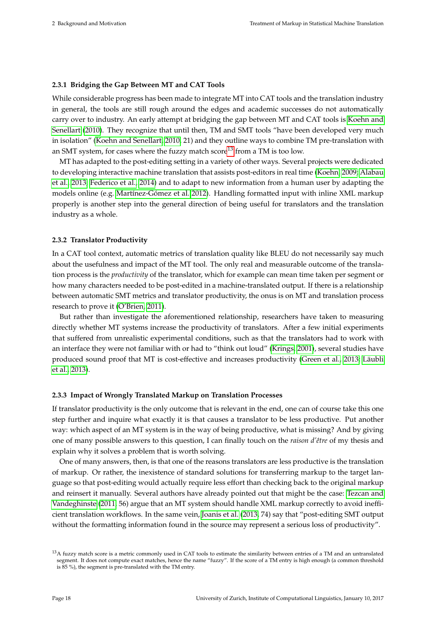#### <span id="page-24-0"></span>**2.3.1 Bridging the Gap Between MT and CAT Tools**

While considerable progress has been made to integrate MT into CAT tools and the translation industry in general, the tools are still rough around the edges and academic successes do not automatically carry over to industry. An early attempt at bridging the gap between MT and CAT tools is [Koehn and](#page-77-15) [Senellart](#page-77-15) [\(2010\)](#page-77-15). They recognize that until then, TM and SMT tools "have been developed very much in isolation" [\(Koehn and Senellart, 2010,](#page-77-15) 21) and they outline ways to combine TM pre-translation with an SMT system, for cases where the fuzzy match score<sup>[13](#page-24-3)</sup> from a TM is too low.

MT has adapted to the post-editing setting in a variety of other ways. Several projects were dedicated to developing interactive machine translation that assists post-editors in real time [\(Koehn, 2009;](#page-77-16) [Alabau](#page-75-10) [et al., 2013;](#page-75-10) [Federico et al., 2014\)](#page-76-8) and to adapt to new information from a human user by adapting the models online (e.g. [Martínez-Gómez et al. 2012\)](#page-78-14). Handling formatted input with inline XML markup properly is another step into the general direction of being useful for translators and the translation industry as a whole.

#### <span id="page-24-1"></span>**2.3.2 Translator Productivity**

In a CAT tool context, automatic metrics of translation quality like BLEU do not necessarily say much about the usefulness and impact of the MT tool. The only real and measurable outcome of the translation process is the *productivity* of the translator, which for example can mean time taken per segment or how many characters needed to be post-edited in a machine-translated output. If there is a relationship between automatic SMT metrics and translator productivity, the onus is on MT and translation process research to prove it [\(O'Brien, 2011\)](#page-78-15).

But rather than investigate the aforementioned relationship, researchers have taken to measuring directly whether MT systems increase the productivity of translators. After a few initial experiments that suffered from unrealistic experimental conditions, such as that the translators had to work with an interface they were not familiar with or had to "think out loud" [\(Krings, 2001\)](#page-77-17), several studies have produced sound proof that MT is cost-effective and increases productivity [\(Green et al., 2013;](#page-76-9) [Läubli](#page-78-16) [et al., 2013\)](#page-78-16).

#### <span id="page-24-2"></span>**2.3.3 Impact of Wrongly Translated Markup on Translation Processes**

If translator productivity is the only outcome that is relevant in the end, one can of course take this one step further and inquire what exactly it is that causes a translator to be less productive. Put another way: which aspect of an MT system is in the way of being productive, what is missing? And by giving one of many possible answers to this question, I can finally touch on the *raison d'être* of my thesis and explain why it solves a problem that is worth solving.

One of many answers, then, is that one of the reasons translators are less productive is the translation of markup. Or rather, the inexistence of standard solutions for transferring markup to the target language so that post-editing would actually require less effort than checking back to the original markup and reinsert it manually. Several authors have already pointed out that might be the case: [Tezcan and](#page-79-1) [Vandeghinste](#page-79-1) [\(2011,](#page-79-1) 56) argue that an MT system should handle XML markup correctly to avoid inefficient translation workflows. In the same vein, [Joanis et al.](#page-77-0) [\(2013,](#page-77-0) 74) say that "post-editing SMT output without the formatting information found in the source may represent a serious loss of productivity".

<span id="page-24-3"></span><sup>&</sup>lt;sup>13</sup>A fuzzy match score is a metric commonly used in CAT tools to estimate the similarity between entries of a TM and an untranslated segment. It does not compute exact matches, hence the name "fuzzy". If the score of a TM entry is high enough (a common threshold is 85 %), the segment is pre-translated with the TM entry.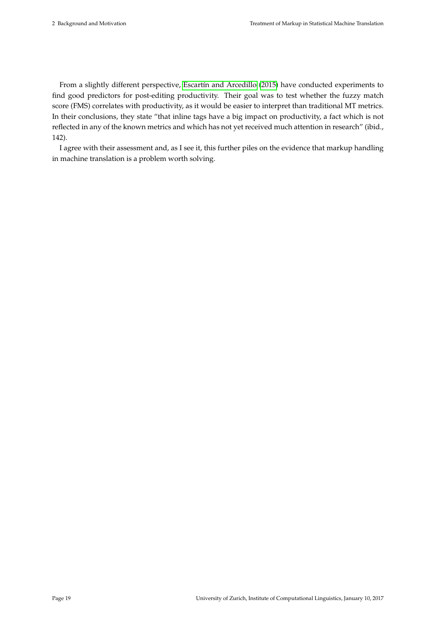From a slightly different perspective, [Escartín and Arcedillo](#page-76-10) [\(2015\)](#page-76-10) have conducted experiments to find good predictors for post-editing productivity. Their goal was to test whether the fuzzy match score (FMS) correlates with productivity, as it would be easier to interpret than traditional MT metrics. In their conclusions, they state "that inline tags have a big impact on productivity, a fact which is not reflected in any of the known metrics and which has not yet received much attention in research" (ibid., 142).

I agree with their assessment and, as I see it, this further piles on the evidence that markup handling in machine translation is a problem worth solving.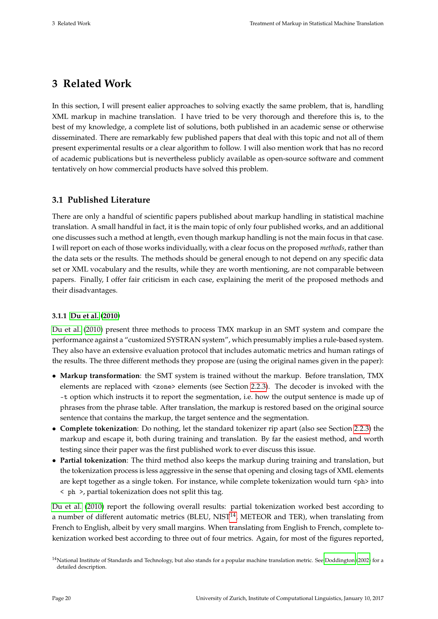# <span id="page-26-0"></span>**3 Related Work**

In this section, I will present ealier approaches to solving exactly the same problem, that is, handling XML markup in machine translation. I have tried to be very thorough and therefore this is, to the best of my knowledge, a complete list of solutions, both published in an academic sense or otherwise disseminated. There are remarkably few published papers that deal with this topic and not all of them present experimental results or a clear algorithm to follow. I will also mention work that has no record of academic publications but is nevertheless publicly available as open-source software and comment tentatively on how commercial products have solved this problem.

#### <span id="page-26-1"></span>**3.1 Published Literature**

There are only a handful of scientific papers published about markup handling in statistical machine translation. A small handful in fact, it is the main topic of only four published works, and an additional one discusses such a method at length, even though markup handling is not the main focus in that case. I will report on each of those works individually, with a clear focus on the proposed *methods*, rather than the data sets or the results. The methods should be general enough to not depend on any specific data set or XML vocabulary and the results, while they are worth mentioning, are not comparable between papers. Finally, I offer fair criticism in each case, explaining the merit of the proposed methods and their disadvantages.

#### <span id="page-26-2"></span>**3.1.1 [Du et al.](#page-75-0) [\(2010\)](#page-75-0)**

[Du et al.](#page-75-0) [\(2010\)](#page-75-0) present three methods to process TMX markup in an SMT system and compare the performance against a "customized SYSTRAN system", which presumably implies a rule-based system. They also have an extensive evaluation protocol that includes automatic metrics and human ratings of the results. The three different methods they propose are (using the original names given in the paper):

- **Markup transformation**: the SMT system is trained without the markup. Before translation, TMX elements are replaced with <zone> elements (see Section [2.2.3\)](#page-21-0). The decoder is invoked with the -t option which instructs it to report the segmentation, i.e. how the output sentence is made up of phrases from the phrase table. After translation, the markup is restored based on the original source sentence that contains the markup, the target sentence and the segmentation.
- **Complete tokenization**: Do nothing, let the standard tokenizer rip apart (also see Section [2.2.3\)](#page-21-0) the markup and escape it, both during training and translation. By far the easiest method, and worth testing since their paper was the first published work to ever discuss this issue.
- **Partial tokenization**: The third method also keeps the markup during training and translation, but the tokenization process is less aggressive in the sense that opening and closing tags of XML elements are kept together as a single token. For instance, while complete tokenization would turn <ph> into < ph >, partial tokenization does not split this tag.

[Du et al.](#page-75-0) [\(2010\)](#page-75-0) report the following overall results: partial tokenization worked best according to a number of different automatic metrics (BLEU,  $NIST^{14}$  $NIST^{14}$  $NIST^{14}$ , METEOR and TER), when translating from French to English, albeit by very small margins. When translating from English to French, complete tokenization worked best according to three out of four metrics. Again, for most of the figures reported,

<span id="page-26-3"></span><sup>&</sup>lt;sup>14</sup>National Institute of Standards and Technology, but also stands for a popular machine translation metric. See [Doddington](#page-75-11) [\(2002\)](#page-75-11) for a detailed description.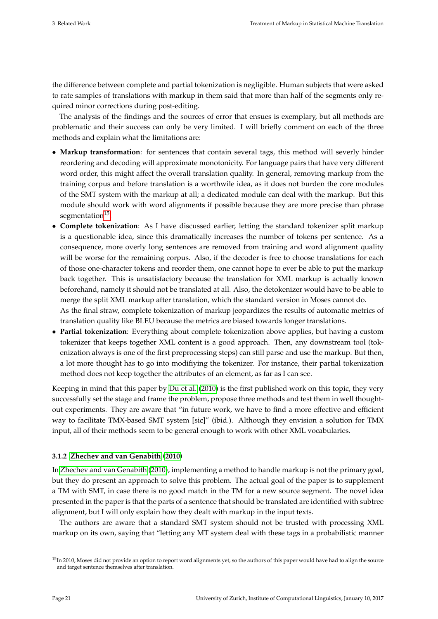the difference between complete and partial tokenization is negligible. Human subjects that were asked to rate samples of translations with markup in them said that more than half of the segments only required minor corrections during post-editing.

The analysis of the findings and the sources of error that ensues is exemplary, but all methods are problematic and their success can only be very limited. I will briefly comment on each of the three methods and explain what the limitations are:

- **Markup transformation**: for sentences that contain several tags, this method will severly hinder reordering and decoding will approximate monotonicity. For language pairs that have very different word order, this might affect the overall translation quality. In general, removing markup from the training corpus and before translation is a worthwile idea, as it does not burden the core modules of the SMT system with the markup at all; a dedicated module can deal with the markup. But this module should work with word alignments if possible because they are more precise than phrase segmentation<sup>[15](#page-27-1)</sup>.
- **Complete tokenization**: As I have discussed earlier, letting the standard tokenizer split markup is a questionable idea, since this dramatically increases the number of tokens per sentence. As a consequence, more overly long sentences are removed from training and word alignment quality will be worse for the remaining corpus. Also, if the decoder is free to choose translations for each of those one-character tokens and reorder them, one cannot hope to ever be able to put the markup back together. This is unsatisfactory because the translation for XML markup is actually known beforehand, namely it should not be translated at all. Also, the detokenizer would have to be able to merge the split XML markup after translation, which the standard version in Moses cannot do. As the final straw, complete tokenization of markup jeopardizes the results of automatic metrics of translation quality like BLEU because the metrics are biased towards longer translations.
- **Partial tokenization**: Everything about complete tokenization above applies, but having a custom tokenizer that keeps together XML content is a good approach. Then, any downstream tool (tokenization always is one of the first preprocessing steps) can still parse and use the markup. But then, a lot more thought has to go into modifiying the tokenizer. For instance, their partial tokenization method does not keep together the attributes of an element, as far as I can see.

Keeping in mind that this paper by [Du et al.](#page-75-0) [\(2010\)](#page-75-0) is the first published work on this topic, they very successfully set the stage and frame the problem, propose three methods and test them in well thoughtout experiments. They are aware that "in future work, we have to find a more effective and efficient way to facilitate TMX-based SMT system [sic]" (ibid.). Although they envision a solution for TMX input, all of their methods seem to be general enough to work with other XML vocabularies.

#### <span id="page-27-0"></span>**3.1.2 [Zhechev and van Genabith](#page-79-0) [\(2010\)](#page-79-0)**

In [Zhechev and van Genabith](#page-79-0) [\(2010\)](#page-79-0), implementing a method to handle markup is not the primary goal, but they do present an approach to solve this problem. The actual goal of the paper is to supplement a TM with SMT, in case there is no good match in the TM for a new source segment. The novel idea presented in the paper is that the parts of a sentence that should be translated are identified with subtree alignment, but I will only explain how they dealt with markup in the input texts.

The authors are aware that a standard SMT system should not be trusted with processing XML markup on its own, saying that "letting any MT system deal with these tags in a probabilistic manner

<span id="page-27-1"></span><sup>&</sup>lt;sup>15</sup>In 2010, Moses did not provide an option to report word alignments yet, so the authors of this paper would have had to align the source and target sentence themselves after translation.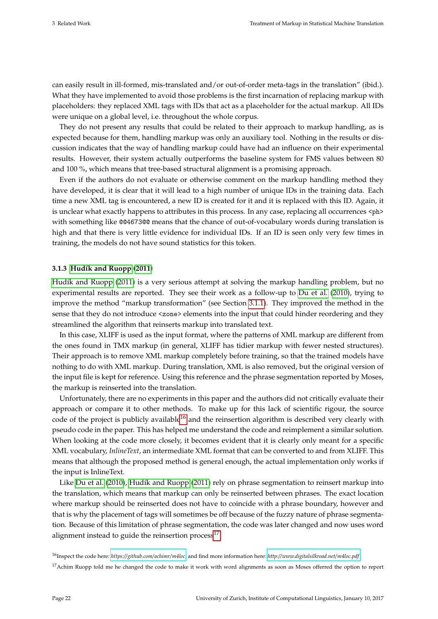can easily result in ill-formed, mis-translated and/or out-of-order meta-tags in the translation" (ibid.). What they have implemented to avoid those problems is the first incarnation of replacing markup with placeholders: they replaced XML tags with IDs that act as a placeholder for the actual markup. All IDs were unique on a global level, i.e. throughout the whole corpus.

They do not present any results that could be related to their approach to markup handling, as is expected because for them, handling markup was only an auxiliary tool. Nothing in the results or discussion indicates that the way of handling markup could have had an influence on their experimental results. However, their system actually outperforms the baseline system for FMS values between 80 and 100 %, which means that tree-based structural alignment is a promising approach.

Even if the authors do not evaluate or otherwise comment on the markup handling method they have developed, it is clear that it will lead to a high number of unique IDs in the training data. Each time a new XML tag is encountered, a new ID is created for it and it is replaced with this ID. Again, it is unclear what exactly happens to attributes in this process. In any case, replacing all occurrences <ph> with something like @@4673@@ means that the chance of out-of-vocabulary words during translation is high and that there is very little evidence for individual IDs. If an ID is seen only very few times in training, the models do not have sound statistics for this token.

#### <span id="page-28-0"></span>**3.1.3 [Hudík and Ruopp](#page-76-0) [\(2011\)](#page-76-0)**

[Hudík and Ruopp](#page-76-0) [\(2011\)](#page-76-0) is a very serious attempt at solving the markup handling problem, but no experimental results are reported. They see their work as a follow-up to [Du et al.](#page-75-0) [\(2010\)](#page-75-0), trying to improve the method "markup transformation" (see Section [3.1.1\)](#page-26-2). They improved the method in the sense that they do not introduce <zone> elements into the input that could hinder reordering and they streamlined the algorithm that reinserts markup into translated text.

In this case, XLIFF is used as the input format, where the patterns of XML markup are different from the ones found in TMX markup (in general, XLIFF has tidier markup with fewer nested structures). Their approach is to remove XML markup completely before training, so that the trained models have nothing to do with XML markup. During translation, XML is also removed, but the original version of the input file is kept for reference. Using this reference and the phrase segmentation reported by Moses, the markup is reinserted into the translation.

Unfortunately, there are no experiments in this paper and the authors did not critically evaluate their approach or compare it to other methods. To make up for this lack of scientific rigour, the source code of the project is publicly available<sup>[16](#page-28-1)</sup> and the reinsertion algorithm is described very clearly with pseudo code in the paper. This has helped me understand the code and reimplement a similar solution. When looking at the code more closely, it becomes evident that it is clearly only meant for a specific XML vocabulary, *InlineText*, an intermediate XML format that can be converted to and from XLIFF. This means that although the proposed method is general enough, the actual implementation only works if the input is InlineText.

Like [Du et al.](#page-75-0) [\(2010\)](#page-75-0), [Hudík and Ruopp](#page-76-0) [\(2011\)](#page-76-0) rely on phrase segmentation to reinsert markup into the translation, which means that markup can only be reinserted between phrases. The exact location where markup should be reinserted does not have to coincide with a phrase boundary, however and that is why the placement of tags will sometimes be off because of the fuzzy nature of phrase segmentation. Because of this limitation of phrase segmentation, the code was later changed and now uses word alignment instead to guide the reinsertion process<sup>[17](#page-28-2)</sup>.

<span id="page-28-1"></span><sup>16</sup>Inspect the code here: *<https://github.com/achimr/m4loc>*, and find more information here: *<http://www.digitalsilkroad.net/m4loc.pdf>*.

<span id="page-28-2"></span><sup>&</sup>lt;sup>17</sup>Achim Ruopp told me he changed the code to make it work with word alignments as soon as Moses offerred the option to report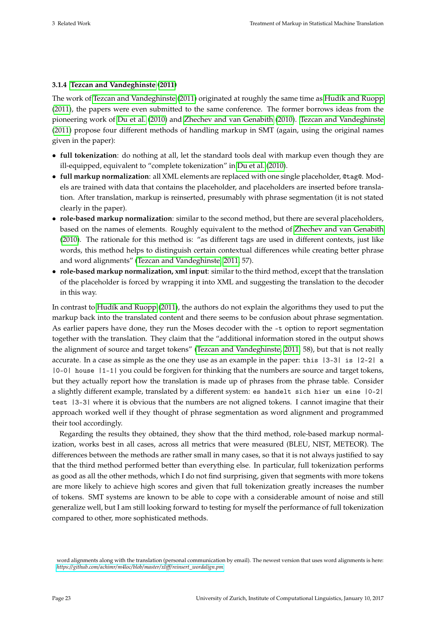#### <span id="page-29-0"></span>**3.1.4 [Tezcan and Vandeghinste](#page-79-1) [\(2011\)](#page-79-1)**

The work of [Tezcan and Vandeghinste](#page-79-1) [\(2011\)](#page-79-1) originated at roughly the same time as [Hudík and Ruopp](#page-76-0) [\(2011\)](#page-76-0), the papers were even submitted to the same conference. The former borrows ideas from the pioneering work of [Du et al.](#page-75-0) [\(2010\)](#page-75-0) and [Zhechev and van Genabith](#page-79-0) [\(2010\)](#page-79-0). [Tezcan and Vandeghinste](#page-79-1) [\(2011\)](#page-79-1) propose four different methods of handling markup in SMT (again, using the original names given in the paper):

- **full tokenization**: do nothing at all, let the standard tools deal with markup even though they are ill-equipped, equivalent to "complete tokenization" in [Du et al.](#page-75-0) [\(2010\)](#page-75-0).
- **full markup normalization**: all XML elements are replaced with one single placeholder, @tag@. Models are trained with data that contains the placeholder, and placeholders are inserted before translation. After translation, markup is reinserted, presumably with phrase segmentation (it is not stated clearly in the paper).
- **role-based markup normalization**: similar to the second method, but there are several placeholders, based on the names of elements. Roughly equivalent to the method of [Zhechev and van Genabith](#page-79-0) [\(2010\)](#page-79-0). The rationale for this method is: "as different tags are used in different contexts, just like words, this method helps to distinguish certain contextual differences while creating better phrase and word alignments" [\(Tezcan and Vandeghinste, 2011,](#page-79-1) 57).
- **role-based markup normalization, xml input**: similar to the third method, except that the translation of the placeholder is forced by wrapping it into XML and suggesting the translation to the decoder in this way.

In contrast to [Hudík and Ruopp](#page-76-0) [\(2011\)](#page-76-0), the authors do not explain the algorithms they used to put the markup back into the translated content and there seems to be confusion about phrase segmentation. As earlier papers have done, they run the Moses decoder with the -t option to report segmentation together with the translation. They claim that the "additional information stored in the output shows the alignment of source and target tokens" [\(Tezcan and Vandeghinste, 2011,](#page-79-1) 58), but that is not really accurate. In a case as simple as the one they use as an example in the paper: this |3-3| is |2-2| a |0-0| house |1-1| you could be forgiven for thinking that the numbers are source and target tokens, but they actually report how the translation is made up of phrases from the phrase table. Consider a slightly different example, translated by a different system: es handelt sich hier um eine |0-2| test |3-3| where it is obvious that the numbers are not aligned tokens. I cannot imagine that their approach worked well if they thought of phrase segmentation as word alignment and programmed their tool accordingly.

Regarding the results they obtained, they show that the third method, role-based markup normalization, works best in all cases, across all metrics that were measured (BLEU, NIST, METEOR). The differences between the methods are rather small in many cases, so that it is not always justified to say that the third method performed better than everything else. In particular, full tokenization performs as good as all the other methods, which I do not find surprising, given that segments with more tokens are more likely to achieve high scores and given that full tokenization greatly increases the number of tokens. SMT systems are known to be able to cope with a considerable amount of noise and still generalize well, but I am still looking forward to testing for myself the performance of full tokenization compared to other, more sophisticated methods.

word alignments along with the translation (personal communication by email). The newest version that uses word alignments is here: *[https://github.com/achimr/m4loc/blob/master/xliff/reinsert\\_wordalign.pm](https://github.com/achimr/m4loc/blob/master/xliff/reinsert_wordalign.pm)*.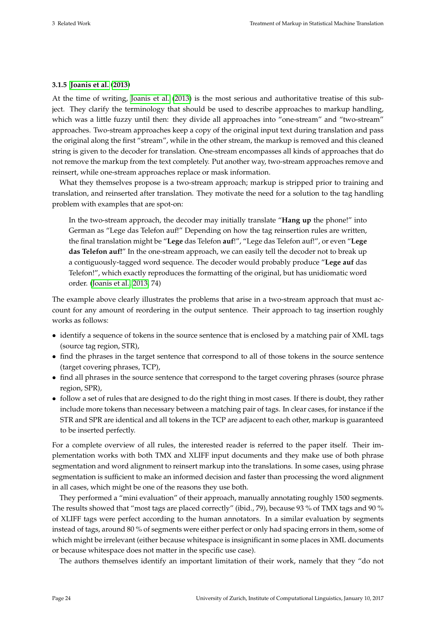#### <span id="page-30-0"></span>**3.1.5 [Joanis et al.](#page-77-0) [\(2013\)](#page-77-0)**

At the time of writing, [Joanis et al.](#page-77-0) [\(2013\)](#page-77-0) is the most serious and authoritative treatise of this subject. They clarify the terminology that should be used to describe approaches to markup handling, which was a little fuzzy until then: they divide all approaches into "one-stream" and "two-stream" approaches. Two-stream approaches keep a copy of the original input text during translation and pass the original along the first "stream", while in the other stream, the markup is removed and this cleaned string is given to the decoder for translation. One-stream encompasses all kinds of approaches that do not remove the markup from the text completely. Put another way, two-stream approaches remove and reinsert, while one-stream approaches replace or mask information.

What they themselves propose is a two-stream approach; markup is stripped prior to training and translation, and reinserted after translation. They motivate the need for a solution to the tag handling problem with examples that are spot-on:

In the two-stream approach, the decoder may initially translate "**Hang up** the phone!" into German as "Lege das Telefon auf!" Depending on how the tag reinsertion rules are written, the final translation might be "**Lege** das Telefon **auf**!", "Lege das Telefon auf!", or even "**Lege das Telefon auf!**" In the one-stream approach, we can easily tell the decoder not to break up a contiguously-tagged word sequence. The decoder would probably produce "**Lege auf** das Telefon!", which exactly reproduces the formatting of the original, but has unidiomatic word order. [\(Joanis et al., 2013,](#page-77-0) 74)

The example above clearly illustrates the problems that arise in a two-stream approach that must account for any amount of reordering in the output sentence. Their approach to tag insertion roughly works as follows:

- identify a sequence of tokens in the source sentence that is enclosed by a matching pair of XML tags (source tag region, STR),
- find the phrases in the target sentence that correspond to all of those tokens in the source sentence (target covering phrases, TCP),
- find all phrases in the source sentence that correspond to the target covering phrases (source phrase region, SPR),
- follow a set of rules that are designed to do the right thing in most cases. If there is doubt, they rather include more tokens than necessary between a matching pair of tags. In clear cases, for instance if the STR and SPR are identical and all tokens in the TCP are adjacent to each other, markup is guaranteed to be inserted perfectly.

For a complete overview of all rules, the interested reader is referred to the paper itself. Their implementation works with both TMX and XLIFF input documents and they make use of both phrase segmentation and word alignment to reinsert markup into the translations. In some cases, using phrase segmentation is sufficient to make an informed decision and faster than processing the word alignment in all cases, which might be one of the reasons they use both.

They performed a "mini evaluation" of their approach, manually annotating roughly 1500 segments. The results showed that "most tags are placed correctly" (ibid., 79), because 93 % of TMX tags and 90 % of XLIFF tags were perfect according to the human annotators. In a similar evaluation by segments instead of tags, around 80 % of segments were either perfect or only had spacing errors in them, some of which might be irrelevant (either because whitespace is insignificant in some places in XML documents or because whitespace does not matter in the specific use case).

The authors themselves identify an important limitation of their work, namely that they "do not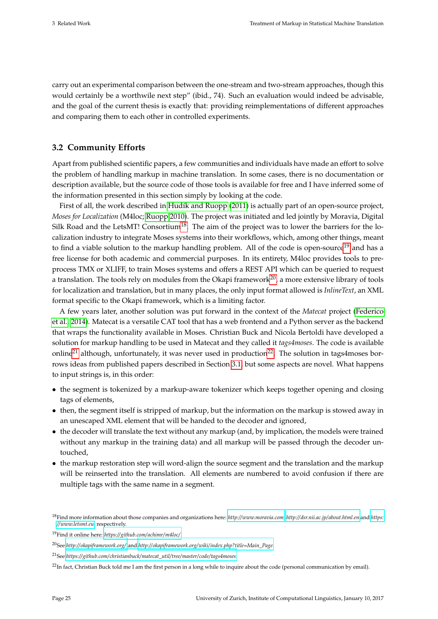carry out an experimental comparison between the one-stream and two-stream approaches, though this would certainly be a worthwile next step" (ibid., 74). Such an evaluation would indeed be advisable, and the goal of the current thesis is exactly that: providing reimplementations of different approaches and comparing them to each other in controlled experiments.

#### <span id="page-31-0"></span>**3.2 Community Efforts**

Apart from published scientific papers, a few communities and individuals have made an effort to solve the problem of handling markup in machine translation. In some cases, there is no documentation or description available, but the source code of those tools is available for free and I have inferred some of the information presented in this section simply by looking at the code.

First of all, the work described in [Hudík and Ruopp](#page-76-0) [\(2011\)](#page-76-0) is actually part of an open-source project, *Moses for Localization* (M4loc; [Ruopp 2010\)](#page-78-17). The project was initiated and led jointly by Moravia, Digital Silk Road and the LetsMT! Consortium<sup>[18](#page-31-1)</sup>. The aim of the project was to lower the barriers for the localization industry to integrate Moses systems into their workflows, which, among other things, meant to find a viable solution to the markup handling problem. All of the code is open-source<sup>[19](#page-31-2)</sup> and has a free license for both academic and commercial purposes. In its entirety, M4loc provides tools to preprocess TMX or XLIFF, to train Moses systems and offers a REST API which can be queried to request a translation. The tools rely on modules from the Okapi framework<sup>[20](#page-31-3)</sup>, a more extensive library of tools for localization and translation, but in many places, the only input format allowed is *InlineText*, an XML format specific to the Okapi framework, which is a limiting factor.

A few years later, another solution was put forward in the context of the *Matecat* project [\(Federico](#page-76-8) [et al., 2014\)](#page-76-8). Matecat is a versatile CAT tool that has a web frontend and a Python server as the backend that wraps the functionality available in Moses. Christian Buck and Nicola Bertoldi have developed a solution for markup handling to be used in Matecat and they called it *tags4moses*. The code is available online<sup>[21](#page-31-4)</sup> although, unfortunately, it was never used in production<sup>[22](#page-31-5)</sup>. The solution in tags4moses borrows ideas from published papers described in Section [3.1,](#page-26-1) but some aspects are novel. What happens to input strings is, in this order:

- the segment is tokenized by a markup-aware tokenizer which keeps together opening and closing tags of elements,
- then, the segment itself is stripped of markup, but the information on the markup is stowed away in an unescaped XML element that will be handed to the decoder and ignored,
- the decoder will translate the text without any markup (and, by implication, the models were trained without any markup in the training data) and all markup will be passed through the decoder untouched,
- the markup restoration step will word-align the source segment and the translation and the markup will be reinserted into the translation. All elements are numbered to avoid confusion if there are multiple tags with the same name in a segment.

<span id="page-31-1"></span><sup>18</sup>Find more information about those companies and organizations here: *<http://www.moravia.com>*, *<http://dsr.nii.ac.jp/about.html.en>* and *[https:](https://www.letsmt.eu) [//www.letsmt.eu](https://www.letsmt.eu)*, respectively.

<span id="page-31-2"></span><sup>19</sup>Find it online here: *<https://github.com/achimr/m4loc/>*.

<span id="page-31-3"></span><sup>20</sup>See *<http://okapiframework.org/>* and *[http://okapiframework.org/wiki/index.php?title=Main\\_Page](http://okapiframework.org/wiki/index.php?title=Main_Page)*.

<span id="page-31-4"></span><sup>21</sup>See *[https://github.com/christianbuck/matecat\\_util/ tree/master/code/ tags4moses](https://github.com/christianbuck/matecat_util/tree/master/code/tags4moses)*.

<span id="page-31-5"></span><sup>&</sup>lt;sup>22</sup>In fact, Christian Buck told me I am the first person in a long while to inquire about the code (personal communication by email).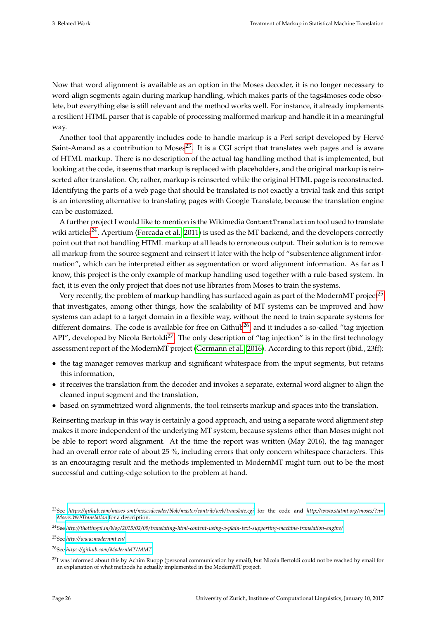Now that word alignment is available as an option in the Moses decoder, it is no longer necessary to word-align segments again during markup handling, which makes parts of the tags4moses code obsolete, but everything else is still relevant and the method works well. For instance, it already implements a resilient HTML parser that is capable of processing malformed markup and handle it in a meaningful way.

Another tool that apparently includes code to handle markup is a Perl script developed by Hervé Saint-Amand as a contribution to Moses<sup>[23](#page-32-0)</sup>. It is a CGI script that translates web pages and is aware of HTML markup. There is no description of the actual tag handling method that is implemented, but looking at the code, it seems that markup is replaced with placeholders, and the original markup is reinserted after translation. Or, rather, markup is reinserted while the original HTML page is reconstructed. Identifying the parts of a web page that should be translated is not exactly a trivial task and this script is an interesting alternative to translating pages with Google Translate, because the translation engine can be customized.

A further project I would like to mention is the Wikimedia ContentTranslation tool used to translate wiki articles<sup>[24](#page-32-1)</sup>. Apertium [\(Forcada et al., 2011\)](#page-76-11) is used as the MT backend, and the developers correctly point out that not handling HTML markup at all leads to erroneous output. Their solution is to remove all markup from the source segment and reinsert it later with the help of "subsentence alignment information", which can be interpreted either as segmentation or word alignment information. As far as I know, this project is the only example of markup handling used together with a rule-based system. In fact, it is even the only project that does not use libraries from Moses to train the systems.

Very recently, the problem of markup handling has surfaced again as part of the ModernMT project<sup>[25](#page-32-2)</sup> that investigates, among other things, how the scalability of MT systems can be improved and how systems can adapt to a target domain in a flexible way, without the need to train separate systems for different domains. The code is available for free on Github<sup>[26](#page-32-3)</sup>, and it includes a so-called "tag injection" API", developed by Nicola Bertoldi<sup>[27](#page-32-4)</sup>. The only description of "tag injection" is in the first technology assessment report of the ModernMT project [\(Germann et al., 2016\)](#page-76-12). According to this report (ibid., 23ff):

- the tag manager removes markup and significant whitespace from the input segments, but retains this information,
- it receives the translation from the decoder and invokes a separate, external word aligner to align the cleaned input segment and the translation,
- based on symmetrized word alignments, the tool reinserts markup and spaces into the translation.

Reinserting markup in this way is certainly a good approach, and using a separate word alignment step makes it more independent of the underlying MT system, because systems other than Moses might not be able to report word alignment. At the time the report was written (May 2016), the tag manager had an overall error rate of about 25 %, including errors that only concern whitespace characters. This is an encouraging result and the methods implemented in ModernMT might turn out to be the most successful and cutting-edge solution to the problem at hand.

<span id="page-32-0"></span><sup>23</sup>See *[https://github.com/moses-smt/mosesdecoder/blob/master/contrib/web/ translate.cgi](https://github.com/moses-smt/mosesdecoder/blob/master/contrib/web/translate.cgi)* for the code and *[http://www.statmt.org/moses/?n=](http://www.statmt.org/moses/?n=Moses.WebTranslation) [Moses.WebTranslation](http://www.statmt.org/moses/?n=Moses.WebTranslation)* for a description.

<span id="page-32-1"></span><sup>24</sup>See *[http:// thottingal.in/blog/2015/02/09/ translating-html-content-using-a-plain-text-supporting-machine-translation-engine/](http://thottingal.in/blog/2015/02/09/translating-html-content-using-a-plain-text-supporting-machine-translation-engine/)*.

<span id="page-32-2"></span><sup>25</sup>See *<http://www.modernmt.eu/>*.

<span id="page-32-3"></span><sup>26</sup>See *<https://github.com/ModernMT/MMT>*.

<span id="page-32-4"></span><sup>&</sup>lt;sup>27</sup>I was informed about this by Achim Ruopp (personal communication by email), but Nicola Bertoldi could not be reached by email for an explanation of what methods he actually implemented in the ModernMT project.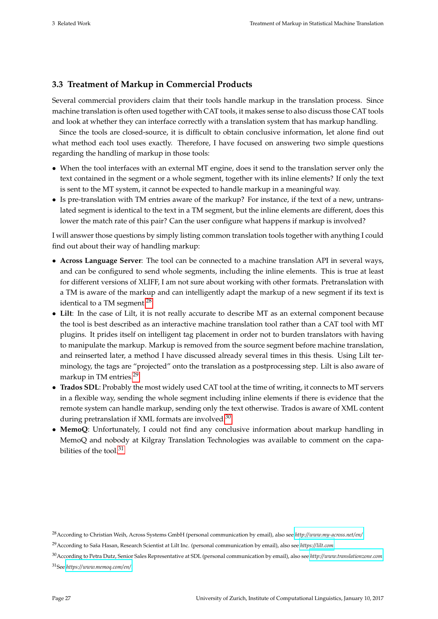#### <span id="page-33-0"></span>**3.3 Treatment of Markup in Commercial Products**

Several commercial providers claim that their tools handle markup in the translation process. Since machine translation is often used together with CAT tools, it makes sense to also discuss those CAT tools and look at whether they can interface correctly with a translation system that has markup handling.

Since the tools are closed-source, it is difficult to obtain conclusive information, let alone find out what method each tool uses exactly. Therefore, I have focused on answering two simple questions regarding the handling of markup in those tools:

- When the tool interfaces with an external MT engine, does it send to the translation server only the text contained in the segment or a whole segment, together with its inline elements? If only the text is sent to the MT system, it cannot be expected to handle markup in a meaningful way.
- Is pre-translation with TM entries aware of the markup? For instance, if the text of a new, untranslated segment is identical to the text in a TM segment, but the inline elements are different, does this lower the match rate of this pair? Can the user configure what happens if markup is involved?

I will answer those questions by simply listing common translation tools together with anything I could find out about their way of handling markup:

- **Across Language Server**: The tool can be connected to a machine translation API in several ways, and can be configured to send whole segments, including the inline elements. This is true at least for different versions of XLIFF, I am not sure about working with other formats. Pretranslation with a TM is aware of the markup and can intelligently adapt the markup of a new segment if its text is identical to a TM segment.<sup>[28](#page-33-1)</sup>
- **Lilt**: In the case of Lilt, it is not really accurate to describe MT as an external component because the tool is best described as an interactive machine translation tool rather than a CAT tool with MT plugins. It prides itself on intelligent tag placement in order not to burden translators with having to manipulate the markup. Markup is removed from the source segment before machine translation, and reinserted later, a method I have discussed already several times in this thesis. Using Lilt terminology, the tags are "projected" onto the translation as a postprocessing step. Lilt is also aware of markup in TM entries.[29](#page-33-2)
- **Trados SDL**: Probably the most widely used CAT tool at the time of writing, it connects to MT servers in a flexible way, sending the whole segment including inline elements if there is evidence that the remote system can handle markup, sending only the text otherwise. Trados is aware of XML content during pretranslation if XML formats are involved.<sup>[30](#page-33-3)</sup>
- **MemoQ**: Unfortunately, I could not find any conclusive information about markup handling in MemoQ and nobody at Kilgray Translation Technologies was available to comment on the capabilities of the tool  $31$

<span id="page-33-3"></span><sup>30</sup>According to Petra Dutz, Senior Sales Representative at SDL (personal communication by email), also see *<http://www.translationzone.com>*.

<span id="page-33-1"></span><sup>28</sup>According to Christian Weih, Across Systems GmbH (personal communication by email), also see *<http://www.my-across.net/en/>*.

<span id="page-33-2"></span><sup>29</sup>According to Saša Hasan, Research Scientist at Lilt Inc. (personal communication by email), also see *<https://lilt.com>*.

<span id="page-33-4"></span><sup>31</sup>See *<https://www.memoq.com/en/>*.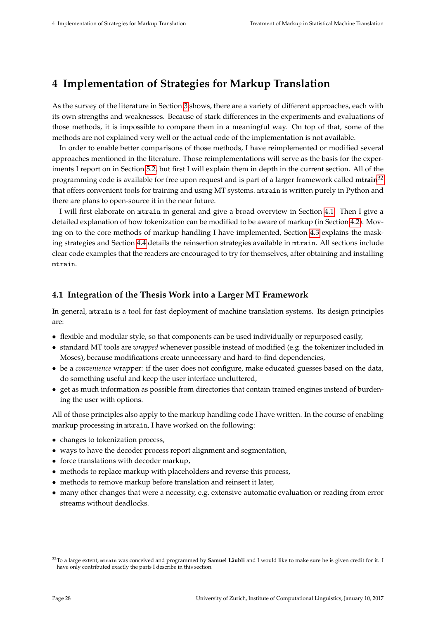# <span id="page-34-0"></span>**4 Implementation of Strategies for Markup Translation**

As the survey of the literature in Section [3](#page-26-0) shows, there are a variety of different approaches, each with its own strengths and weaknesses. Because of stark differences in the experiments and evaluations of those methods, it is impossible to compare them in a meaningful way. On top of that, some of the methods are not explained very well or the actual code of the implementation is not available.

In order to enable better comparisons of those methods, I have reimplemented or modified several approaches mentioned in the literature. Those reimplementations will serve as the basis for the experiments I report on in Section [5.2,](#page-53-0) but first I will explain them in depth in the current section. All of the programming code is available for free upon request and is part of a larger framework called **mtrain**[32](#page-34-2) that offers convenient tools for training and using MT systems. mtrain is written purely in Python and there are plans to open-source it in the near future.

I will first elaborate on mtrain in general and give a broad overview in Section [4.1.](#page-34-1) Then I give a detailed explanation of how tokenization can be modified to be aware of markup (in Section [4.2\)](#page-38-0). Moving on to the core methods of markup handling I have implemented, Section [4.3](#page-40-0) explains the masking strategies and Section [4.4](#page-45-0) details the reinsertion strategies available in mtrain. All sections include clear code examples that the readers are encouraged to try for themselves, after obtaining and installing mtrain.

#### <span id="page-34-1"></span>**4.1 Integration of the Thesis Work into a Larger MT Framework**

In general, mtrain is a tool for fast deployment of machine translation systems. Its design principles are:

- flexible and modular style, so that components can be used individually or repurposed easily,
- standard MT tools are *wrapped* whenever possible instead of modified (e.g. the tokenizer included in Moses), because modifications create unnecessary and hard-to-find dependencies,
- be a *convenience* wrapper: if the user does not configure, make educated guesses based on the data, do something useful and keep the user interface uncluttered,
- get as much information as possible from directories that contain trained engines instead of burdening the user with options.

All of those principles also apply to the markup handling code I have written. In the course of enabling markup processing in mtrain, I have worked on the following:

- changes to tokenization process,
- ways to have the decoder process report alignment and segmentation,
- force translations with decoder markup,
- methods to replace markup with placeholders and reverse this process,
- methods to remove markup before translation and reinsert it later,
- many other changes that were a necessity, e.g. extensive automatic evaluation or reading from error streams without deadlocks.

<span id="page-34-2"></span><sup>32</sup>To a large extent, mtrain was conceived and programmed by **Samuel Läubli** and I would like to make sure he is given credit for it. I have only contributed exactly the parts I describe in this section.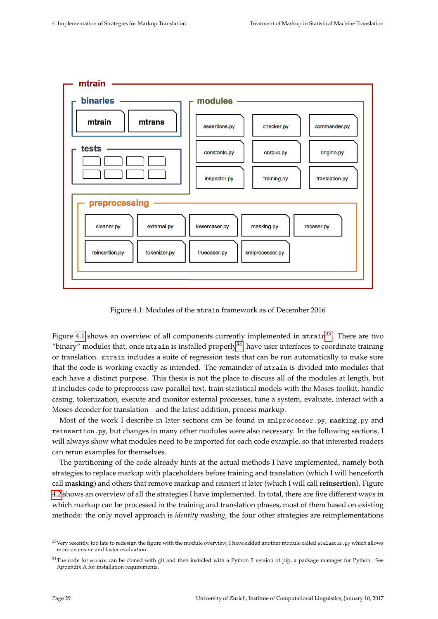<span id="page-35-0"></span>

Figure 4.1: Modules of the mtrain framework as of December 2016

Figure [4.1](#page-35-0) shows an overview of all components currently implemented in  $mtran^{33}$  $mtran^{33}$  $mtran^{33}$ . There are two "binary" modules that, once  $m$ train is installed properly<sup>[34](#page-35-2)</sup>, have user interfaces to coordinate training or translation. mtrain includes a suite of regression tests that can be run automatically to make sure that the code is working exactly as intended. The remainder of mtrain is divided into modules that each have a distinct purpose. This thesis is not the place to discuss all of the modules at length, but it includes code to preprocess raw parallel text, train statistical models with the Moses toolkit, handle casing, tokenization, execute and monitor external processes, tune a system, evaluate, interact with a Moses decoder for translation – and the latest addition, process markup.

Most of the work I describe in later sections can be found in xmlprocessor.py, masking.py and reinsertion.py, but changes in many other modules were also necessary. In the following sections, I will always show what modules need to be imported for each code example, so that interested readers can rerun examples for themselves.

The partitioning of the code already hints at the actual methods I have implemented, namely both strategies to replace markup with placeholders before training and translation (which I will henceforth call **masking**) and others that remove markup and reinsert it later (which I will call **reinsertion**). Figure [4.2](#page-36-0) shows an overview of all the strategies I have implemented. In total, there are five different ways in which markup can be processed in the training and translation phases, most of them based on existing methods: the only novel approach is *identity masking*, the four other strategies are reimplementations

<span id="page-35-1"></span><sup>&</sup>lt;sup>33</sup>Very recently, too late to redesign the figure with the module overview, I have added another module called evaluator . py which allows more extensive and faster evaluation.

<span id="page-35-2"></span> $34$ The code for mtrain can be cloned with git and then installed with a Python 3 version of pip, a package manager for Python. See Appendix A for installation requirements.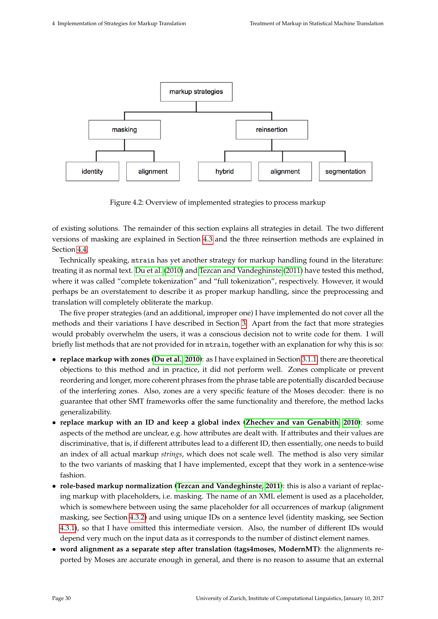

Figure 4.2: Overview of implemented strategies to process markup

of existing solutions. The remainder of this section explains all strategies in detail. The two different versions of masking are explained in Section [4.3](#page-40-0) and the three reinsertion methods are explained in Section [4.4.](#page-45-0)

Technically speaking, mtrain has yet another strategy for markup handling found in the literature: treating it as normal text. [Du et al.](#page-75-0) [\(2010\)](#page-75-0) and [Tezcan and Vandeghinste](#page-79-0) [\(2011\)](#page-79-0) have tested this method, where it was called "complete tokenization" and "full tokenization", respectively. However, it would perhaps be an overstatement to describe it as proper markup handling, since the preprocessing and translation will completely obliterate the markup.

The five proper strategies (and an additional, improper one) I have implemented do not cover all the methods and their variations I have described in Section [3.](#page-26-0) Apart from the fact that more strategies would probably overwhelm the users, it was a conscious decision not to write code for them. I will briefly list methods that are not provided for in mtrain, together with an explanation for why this is so:

- **replace markup with zones [\(Du et al., 2010\)](#page-75-0)**: as I have explained in Section [3.1.1,](#page-26-1) there are theoretical objections to this method and in practice, it did not perform well. Zones complicate or prevent reordering and longer, more coherent phrases from the phrase table are potentially discarded because of the interfering zones. Also, zones are a very specific feature of the Moses decoder: there is no guarantee that other SMT frameworks offer the same functionality and therefore, the method lacks generalizability.
- **replace markup with an ID and keep a global index [\(Zhechev and van Genabith, 2010\)](#page-79-1)**: some aspects of the method are unclear, e.g. how attributes are dealt with. If attributes and their values are discriminative, that is, if different attributes lead to a different ID, then essentially, one needs to build an index of all actual markup *strings*, which does not scale well. The method is also very similar to the two variants of masking that I have implemented, except that they work in a sentence-wise fashion.
- **role-based markup normalization [\(Tezcan and Vandeghinste, 2011\)](#page-79-0)**: this is also a variant of replacing markup with placeholders, i.e. masking. The name of an XML element is used as a placeholder, which is somewhere between using the same placeholder for all occurrences of markup (alignment masking, see Section [4.3.2\)](#page-43-0) and using unique IDs on a sentence level (identity masking, see Section [4.3.1\)](#page-41-0), so that I have omitted this intermediate version. Also, the number of different IDs would depend very much on the input data as it corresponds to the number of distinct element names.
- **word alignment as a separate step after translation (tags4moses, ModernMT)**: the alignments reported by Moses are accurate enough in general, and there is no reason to assume that an external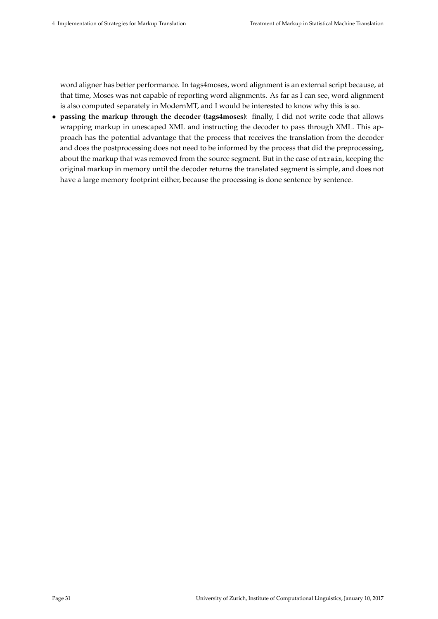word aligner has better performance. In tags4moses, word alignment is an external script because, at that time, Moses was not capable of reporting word alignments. As far as I can see, word alignment is also computed separately in ModernMT, and I would be interested to know why this is so.

• **passing the markup through the decoder (tags4moses)**: finally, I did not write code that allows wrapping markup in unescaped XML and instructing the decoder to pass through XML. This approach has the potential advantage that the process that receives the translation from the decoder and does the postprocessing does not need to be informed by the process that did the preprocessing, about the markup that was removed from the source segment. But in the case of mtrain, keeping the original markup in memory until the decoder returns the translated segment is simple, and does not have a large memory footprint either, because the processing is done sentence by sentence.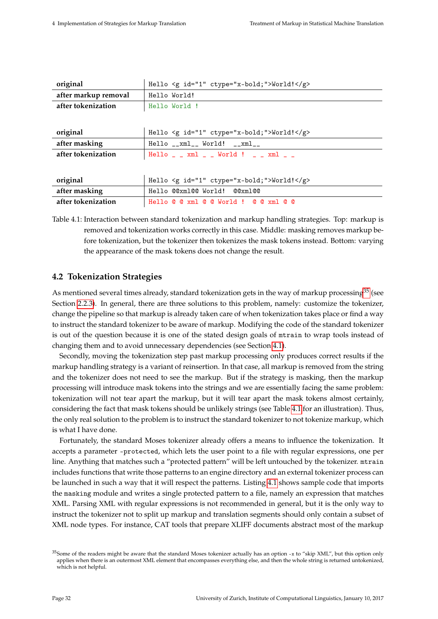<span id="page-38-1"></span>

| original             | Hello <g ctype="x-bold;" id="1">World!</g>                        |
|----------------------|-------------------------------------------------------------------|
| after markup removal | Hello World!                                                      |
| after tokenization   | Hello World !                                                     |
|                      |                                                                   |
| original             | Hello $\leq g$ id="1" ctype="x-bold;">World! $\leq/g$ >           |
| after masking        | $Hello _ _xml _ _$ World! $ _xml _ -$                             |
| after tokenization   | Hello $\angle$ _ xml $\angle$ _ World ! $\angle$ _ xml $\angle$ _ |
|                      |                                                                   |
| original             | Hello $\leq g$ id="1" ctype="x-bold;">World! $\leq/g$ >           |
| after masking        | Hello @@xml@@ World! @@xml@@                                      |
| after tokenization   | Hello @ @ xml @ @ World ! @ @ xml @ @                             |

Table 4.1: Interaction between standard tokenization and markup handling strategies. Top: markup is removed and tokenization works correctly in this case. Middle: masking removes markup before tokenization, but the tokenizer then tokenizes the mask tokens instead. Bottom: varying the appearance of the mask tokens does not change the result.

# **4.2 Tokenization Strategies**

As mentioned several times already, standard tokenization gets in the way of markup processing<sup>[35](#page-38-0)</sup> (see Section [2.2.3\)](#page-21-0). In general, there are three solutions to this problem, namely: customize the tokenizer, change the pipeline so that markup is already taken care of when tokenization takes place or find a way to instruct the standard tokenizer to be aware of markup. Modifying the code of the standard tokenizer is out of the question because it is one of the stated design goals of mtrain to wrap tools instead of changing them and to avoid unnecessary dependencies (see Section [4.1\)](#page-34-0).

Secondly, moving the tokenization step past markup processing only produces correct results if the markup handling strategy is a variant of reinsertion. In that case, all markup is removed from the string and the tokenizer does not need to see the markup. But if the strategy is masking, then the markup processing will introduce mask tokens into the strings and we are essentially facing the same problem: tokenization will not tear apart the markup, but it will tear apart the mask tokens almost certainly, considering the fact that mask tokens should be unlikely strings (see Table [4.1](#page-38-1) for an illustration). Thus, the only real solution to the problem is to instruct the standard tokenizer to not tokenize markup, which is what I have done.

Fortunately, the standard Moses tokenizer already offers a means to influence the tokenization. It accepts a parameter -protected, which lets the user point to a file with regular expressions, one per line. Anything that matches such a "protected pattern" will be left untouched by the tokenizer. mtrain includes functions that write those patterns to an engine directory and an external tokenizer process can be launched in such a way that it will respect the patterns. Listing [4.1](#page-39-0) shows sample code that imports the masking module and writes a single protected pattern to a file, namely an expression that matches XML. Parsing XML with regular expressions is not recommended in general, but it is the only way to instruct the tokenizer not to split up markup and translation segments should only contain a subset of XML node types. For instance, CAT tools that prepare XLIFF documents abstract most of the markup

<span id="page-38-0"></span> $35$ Some of the readers might be aware that the standard Moses tokenizer actually has an option -x to "skip XML", but this option only applies when there is an outermost XML element that encompasses everything else, and then the whole string is returned untokenized, which is not helpful.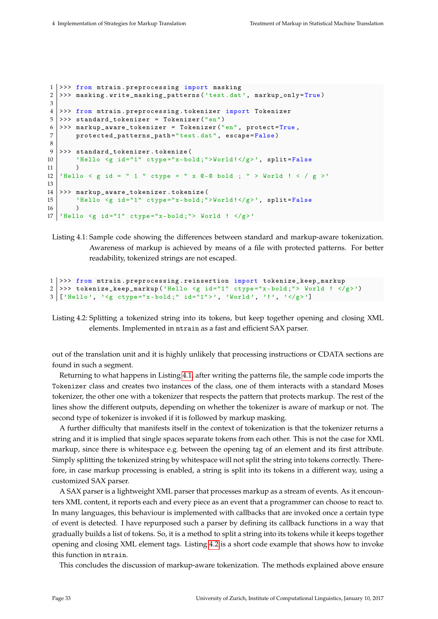```
1 >>> from mtrain. preprocessing import masking
2 >>> masking.write_masking_patterns ('test.dat', markup_only=True)
3
4 >>> from mtrain . preprocessing . tokenizer import Tokenizer
5 >>> standard_tokenizer = Tokenizer ("en")
6 >>> markup_aware_tokenizer = Tokenizer ("en", protect=True,
7 protected_patterns_path =" test . dat", escape = False )
8
9 >>> standard_tokenizer.tokenize(
10 \vert 'Hello \langle g \rangle id="1" ctype="x-bold; ">World!\langle g \rangle', split=False
11 \quad \rightarrow \quad12 | 'Hello < g id = " 1 " ctype = " x @-@ bold ; " > World ! < / g >'
13
14 >>> markup_aware_tokenizer . tokenize (
15 | 'Hello \leq g id="1" ctype="x-bold;">World!\leq/g>', split=False
16 )
17 | 'Hello \leq g id="1" ctype="x-bold;"> World ! \leq/g>'
```
Listing 4.1: Sample code showing the differences between standard and markup-aware tokenization. Awareness of markup is achieved by means of a file with protected patterns. For better readability, tokenized strings are not escaped.

```
1 >>> from mtrain . preprocessing . reinsertion import tokenize_keep_markup
2 >>> tokenize_keep_markup ('Hello <g id="1" ctype="x-bold;"> World ! </g>')
3 \lceil 'Hello', '<g ctype="x-bold;" id="1">', 'World', '!', '</g>']
```
Listing 4.2: Splitting a tokenized string into its tokens, but keep together opening and closing XML elements. Implemented in mtrain as a fast and efficient SAX parser.

out of the translation unit and it is highly unlikely that processing instructions or CDATA sections are found in such a segment.

Returning to what happens in Listing [4.1,](#page-39-0) after writing the patterns file, the sample code imports the Tokenizer class and creates two instances of the class, one of them interacts with a standard Moses tokenizer, the other one with a tokenizer that respects the pattern that protects markup. The rest of the lines show the different outputs, depending on whether the tokenizer is aware of markup or not. The second type of tokenizer is invoked if it is followed by markup masking.

A further difficulty that manifests itself in the context of tokenization is that the tokenizer returns a string and it is implied that single spaces separate tokens from each other. This is not the case for XML markup, since there is whitespace e.g. between the opening tag of an element and its first attribute. Simply splitting the tokenized string by whitespace will not split the string into tokens correctly. Therefore, in case markup processing is enabled, a string is split into its tokens in a different way, using a customized SAX parser.

A SAX parser is a lightweight XML parser that processes markup as a stream of events. As it encounters XML content, it reports each and every piece as an event that a programmer can choose to react to. In many languages, this behaviour is implemented with callbacks that are invoked once a certain type of event is detected. I have repurposed such a parser by defining its callback functions in a way that gradually builds a list of tokens. So, it is a method to split a string into its tokens while it keeps together opening and closing XML element tags. Listing [4.2](#page-39-1) is a short code example that shows how to invoke this function in mtrain.

This concludes the discussion of markup-aware tokenization. The methods explained above ensure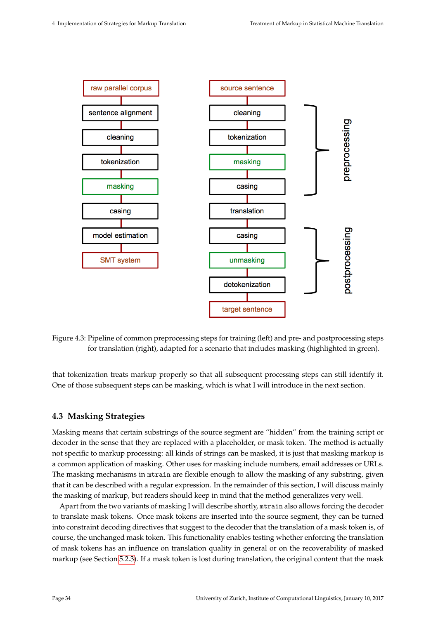

Figure 4.3: Pipeline of common preprocessing steps for training (left) and pre- and postprocessing steps for translation (right), adapted for a scenario that includes masking (highlighted in green).

that tokenization treats markup properly so that all subsequent processing steps can still identify it. One of those subsequent steps can be masking, which is what I will introduce in the next section.

# <span id="page-40-0"></span>**4.3 Masking Strategies**

Masking means that certain substrings of the source segment are "hidden" from the training script or decoder in the sense that they are replaced with a placeholder, or mask token. The method is actually not specific to markup processing: all kinds of strings can be masked, it is just that masking markup is a common application of masking. Other uses for masking include numbers, email addresses or URLs. The masking mechanisms in mtrain are flexible enough to allow the masking of any substring, given that it can be described with a regular expression. In the remainder of this section, I will discuss mainly the masking of markup, but readers should keep in mind that the method generalizes very well.

Apart from the two variants of masking I will describe shortly, mtrain also allows forcing the decoder to translate mask tokens. Once mask tokens are inserted into the source segment, they can be turned into constraint decoding directives that suggest to the decoder that the translation of a mask token is, of course, the unchanged mask token. This functionality enables testing whether enforcing the translation of mask tokens has an influence on translation quality in general or on the recoverability of masked markup (see Section [5.2.3\)](#page-55-0). If a mask token is lost during translation, the original content that the mask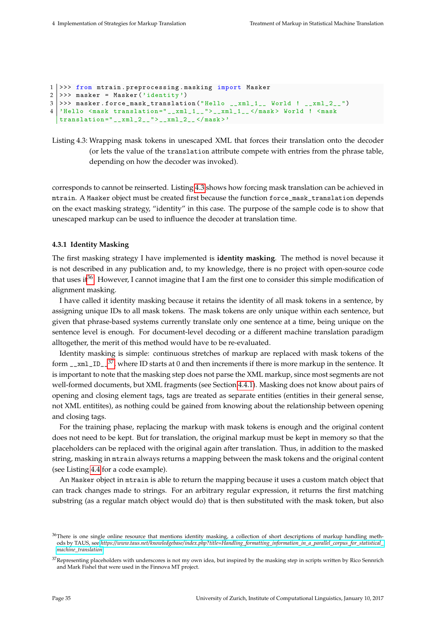```
1 >>> from mtrain.preprocessing.masking import Masker
2 >>> masker = Masker ('identity')
3 >>> masker.force_mask_translation ("Hello __xml_1__ World ! __xml_2__ ")
4 | 'Hello <mask translation=" __xml_1__" > __xml_1__ </mask > World ! <mask
  translation = " _\_xml _2 _\_ " > _\_xml _2 _ - </mask>'
```
Listing 4.3: Wrapping mask tokens in unescaped XML that forces their translation onto the decoder (or lets the value of the translation attribute compete with entries from the phrase table, depending on how the decoder was invoked).

corresponds to cannot be reinserted. Listing [4.3](#page-41-1) shows how forcing mask translation can be achieved in mtrain. A Masker object must be created first because the function force\_mask\_translation depends on the exact masking strategy, "identity" in this case. The purpose of the sample code is to show that unescaped markup can be used to influence the decoder at translation time.

### <span id="page-41-0"></span>**4.3.1 Identity Masking**

The first masking strategy I have implemented is **identity masking**. The method is novel because it is not described in any publication and, to my knowledge, there is no project with open-source code that uses it<sup>[36](#page-41-2)</sup>. However, I cannot imagine that I am the first one to consider this simple modification of alignment masking.

I have called it identity masking because it retains the identity of all mask tokens in a sentence, by assigning unique IDs to all mask tokens. The mask tokens are only unique within each sentence, but given that phrase-based systems currently translate only one sentence at a time, being unique on the sentence level is enough. For document-level decoding or a different machine translation paradigm alltogether, the merit of this method would have to be re-evaluated.

Identity masking is simple: continuous stretches of markup are replaced with mask tokens of the form  $\text{r\_xml\_ID\_}^{37}$  $\text{r\_xml\_ID\_}^{37}$  $\text{r\_xml\_ID\_}^{37}$ , where ID starts at 0 and then increments if there is more markup in the sentence. It is important to note that the masking step does not parse the XML markup, since most segments are not well-formed documents, but XML fragments (see Section [4.4.1\)](#page-46-0). Masking does not know about pairs of opening and closing element tags, tags are treated as separate entities (entities in their general sense, not XML entitites), as nothing could be gained from knowing about the relationship between opening and closing tags.

For the training phase, replacing the markup with mask tokens is enough and the original content does not need to be kept. But for translation, the original markup must be kept in memory so that the placeholders can be replaced with the original again after translation. Thus, in addition to the masked string, masking in mtrain always returns a mapping between the mask tokens and the original content (see Listing [4.4](#page-42-0) for a code example).

An Masker object in mtrain is able to return the mapping because it uses a custom match object that can track changes made to strings. For an arbitrary regular expression, it returns the first matching substring (as a regular match object would do) that is then substituted with the mask token, but also

<span id="page-41-2"></span> $36$ There is one single online resource that mentions identity masking, a collection of short descriptions of markup handling methods by TAUS, see *[https://www.taus.net/knowledgebase/index.php?title=Handling\\_formatting\\_information\\_in\\_a\\_parallel\\_corpus\\_for\\_statistical\\_](https://www.taus.net/knowledgebase/index.php?title=Handling_formatting_information_in_a_parallel_corpus_for_statistical_machine_translation) [machine\\_translation](https://www.taus.net/knowledgebase/index.php?title=Handling_formatting_information_in_a_parallel_corpus_for_statistical_machine_translation)*.

<span id="page-41-3"></span> $37$ Representing placeholders with underscores is not my own idea, but inspired by the masking step in scripts written by Rico Sennrich and Mark Fishel that were used in the Finnova MT project.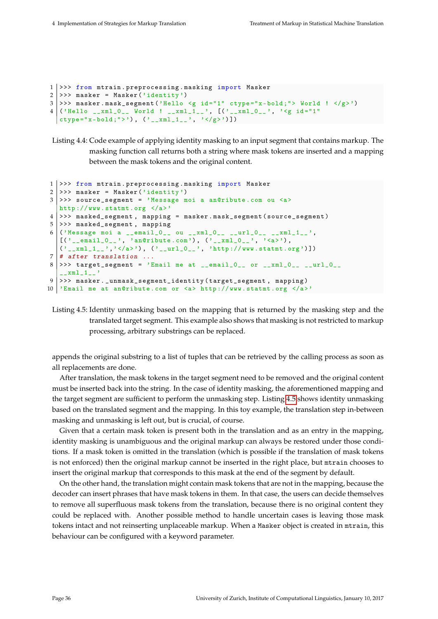```
1 >>> from mtrain.preprocessing.masking import Masker
2 >>> masker = Masker ('identity')
3 >>> masker.mask_segment ('Hello <g id="1" ctype="x-bold;"> World ! </g>')
4 \mid ('Hello __xml_O__ World ! __xml_1__', [('__xml_O__', '<g id="1"
  ctype="x-bold;">'), ('_{--}xml_{-1-}', '</g>')])
```
Listing 4.4: Code example of applying identity masking to an input segment that contains markup. The masking function call returns both a string where mask tokens are inserted and a mapping between the mask tokens and the original content.

```
1 >>> from mtrain . preprocessing . masking import Masker
2 >>> masker = Masker ('identity')
3 >>> source_segment = 'Message moi a an@ribute.com ou <a>
  http :// www. statmt .org </a>'
4 >>> masked_segment , mapping = masker . mask_segment ( source_segment )
5 >> masked_segment, mapping
6 ('Message moi a __email_0__ ou __xml_0__ __url_0__ __xml_1__',
   [(' ]_email_0 ]_ ', 'an@ribute.com'), (' ]_xml_0 ]_ ', '<a>'),
   ('_{\_xml\_1\_}, '<<a>'), ('_{\_url\_0\_}, 'http://www.statmt.org')])7 \mid # after translation ...
8 >>> target_segment = 'Email me at __email_0__ or __xml_0__ __url_0__
   x \text{m}<sup>1</sup>
9 >>> masker._unmask_segment_identity (target_segment, mapping)
10 'Email me at an@ribute .com or <a> http :// www. statmt . org </a>'
```
Listing 4.5: Identity unmasking based on the mapping that is returned by the masking step and the translated target segment. This example also shows that masking is not restricted to markup processing, arbitrary substrings can be replaced.

appends the original substring to a list of tuples that can be retrieved by the calling process as soon as all replacements are done.

After translation, the mask tokens in the target segment need to be removed and the original content must be inserted back into the string. In the case of identity masking, the aforementioned mapping and the target segment are sufficient to perform the unmasking step. Listing [4.5](#page-42-1) shows identity unmasking based on the translated segment and the mapping. In this toy example, the translation step in-between masking and unmasking is left out, but is crucial, of course.

Given that a certain mask token is present both in the translation and as an entry in the mapping, identity masking is unambiguous and the original markup can always be restored under those conditions. If a mask token is omitted in the translation (which is possible if the translation of mask tokens is not enforced) then the original markup cannot be inserted in the right place, but mtrain chooses to insert the original markup that corresponds to this mask at the end of the segment by default.

On the other hand, the translation might contain mask tokens that are not in the mapping, because the decoder can insert phrases that have mask tokens in them. In that case, the users can decide themselves to remove all superfluous mask tokens from the translation, because there is no original content they could be replaced with. Another possible method to handle uncertain cases is leaving those mask tokens intact and not reinserting unplaceable markup. When a Masker object is created in mtrain, this behaviour can be configured with a keyword parameter.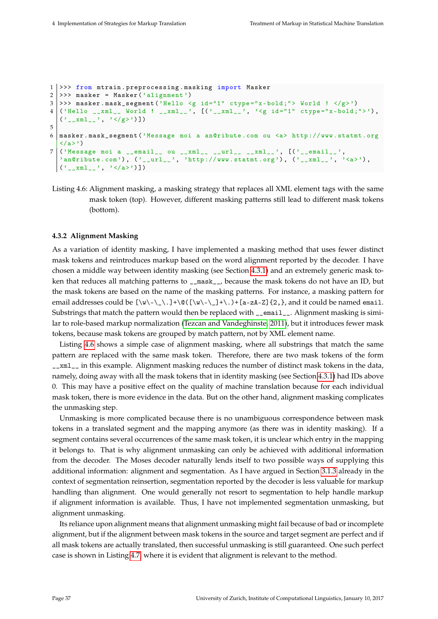```
1 >>> from mtrain.preprocessing.masking import Masker
2 >>> masker = Masker ('alignment')
3 >>> masker.mask_segment ('Hello <g id="1" ctype="x-bold;"> World ! </g>')
4 ('Hello __xml__ World ! __xml__ ', [( '__xml__ ', '<g id ="1" ctype ="x- bold ;" > ') ,
  ('_{\_xml\_}', '<<g>')])
5
6 masker . mask_segment ('Message moi a an@ribute .com ou <a> http :// www. statmt . org
  \langle/a>')
7 ('Message moi a __email__ ou __xml__ __url__ __xml__', [('__email__',
  \overline{\text{Y}} an@ribute.com'), ('__url__', 'http://www.statmt.org'), ('__xml__', '<a>'),
  (' __xml__', ' </a>') ])
```
Listing 4.6: Alignment masking, a masking strategy that replaces all XML element tags with the same mask token (top). However, different masking patterns still lead to different mask tokens (bottom).

### <span id="page-43-0"></span>**4.3.2 Alignment Masking**

As a variation of identity masking, I have implemented a masking method that uses fewer distinct mask tokens and reintroduces markup based on the word alignment reported by the decoder. I have chosen a middle way between identity masking (see Section [4.3.1\)](#page-41-0) and an extremely generic mask token that reduces all matching patterns to \_\_mask\_\_, because the mask tokens do not have an ID, but the mask tokens are based on the name of the masking patterns. For instance, a masking pattern for email addresses could be  $[\wedge \wedge \wedge \wedge \wedge] + \otimes ([\wedge \wedge \wedge \vee)] + \wedge \wedge \wedge = zA - z$  {2, }, and it could be named email. Substrings that match the pattern would then be replaced with \_\_email\_\_. Alignment masking is similar to role-based markup normalization [\(Tezcan and Vandeghinste, 2011\)](#page-79-0), but it introduces fewer mask tokens, because mask tokens are grouped by match pattern, not by XML element name.

Listing [4.6](#page-43-1) shows a simple case of alignment masking, where all substrings that match the same pattern are replaced with the same mask token. Therefore, there are two mask tokens of the form \_\_xml\_\_ in this example. Alignment masking reduces the number of distinct mask tokens in the data, namely, doing away with all the mask tokens that in identity masking (see Section [4.3.1\)](#page-41-0) had IDs above 0. This may have a positive effect on the quality of machine translation because for each individual mask token, there is more evidence in the data. But on the other hand, alignment masking complicates the unmasking step.

Unmasking is more complicated because there is no unambiguous correspondence between mask tokens in a translated segment and the mapping anymore (as there was in identity masking). If a segment contains several occurrences of the same mask token, it is unclear which entry in the mapping it belongs to. That is why alignment unmasking can only be achieved with additional information from the decoder. The Moses decoder naturally lends itself to two possible ways of supplying this additional information: alignment and segmentation. As I have argued in Section [3.1.3](#page-28-0) already in the context of segmentation reinsertion, segmentation reported by the decoder is less valuable for markup handling than alignment. One would generally not resort to segmentation to help handle markup if alignment information is available. Thus, I have not implemented segmentation unmasking, but alignment unmasking.

Its reliance upon alignment means that alignment unmasking might fail because of bad or incomplete alignment, but if the alignment between mask tokens in the source and target segment are perfect and if all mask tokens are actually translated, then successful unmasking is still guaranteed. One such perfect case is shown in Listing [4.7,](#page-44-0) where it is evident that alignment is relevant to the method.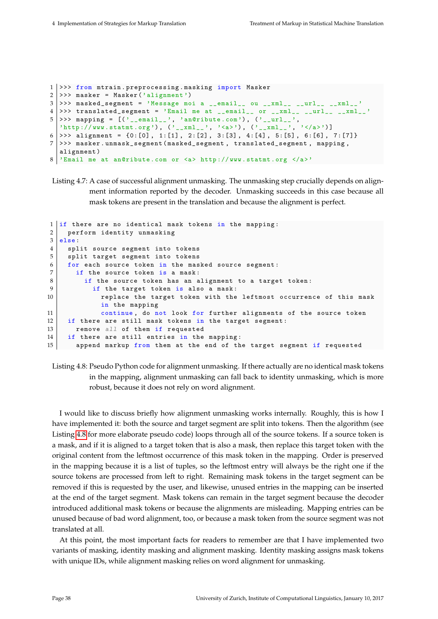```
1 >>> from mtrain.preprocessing.masking import Masker
2 >>> masker = Masker ('alignment')
3 >>> masked_segment = 'Message moi a __email__ ou __xml__ __url__ __xml__'
4 | >> translated_segment = 'Email me at __email__ or __xml__ __url__ __xml__ '
5 \rightarrow > mapping = [('__email__', 'an@ribute.com'), ('__url__',
  \sum_{i=1}^{n} \frac{1}{i} \sum_{j=1}^{n} \left[ \frac{1}{i} \sum_{j=1}^{n} \frac{1}{j} \right] \left( \sum_{i=1}^{n} \frac{1}{i} \right] \left( \sum_{i=1}^{n} \frac{1}{i} \right)6 >>> alignment = {0:[0], 1:[1], 2:[2], 3:[3], 4:[4], 5:[5], 6:[6], 7:[7] }7 >>> masker . unmask_segment ( masked_segment , translated_segment , mapping ,
  alignment )
8 'Email me at an@ribute .com or <a> http :// www. statmt . org </a>'
```
Listing 4.7: A case of successful alignment unmasking. The unmasking step crucially depends on alignment information reported by the decoder. Unmasking succeeds in this case because all mask tokens are present in the translation and because the alignment is perfect.

```
1 \nvert if there are no identical mask tokens in the mapping:
2 perform identity unmasking
3 else:
4 split source segment into tokens
5 split target segment into tokens
6 for each source token in the masked source segment:
7 if the source token is a mask:
8 if the source token has an alignment to a target token:
9 if the target token is also a mask:
10 10 replace the target token with the leftmost occurrence of this mask
            in the mapping
11 continue, do not look for further alignments of the source token
12 if there are still mask tokens in the target segment:
13 remove all of them if requested
14 if there are still entries in the mapping:
15 append markup from them at the end of the target segment if requested
```
Listing 4.8: Pseudo Python code for alignment unmasking. If there actually are no identical mask tokens in the mapping, alignment unmasking can fall back to identity unmasking, which is more robust, because it does not rely on word alignment.

I would like to discuss briefly how alignment unmasking works internally. Roughly, this is how I have implemented it: both the source and target segment are split into tokens. Then the algorithm (see Listing [4.8](#page-44-1) for more elaborate pseudo code) loops through all of the source tokens. If a source token is a mask, and if it is aligned to a target token that is also a mask, then replace this target token with the original content from the leftmost occurrence of this mask token in the mapping. Order is preserved in the mapping because it is a list of tuples, so the leftmost entry will always be the right one if the source tokens are processed from left to right. Remaining mask tokens in the target segment can be removed if this is requested by the user, and likewise, unused entries in the mapping can be inserted at the end of the target segment. Mask tokens can remain in the target segment because the decoder introduced additional mask tokens or because the alignments are misleading. Mapping entries can be unused because of bad word alignment, too, or because a mask token from the source segment was not translated at all.

At this point, the most important facts for readers to remember are that I have implemented two variants of masking, identity masking and alignment masking. Identity masking assigns mask tokens with unique IDs, while alignment masking relies on word alignment for unmasking.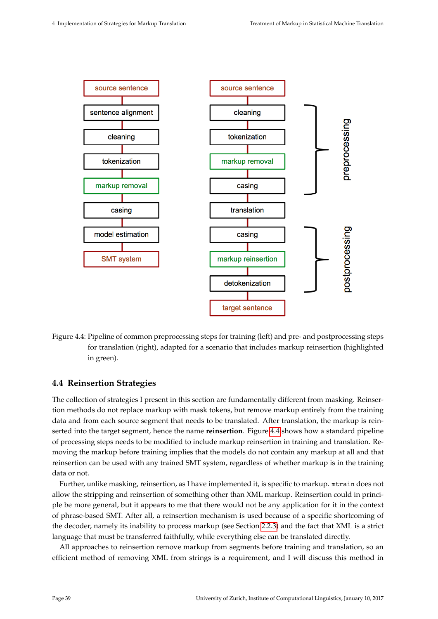<span id="page-45-1"></span>

Figure 4.4: Pipeline of common preprocessing steps for training (left) and pre- and postprocessing steps for translation (right), adapted for a scenario that includes markup reinsertion (highlighted in green).

### <span id="page-45-0"></span>**4.4 Reinsertion Strategies**

The collection of strategies I present in this section are fundamentally different from masking. Reinsertion methods do not replace markup with mask tokens, but remove markup entirely from the training data and from each source segment that needs to be translated. After translation, the markup is reinserted into the target segment, hence the name **reinsertion**. Figure [4.4](#page-45-1) shows how a standard pipeline of processing steps needs to be modified to include markup reinsertion in training and translation. Removing the markup before training implies that the models do not contain any markup at all and that reinsertion can be used with any trained SMT system, regardless of whether markup is in the training data or not.

Further, unlike masking, reinsertion, as I have implemented it, is specific to markup. mtrain does not allow the stripping and reinsertion of something other than XML markup. Reinsertion could in principle be more general, but it appears to me that there would not be any application for it in the context of phrase-based SMT. After all, a reinsertion mechanism is used because of a specific shortcoming of the decoder, namely its inability to process markup (see Section [2.2.3\)](#page-21-0) and the fact that XML is a strict language that must be transferred faithfully, while everything else can be translated directly.

All approaches to reinsertion remove markup from segments before training and translation, so an efficient method of removing XML from strings is a requirement, and I will discuss this method in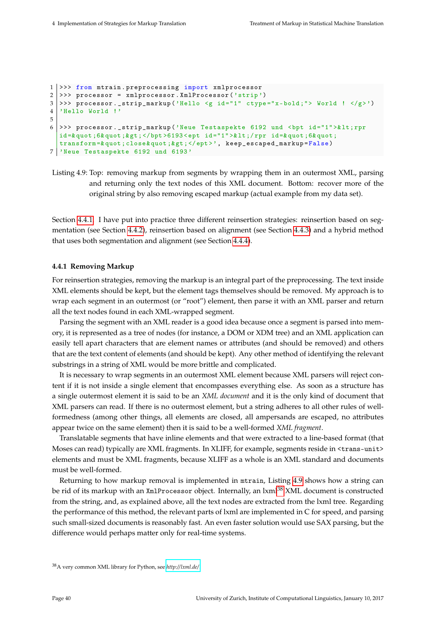```
1 >>> from mtrain.preprocessing import xmlprocessor
2 >>> processor = xmlprocessor. XmlProcessor ('strip')
3 >> processor._strip_markup('Hello <g id="1" ctype="x-bold;"> World ! </g>')
4 'Hello World !'
5
6 >>> processor._strip_markup ('Neue Testaspekte 6192 und <bpt id="1">&lt;rpr
  id =& quot ;6& quot ;& gt ; </bpt >6193 < ept id ="1" >& lt ;/ rpr id =& quot ;6& quot ;
  transform =& quot ; close & quot ;& gt ; </ept >', keep_escaped_markup = False )
7 'Neue Testaspekte 6192 und 6193 '
```

```
Listing 4.9: Top: removing markup from segments by wrapping them in an outermost XML, parsing
          and returning only the text nodes of this XML document. Bottom: recover more of the
          original string by also removing escaped markup (actual example from my data set).
```
Section [4.4.1.](#page-46-0) I have put into practice three different reinsertion strategies: reinsertion based on segmentation (see Section [4.4.2\)](#page-47-0), reinsertion based on alignment (see Section [4.4.3\)](#page-49-0) and a hybrid method that uses both segmentation and alignment (see Section [4.4.4\)](#page-49-1).

#### <span id="page-46-0"></span>**4.4.1 Removing Markup**

For reinsertion strategies, removing the markup is an integral part of the preprocessing. The text inside XML elements should be kept, but the element tags themselves should be removed. My approach is to wrap each segment in an outermost (or "root") element, then parse it with an XML parser and return all the text nodes found in each XML-wrapped segment.

Parsing the segment with an XML reader is a good idea because once a segment is parsed into memory, it is represented as a tree of nodes (for instance, a DOM or XDM tree) and an XML application can easily tell apart characters that are element names or attributes (and should be removed) and others that are the text content of elements (and should be kept). Any other method of identifying the relevant substrings in a string of XML would be more brittle and complicated.

It is necessary to wrap segments in an outermost XML element because XML parsers will reject content if it is not inside a single element that encompasses everything else. As soon as a structure has a single outermost element it is said to be an *XML document* and it is the only kind of document that XML parsers can read. If there is no outermost element, but a string adheres to all other rules of wellformedness (among other things, all elements are closed, all ampersands are escaped, no attributes appear twice on the same element) then it is said to be a well-formed *XML fragment*.

Translatable segments that have inline elements and that were extracted to a line-based format (that Moses can read) typically are XML fragments. In XLIFF, for example, segments reside in <trans-unit> elements and must be XML fragments, because XLIFF as a whole is an XML standard and documents must be well-formed.

Returning to how markup removal is implemented in mtrain, Listing [4.9](#page-46-1) shows how a string can be rid of its markup with an XmlProcessor object. Internally, an lxml<sup>[38](#page-46-2)</sup> XML document is constructed from the string, and, as explained above, all the text nodes are extracted from the lxml tree. Regarding the performance of this method, the relevant parts of lxml are implemented in C for speed, and parsing such small-sized documents is reasonably fast. An even faster solution would use SAX parsing, but the difference would perhaps matter only for real-time systems.

<span id="page-46-2"></span><sup>38</sup>A very common XML library for Python, see *<http://lxml.de/>*.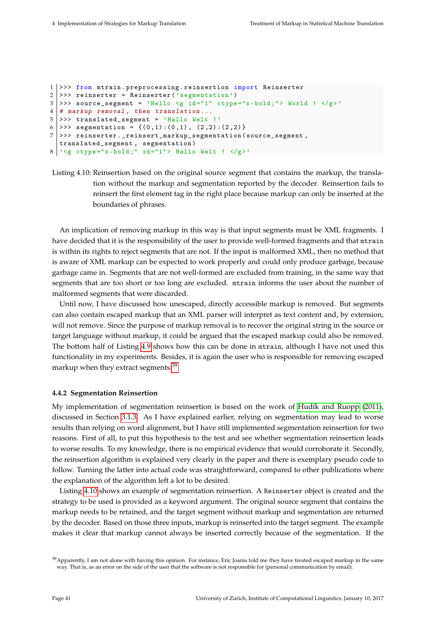```
1 >>> from mtrain . preprocessing . reinsertion import Reinserter
2 >>> reinserter = Reinserter ('segmentation')
3 >>> source_segment = 'Hello <g id="1" ctype="x-bold;"> World ! </g>'
4 \mid # markup removal, then translation...
5 >>> translated_segment = 'Hallo Welt !'
6 >>> segmentation = {(0,1) :(0,1), (2,2) :(2,2)}
7 >>> reinserter . _reinsert_markup_segmentation ( source_segment ,
  translated_segment , segmentation )
8 \mid \text{?g cype="x-bold; " id="1" > Hallo Welt ! <math>\langle</math>/g>')
```

```
Listing 4.10: Reinsertion based on the original source segment that contains the markup, the transla-
            tion without the markup and segmentation reported by the decoder. Reinsertion fails to
            reinsert the first element tag in the right place because markup can only be inserted at the
            boundaries of phrases.
```
An implication of removing markup in this way is that input segments must be XML fragments. I have decided that it is the responsibility of the user to provide well-formed fragments and that mtrain is within its rights to reject segments that are not. If the input is malformed XML, then no method that is aware of XML markup can be expected to work properly and could only produce garbage, because garbage came in. Segments that are not well-formed are excluded from training, in the same way that segments that are too short or too long are excluded. mtrain informs the user about the number of malformed segments that were discarded.

Until now, I have discussed how unescaped, directly accessible markup is removed. But segments can also contain escaped markup that an XML parser will interpret as text content and, by extension, will not remove. Since the purpose of markup removal is to recover the original string in the source or target language without markup, it could be argued that the escaped markup could also be removed. The bottom half of Listing [4.9](#page-46-1) shows how this can be done in mtrain, although I have not used this functionality in my experiments. Besides, it is again the user who is responsible for removing escaped markup when they extract segments.<sup>[39](#page-47-1)</sup>

### <span id="page-47-0"></span>**4.4.2 Segmentation Reinsertion**

My implementation of segmentation reinsertion is based on the work of [Hudík and Ruopp](#page-76-0) [\(2011\)](#page-76-0), discussed in Section [3.1.3.](#page-28-0) As I have explained earlier, relying on segmentation may lead to worse results than relying on word alignment, but I have still implemented segmentation reinsertion for two reasons. First of all, to put this hypothesis to the test and see whether segmentation reinsertion leads to worse results. To my knowledge, there is no empirical evidence that would corroborate it. Secondly, the reinsertion algorithm is explained very clearly in the paper and there is exemplary pseudo code to follow. Turning the latter into actual code was straightforward, compared to other publications where the explanation of the algorithm left a lot to be desired.

Listing [4.10](#page-47-2) shows an example of segmentation reinsertion. A Reinserter object is created and the strategy to be used is provided as a keyword argument. The original source segment that contains the markup needs to be retained, and the target segment without markup and segmentation are returned by the decoder. Based on those three inputs, markup is reinserted into the target segment. The example makes it clear that markup cannot always be inserted correctly because of the segmentation. If the

<span id="page-47-1"></span> $39$  Apparently, I am not alone with having this opinion. For instance, Eric Joanis told me they have treated escaped markup in the same way. That is, as an error on the side of the user that the software is not responsible for (personal communication by email).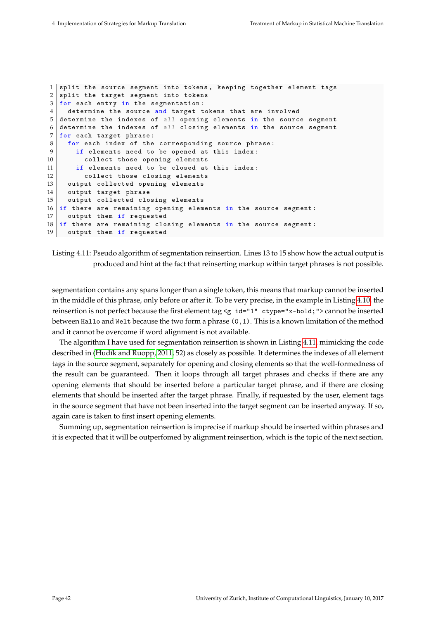```
1 split the source segment into tokens, keeping together element tags
2 split the target segment into tokens
3 for each entry in the segmentation:
4 determine the source and target tokens that are involved
5 determine the indexes of all opening elements in the source segment
6 determine the indexes of all closing elements in the source segment
7 for each target phrase:
8 for each index of the corresponding source phrase:
9 if elements need to be opened at this index:
10 collect those opening elements
11 if elements need to be closed at this index:
12 collect those closing elements
13 output collected opening elements
14 output target phrase
15 output collected closing elements
16 if there are remaining opening elements in the source segment :
17 output them if requested
18 if there are remaining closing elements in the source segment:
19 output them if requested
```

```
Listing 4.11: Pseudo algorithm of segmentation reinsertion. Lines 13 to 15 show how the actual output is
            produced and hint at the fact that reinserting markup within target phrases is not possible.
```
segmentation contains any spans longer than a single token, this means that markup cannot be inserted in the middle of this phrase, only before or after it. To be very precise, in the example in Listing [4.10,](#page-47-2) the reinsertion is not perfect because the first element tag <g id="1" ctype="x-bold;"> cannot be inserted between Hallo and Welt because the two form a phrase (0,1). This is a known limitation of the method and it cannot be overcome if word alignment is not available.

The algorithm I have used for segmentation reinsertion is shown in Listing [4.11,](#page-48-0) mimicking the code described in [\(Hudík and Ruopp, 2011,](#page-76-0) 52) as closely as possible. It determines the indexes of all element tags in the source segment, separately for opening and closing elements so that the well-formedness of the result can be guaranteed. Then it loops through all target phrases and checks if there are any opening elements that should be inserted before a particular target phrase, and if there are closing elements that should be inserted after the target phrase. Finally, if requested by the user, element tags in the source segment that have not been inserted into the target segment can be inserted anyway. If so, again care is taken to first insert opening elements.

Summing up, segmentation reinsertion is imprecise if markup should be inserted within phrases and it is expected that it will be outperfomed by alignment reinsertion, which is the topic of the next section.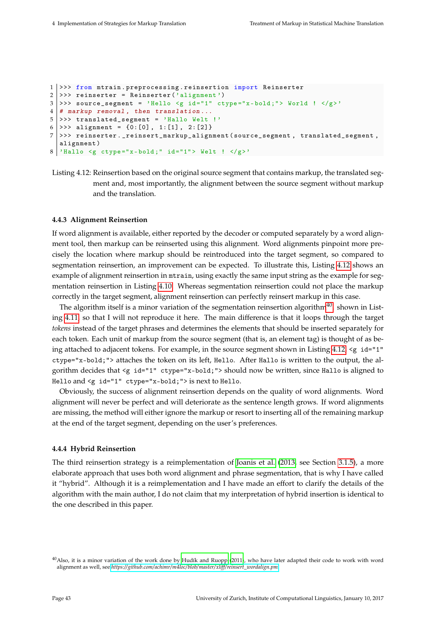```
1 >>> from mtrain . preprocessing . reinsertion import Reinserter
2 >>> reinserter = Reinserter ('alignment')
3 >>> source_segment = 'Hello <g id="1" ctype="x-bold;"> World ! </g>'
4 \mid # markup removal, then translation...
5 >>> translated_segment = 'Hallo Welt !'
6 >>> alignment = \{0: [0], 1: [1], 2: [2]\}7 >>> reinserter . _reinsert_markup_alignment ( source_segment , translated_segment ,
  alignment )
8 | 'Hallo \leq g ctype="x-bold;" id="1"> Welt ! \leq/g>'
```

```
Listing 4.12: Reinsertion based on the original source segment that contains markup, the translated seg-
            ment and, most importantly, the alignment between the source segment without markup
            and the translation.
```
### <span id="page-49-0"></span>**4.4.3 Alignment Reinsertion**

If word alignment is available, either reported by the decoder or computed separately by a word alignment tool, then markup can be reinserted using this alignment. Word alignments pinpoint more precisely the location where markup should be reintroduced into the target segment, so compared to segmentation reinsertion, an improvement can be expected. To illustrate this, Listing [4.12](#page-49-2) shows an example of alignment reinsertion in mtrain, using exactly the same input string as the example for segmentation reinsertion in Listing [4.10.](#page-47-2) Whereas segmentation reinsertion could not place the markup correctly in the target segment, alignment reinsertion can perfectly reinsert markup in this case.

The algorithm itself is a minor variation of the segmentation reinsertion algorithm $40$ . shown in Listing [4.11,](#page-48-0) so that I will not reproduce it here. The main difference is that it loops through the target *tokens* instead of the target phrases and determines the elements that should be inserted separately for each token. Each unit of markup from the source segment (that is, an element tag) is thought of as being attached to adjacent tokens. For example, in the source segment shown in Listing [4.12,](#page-49-2) <g id="1" ctype="x-bold;"> attaches the token on its left, Hello. After Hallo is written to the output, the algorithm decides that <g id="1" ctype="x-bold;"> should now be written, since Hallo is aligned to Hello and <g id="1" ctype="x-bold;"> is next to Hello.

Obviously, the success of alignment reinsertion depends on the quality of word alignments. Word alignment will never be perfect and will deteriorate as the sentence length grows. If word alignments are missing, the method will either ignore the markup or resort to inserting all of the remaining markup at the end of the target segment, depending on the user's preferences.

#### <span id="page-49-1"></span>**4.4.4 Hybrid Reinsertion**

The third reinsertion strategy is a reimplementation of [Joanis et al.](#page-77-0) [\(2013,](#page-77-0) see Section [3.1.5\)](#page-30-0), a more elaborate approach that uses both word alignment and phrase segmentation, that is why I have called it "hybrid". Although it is a reimplementation and I have made an effort to clarify the details of the algorithm with the main author, I do not claim that my interpretation of hybrid insertion is identical to the one described in this paper.

<span id="page-49-3"></span><sup>&</sup>lt;sup>40</sup>Also, it is a minor variation of the work done by [Hudík and Ruopp](#page-76-0) [\(2011\)](#page-76-0), who have later adapted their code to work with word alignment as well, see *[https://github.com/achimr/m4loc/blob/master/xliff/reinsert\\_wordalign.pm](https://github.com/achimr/m4loc/blob/master/xliff/reinsert_wordalign.pm)*.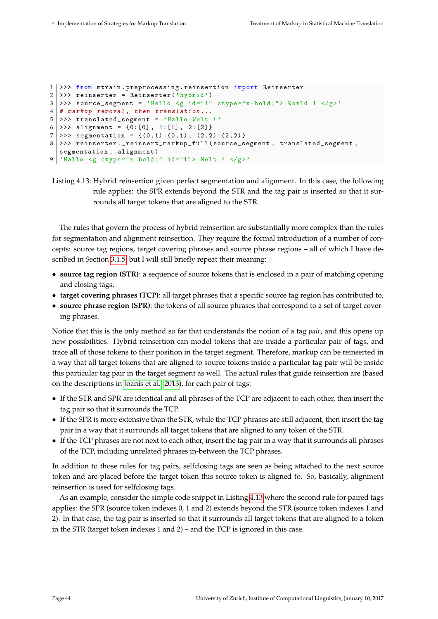```
1 >>> from mtrain.preprocessing.reinsertion import Reinserter
2 >>> reinserter = Reinserter ('hybrid')
3 >>> source_segment = 'Hello <g id="1" ctype="x-bold;"> World ! </g>'
4 \mid # markup removal, then translation...
5 >>> translated_segment = 'Hallo Welt !'
6 >>> alignment = \{0: [0], 1: [1], 2: [2]\}7 >>> segmentation = \{(0,1) : (0,1), (2,2) : (2,2) \}8 >>> reinserter . _reinsert_markup_full ( source_segment , translated_segment ,
  segmentation, alignment)
9 'Hallo <g ctype="x-bold;" id="1"> Welt ! </g>'
```

```
Listing 4.13: Hybrid reinsertion given perfect segmentation and alignment. In this case, the following
             rule applies: the SPR extends beyond the STR and the tag pair is inserted so that it sur-
             rounds all target tokens that are aligned to the STR.
```
The rules that govern the process of hybrid reinsertion are substantially more complex than the rules for segmentation and alignment reinsertion. They require the formal introduction of a number of concepts: source tag regions, target covering phrases and source phrase regions – all of which I have described in Section [3.1.5,](#page-30-0) but I will still briefly repeat their meaning:

- **source tag region (STR)**: a sequence of source tokens that is enclosed in a pair of matching opening and closing tags,
- **target covering phrases (TCP)**: all target phrases that a specific source tag region has contributed to,
- **source phrase region (SPR)**: the tokens of all source phrases that correspond to a set of target covering phrases.

Notice that this is the only method so far that understands the notion of a tag *pair*, and this opens up new possibilities. Hybrid reinsertion can model tokens that are inside a particular pair of tags, and trace all of those tokens to their position in the target segment. Therefore, markup can be reinserted in a way that all target tokens that are aligned to source tokens inside a particular tag pair will be inside this particular tag pair in the target segment as well. The actual rules that guide reinsertion are (based on the descriptions in [Joanis et al., 2013\)](#page-77-0), for each pair of tags:

- If the STR and SPR are identical and all phrases of the TCP are adjacent to each other, then insert the tag pair so that it surrounds the TCP.
- If the SPR is more extensive than the STR, while the TCP phrases are still adjacent, then insert the tag pair in a way that it surrounds all target tokens that are aligned to any token of the STR.
- If the TCP phrases are not next to each other, insert the tag pair in a way that it surrounds all phrases of the TCP, including unrelated phrases in-between the TCP phrases.

In addition to those rules for tag pairs, selfclosing tags are seen as being attached to the next source token and are placed before the target token this source token is aligned to. So, basically, alignment reinsertion is used for selfclosing tags.

As an example, consider the simple code snippet in Listing [4.13](#page-50-0) where the second rule for paired tags applies: the SPR (source token indexes 0, 1 and 2) extends beyond the STR (source token indexes 1 and 2). In that case, the tag pair is inserted so that it surrounds all target tokens that are aligned to a token in the STR (target token indexes 1 and 2) – and the TCP is ignored in this case.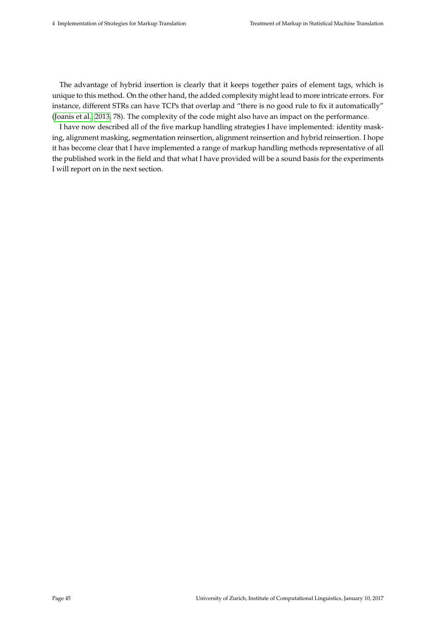The advantage of hybrid insertion is clearly that it keeps together pairs of element tags, which is unique to this method. On the other hand, the added complexity might lead to more intricate errors. For instance, different STRs can have TCPs that overlap and "there is no good rule to fix it automatically" [\(Joanis et al., 2013,](#page-77-0) 78). The complexity of the code might also have an impact on the performance.

I have now described all of the five markup handling strategies I have implemented: identity masking, alignment masking, segmentation reinsertion, alignment reinsertion and hybrid reinsertion. I hope it has become clear that I have implemented a range of markup handling methods representative of all the published work in the field and that what I have provided will be a sound basis for the experiments I will report on in the next section.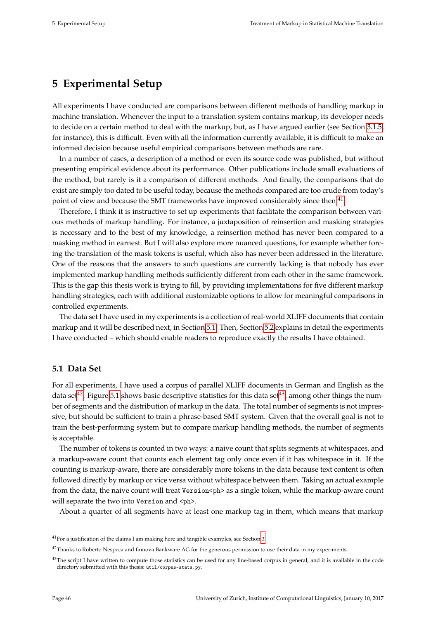# **5 Experimental Setup**

All experiments I have conducted are comparisons between different methods of handling markup in machine translation. Whenever the input to a translation system contains markup, its developer needs to decide on a certain method to deal with the markup, but, as I have argued earlier (see Section [3.1.5,](#page-30-0) for instance), this is difficult. Even with all the information currently available, it is difficult to make an informed decision because useful empirical comparisons between methods are rare.

In a number of cases, a description of a method or even its source code was published, but without presenting empirical evidence about its performance. Other publications include small evaluations of the method, but rarely is it a comparison of different methods. And finally, the comparisons that do exist are simply too dated to be useful today, because the methods compared are too crude from today's point of view and because the SMT frameworks have improved considerably since then.<sup>[41](#page-52-0)</sup>

Therefore, I think it is instructive to set up experiments that facilitate the comparison between various methods of markup handling. For instance, a juxtaposition of reinsertion and masking strategies is necessary and to the best of my knowledge, a reinsertion method has never been compared to a masking method in earnest. But I will also explore more nuanced questions, for example whether forcing the translation of the mask tokens is useful, which also has never been addressed in the literature. One of the reasons that the answers to such questions are currently lacking is that nobody has ever implemented markup handling methods sufficiently different from each other in the same framework. This is the gap this thesis work is trying to fill, by providing implementations for five different markup handling strategies, each with additional customizable options to allow for meaningful comparisons in controlled experiments.

The data set I have used in my experiments is a collection of real-world XLIFF documents that contain markup and it will be described next, in Section [5.1.](#page-52-1) Then, Section [5.2](#page-53-0) explains in detail the experiments I have conducted – which should enable readers to reproduce exactly the results I have obtained.

# <span id="page-52-1"></span>**5.1 Data Set**

For all experiments, I have used a corpus of parallel XLIFF documents in German and English as the data set<sup>[42](#page-52-2)</sup>. Figure [5.1](#page-53-1) shows basic descriptive statistics for this data set<sup>[43](#page-52-3)</sup>, among other things the number of segments and the distribution of markup in the data. The total number of segments is not impressive, but should be sufficient to train a phrase-based SMT system. Given that the overall goal is not to train the best-performing system but to compare markup handling methods, the number of segments is acceptable.

The number of tokens is counted in two ways: a naive count that splits segments at whitespaces, and a markup-aware count that counts each element tag only once even if it has whitespace in it. If the counting is markup-aware, there are considerably more tokens in the data because text content is often followed directly by markup or vice versa without whitespace between them. Taking an actual example from the data, the naive count will treat Version<ph> as a single token, while the markup-aware count will separate the two into Version and <ph>.

About a quarter of all segments have at least one markup tag in them, which means that markup

<span id="page-52-0"></span><sup>41</sup>For a justification of the claims I am making here and tangible examples, see Section [3.](#page-26-0)

<span id="page-52-2"></span> $42$ Thanks to Roberto Nespeca and finnova Bankware AG for the generous permission to use their data in my experiments.

<span id="page-52-3"></span><sup>&</sup>lt;sup>43</sup>The script I have written to compute those statistics can be used for any line-based corpus in general, and it is available in the code directory submitted with this thesis: util/corpus-stats.py.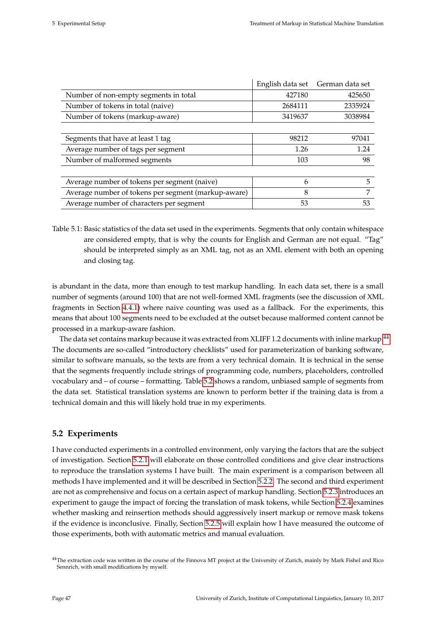<span id="page-53-1"></span>

| 427180<br>425650<br>Number of non-empty segments in total<br>Number of tokens in total (naive)<br>2684111<br>2335924<br>Number of tokens (markup-aware)<br>3038984<br>3419637<br>Segments that have at least 1 tag<br>98212<br>97041<br>Average number of tags per segment<br>1.24<br>1.26<br>Number of malformed segments<br>103<br>98<br>Average number of tokens per segment (naive)<br>5<br>6<br>Average number of tokens per segment (markup-aware)<br>7<br>8<br>53<br>Average number of characters per segment<br>53 | English data set | German data set |
|----------------------------------------------------------------------------------------------------------------------------------------------------------------------------------------------------------------------------------------------------------------------------------------------------------------------------------------------------------------------------------------------------------------------------------------------------------------------------------------------------------------------------|------------------|-----------------|
|                                                                                                                                                                                                                                                                                                                                                                                                                                                                                                                            |                  |                 |
|                                                                                                                                                                                                                                                                                                                                                                                                                                                                                                                            |                  |                 |
|                                                                                                                                                                                                                                                                                                                                                                                                                                                                                                                            |                  |                 |
|                                                                                                                                                                                                                                                                                                                                                                                                                                                                                                                            |                  |                 |
|                                                                                                                                                                                                                                                                                                                                                                                                                                                                                                                            |                  |                 |
|                                                                                                                                                                                                                                                                                                                                                                                                                                                                                                                            |                  |                 |
|                                                                                                                                                                                                                                                                                                                                                                                                                                                                                                                            |                  |                 |
|                                                                                                                                                                                                                                                                                                                                                                                                                                                                                                                            |                  |                 |
|                                                                                                                                                                                                                                                                                                                                                                                                                                                                                                                            |                  |                 |
|                                                                                                                                                                                                                                                                                                                                                                                                                                                                                                                            |                  |                 |
|                                                                                                                                                                                                                                                                                                                                                                                                                                                                                                                            |                  |                 |

Table 5.1: Basic statistics of the data set used in the experiments. Segments that only contain whitespace are considered empty, that is why the counts for English and German are not equal. "Tag" should be interpreted simply as an XML tag, not as an XML element with both an opening and closing tag.

is abundant in the data, more than enough to test markup handling. In each data set, there is a small number of segments (around 100) that are not well-formed XML fragments (see the discussion of XML fragments in Section [4.4.1\)](#page-46-0) where naive counting was used as a fallback. For the experiments, this means that about 100 segments need to be excluded at the outset because malformed content cannot be processed in a markup-aware fashion.

The data set contains markup because it was extracted from XLIFF 1.2 documents with inline markup.<sup>[44](#page-53-2)</sup> The documents are so-called "introductory checklists" used for parameterization of banking software, similar to software manuals, so the texts are from a very technical domain. It is technical in the sense that the segments frequently include strings of programming code, numbers, placeholders, controlled vocabulary and – of course – formatting. Table [5.2](#page-54-0) shows a random, unbiased sample of segments from the data set. Statistical translation systems are known to perform better if the training data is from a technical domain and this will likely hold true in my experiments.

# <span id="page-53-0"></span>**5.2 Experiments**

I have conducted experiments in a controlled environment, only varying the factors that are the subject of investigation. Section [5.2.1](#page-54-1) will elaborate on those controlled conditions and give clear instructions to reproduce the translation systems I have built. The main experiment is a comparison between all methods I have implemented and it will be described in Section [5.2.2.](#page-55-1) The second and third experiment are not as comprehensive and focus on a certain aspect of markup handling. Section [5.2.3](#page-55-0) introduces an experiment to gauge the impact of forcing the translation of mask tokens, while Section [5.2.4](#page-56-0) examines whether masking and reinsertion methods should aggressively insert markup or remove mask tokens if the evidence is inconclusive. Finally, Section [5.2.5](#page-57-0) will explain how I have measured the outcome of those experiments, both with automatic metrics and manual evaluation.

<span id="page-53-2"></span><sup>&</sup>lt;sup>44</sup>The extraction code was written in the course of the Finnova MT project at the University of Zurich, mainly by Mark Fishel and Rico Sennrich, with small modifications by myself.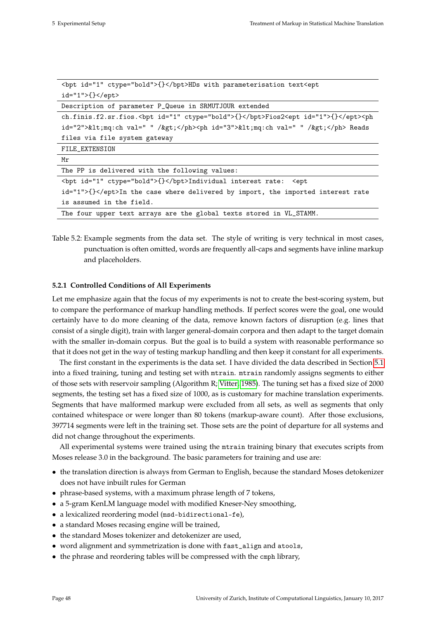<span id="page-54-0"></span>

| <br>bpt id="1" ctype="bold">{}HDs with parameterisation text <ept< th=""></ept<>               |  |  |  |  |  |  |
|------------------------------------------------------------------------------------------------|--|--|--|--|--|--|
| id="1">{}                                                                                      |  |  |  |  |  |  |
| Description of parameter P_Queue in SRMUTJOUR extended                                         |  |  |  |  |  |  |
| ch.finis.f2.sr.fios.<br>bpt id="1" ctype="bold">{}Fios2 <ept id="1">{}</ept> <ph< td=""></ph<> |  |  |  |  |  |  |
| id="2"><mq:ch val=" " /> <ph id="3">&lt;mq:ch val=" " /&gt;</ph> Reads                         |  |  |  |  |  |  |
| files via file system gateway                                                                  |  |  |  |  |  |  |
| FILE_EXTENSION                                                                                 |  |  |  |  |  |  |
| Mr                                                                                             |  |  |  |  |  |  |
| The PP is delivered with the following values:                                                 |  |  |  |  |  |  |
| <br>bpt id="1" ctype="bold">{}Individual interest rate: <ept< td=""></ept<>                    |  |  |  |  |  |  |
| id="1">{}In the case where delivered by import, the imported interest rate                     |  |  |  |  |  |  |
| is assumed in the field.                                                                       |  |  |  |  |  |  |
| The four upper text arrays are the global texts stored in VL_STAMM.                            |  |  |  |  |  |  |

Table 5.2: Example segments from the data set. The style of writing is very technical in most cases, punctuation is often omitted, words are frequently all-caps and segments have inline markup and placeholders.

### <span id="page-54-1"></span>**5.2.1 Controlled Conditions of All Experiments**

Let me emphasize again that the focus of my experiments is not to create the best-scoring system, but to compare the performance of markup handling methods. If perfect scores were the goal, one would certainly have to do more cleaning of the data, remove known factors of disruption (e.g. lines that consist of a single digit), train with larger general-domain corpora and then adapt to the target domain with the smaller in-domain corpus. But the goal is to build a system with reasonable performance so that it does not get in the way of testing markup handling and then keep it constant for all experiments.

The first constant in the experiments is the data set. I have divided the data described in Section [5.1](#page-52-1) into a fixed training, tuning and testing set with mtrain. mtrain randomly assigns segments to either of those sets with reservoir sampling (Algorithm R; [Vitter, 1985\)](#page-79-2). The tuning set has a fixed size of 2000 segments, the testing set has a fixed size of 1000, as is customary for machine translation experiments. Segments that have malformed markup were excluded from all sets, as well as segments that only contained whitespace or were longer than 80 tokens (markup-aware count). After those exclusions, 397714 segments were left in the training set. Those sets are the point of departure for all systems and did not change throughout the experiments.

All experimental systems were trained using the mtrain training binary that executes scripts from Moses release 3.0 in the background. The basic parameters for training and use are:

- the translation direction is always from German to English, because the standard Moses detokenizer does not have inbuilt rules for German
- phrase-based systems, with a maximum phrase length of 7 tokens,
- a 5-gram KenLM language model with modified Kneser-Ney smoothing,
- a lexicalized reordering model (msd-bidirectional-fe),
- a standard Moses recasing engine will be trained,
- the standard Moses tokenizer and detokenizer are used,
- word alignment and symmetrization is done with fast\_align and atools,
- the phrase and reordering tables will be compressed with the cmph library,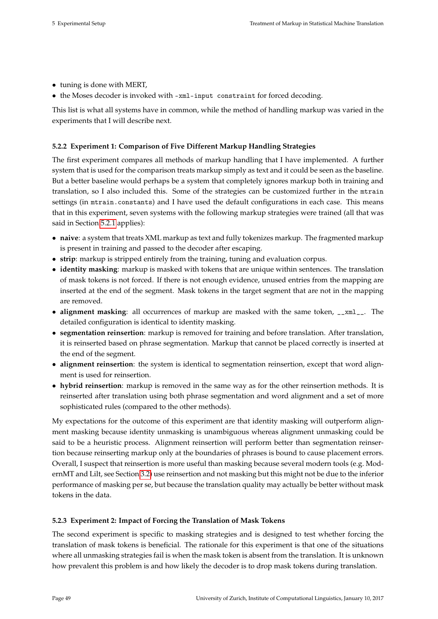- tuning is done with MERT,
- the Moses decoder is invoked with -xml-input constraint for forced decoding.

This list is what all systems have in common, while the method of handling markup was varied in the experiments that I will describe next.

# <span id="page-55-1"></span>**5.2.2 Experiment 1: Comparison of Five Different Markup Handling Strategies**

The first experiment compares all methods of markup handling that I have implemented. A further system that is used for the comparison treats markup simply as text and it could be seen as the baseline. But a better baseline would perhaps be a system that completely ignores markup both in training and translation, so I also included this. Some of the strategies can be customized further in the mtrain settings (in mtrain.constants) and I have used the default configurations in each case. This means that in this experiment, seven systems with the following markup strategies were trained (all that was said in Section [5.2.1](#page-54-1) applies):

- **naive**: a system that treats XML markup as text and fully tokenizes markup. The fragmented markup is present in training and passed to the decoder after escaping.
- **strip**: markup is stripped entirely from the training, tuning and evaluation corpus.
- **identity masking**: markup is masked with tokens that are unique within sentences. The translation of mask tokens is not forced. If there is not enough evidence, unused entries from the mapping are inserted at the end of the segment. Mask tokens in the target segment that are not in the mapping are removed.
- **alignment masking**: all occurrences of markup are masked with the same token, \_\_xml\_\_. The detailed configuration is identical to identity masking.
- **segmentation reinsertion**: markup is removed for training and before translation. After translation, it is reinserted based on phrase segmentation. Markup that cannot be placed correctly is inserted at the end of the segment.
- **alignment reinsertion**: the system is identical to segmentation reinsertion, except that word alignment is used for reinsertion.
- **hybrid reinsertion**: markup is removed in the same way as for the other reinsertion methods. It is reinserted after translation using both phrase segmentation and word alignment and a set of more sophisticated rules (compared to the other methods).

My expectations for the outcome of this experiment are that identity masking will outperform alignment masking because identity unmasking is unambiguous whereas alignment unmasking could be said to be a heuristic process. Alignment reinsertion will perform better than segmentation reinsertion because reinserting markup only at the boundaries of phrases is bound to cause placement errors. Overall, I suspect that reinsertion is more useful than masking because several modern tools (e.g. ModernMT and Lilt, see Section [3.2\)](#page-31-0) use reinsertion and not masking but this might not be due to the inferior performance of masking per se, but because the translation quality may actually be better without mask tokens in the data.

### <span id="page-55-0"></span>**5.2.3 Experiment 2: Impact of Forcing the Translation of Mask Tokens**

The second experiment is specific to masking strategies and is designed to test whether forcing the translation of mask tokens is beneficial. The rationale for this experiment is that one of the situations where all unmasking strategies fail is when the mask token is absent from the translation. It is unknown how prevalent this problem is and how likely the decoder is to drop mask tokens during translation.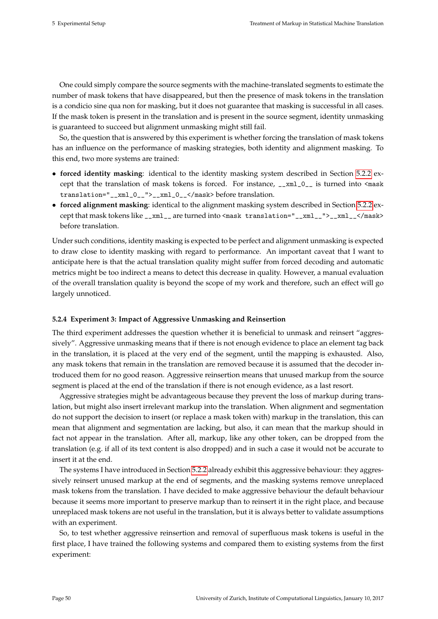One could simply compare the source segments with the machine-translated segments to estimate the number of mask tokens that have disappeared, but then the presence of mask tokens in the translation is a condicio sine qua non for masking, but it does not guarantee that masking is successful in all cases. If the mask token is present in the translation and is present in the source segment, identity unmasking is guaranteed to succeed but alignment unmasking might still fail.

So, the question that is answered by this experiment is whether forcing the translation of mask tokens has an influence on the performance of masking strategies, both identity and alignment masking. To this end, two more systems are trained:

- **forced identity masking**: identical to the identity masking system described in Section [5.2.2](#page-55-1) except that the translation of mask tokens is forced. For instance,  $\frac{1}{2}$  xml $\frac{0}{2}$  is turned into  $\frac{1}{2}$  as turned into  $\frac{1}{2}$ translation="\_\_xml\_0\_\_">\_\_xml\_0\_\_</mask> before translation.
- **forced alignment masking**: identical to the alignment masking system described in Section [5.2.2](#page-55-1) except that mask tokens like \_\_xml\_\_ are turned into <mask translation="\_\_xml\_\_">\_\_xml\_\_</mask> before translation.

Under such conditions, identity masking is expected to be perfect and alignment unmasking is expected to draw close to identity masking with regard to performance. An important caveat that I want to anticipate here is that the actual translation quality might suffer from forced decoding and automatic metrics might be too indirect a means to detect this decrease in quality. However, a manual evaluation of the overall translation quality is beyond the scope of my work and therefore, such an effect will go largely unnoticed.

### <span id="page-56-0"></span>**5.2.4 Experiment 3: Impact of Aggressive Unmasking and Reinsertion**

The third experiment addresses the question whether it is beneficial to unmask and reinsert "aggressively". Aggressive unmasking means that if there is not enough evidence to place an element tag back in the translation, it is placed at the very end of the segment, until the mapping is exhausted. Also, any mask tokens that remain in the translation are removed because it is assumed that the decoder introduced them for no good reason. Aggressive reinsertion means that unused markup from the source segment is placed at the end of the translation if there is not enough evidence, as a last resort.

Aggressive strategies might be advantageous because they prevent the loss of markup during translation, but might also insert irrelevant markup into the translation. When alignment and segmentation do not support the decision to insert (or replace a mask token with) markup in the translation, this can mean that alignment and segmentation are lacking, but also, it can mean that the markup should in fact not appear in the translation. After all, markup, like any other token, can be dropped from the translation (e.g. if all of its text content is also dropped) and in such a case it would not be accurate to insert it at the end.

The systems I have introduced in Section [5.2.2](#page-55-1) already exhibit this aggressive behaviour: they aggressively reinsert unused markup at the end of segments, and the masking systems remove unreplaced mask tokens from the translation. I have decided to make aggressive behaviour the default behaviour because it seems more important to preserve markup than to reinsert it in the right place, and because unreplaced mask tokens are not useful in the translation, but it is always better to validate assumptions with an experiment.

So, to test whether aggressive reinsertion and removal of superfluous mask tokens is useful in the first place, I have trained the following systems and compared them to existing systems from the first experiment: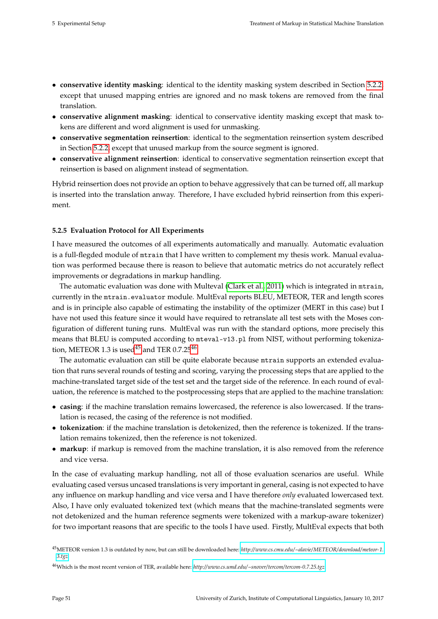- **conservative identity masking**: identical to the identity masking system described in Section [5.2.2,](#page-55-1) except that unused mapping entries are ignored and no mask tokens are removed from the final translation.
- **conservative alignment masking**: identical to conservative identity masking except that mask tokens are different and word alignment is used for unmasking.
- **conservative segmentation reinsertion**: identical to the segmentation reinsertion system described in Section [5.2.2,](#page-55-1) except that unused markup from the source segment is ignored.
- **conservative alignment reinsertion**: identical to conservative segmentation reinsertion except that reinsertion is based on alignment instead of segmentation.

Hybrid reinsertion does not provide an option to behave aggressively that can be turned off, all markup is inserted into the translation anway. Therefore, I have excluded hybrid reinsertion from this experiment.

### <span id="page-57-0"></span>**5.2.5 Evaluation Protocol for All Experiments**

I have measured the outcomes of all experiments automatically and manually. Automatic evaluation is a full-flegded module of mtrain that I have written to complement my thesis work. Manual evaluation was performed because there is reason to believe that automatic metrics do not accurately reflect improvements or degradations in markup handling.

The automatic evaluation was done with Multeval [\(Clark et al., 2011\)](#page-75-1) which is integrated in mtrain, currently in the mtrain.evaluator module. MultEval reports BLEU, METEOR, TER and length scores and is in principle also capable of estimating the instability of the optimizer (MERT in this case) but I have not used this feature since it would have required to retranslate all test sets with the Moses configuration of different tuning runs. MultEval was run with the standard options, more precisely this means that BLEU is computed according to mteval-v13.pl from NIST, without performing tokeniza-tion, METEOR 1.3 is used<sup>[45](#page-57-1)</sup> and TER  $0.7.25^{46}$  $0.7.25^{46}$  $0.7.25^{46}$ .

The automatic evaluation can still be quite elaborate because mtrain supports an extended evaluation that runs several rounds of testing and scoring, varying the processing steps that are applied to the machine-translated target side of the test set and the target side of the reference. In each round of evaluation, the reference is matched to the postprocessing steps that are applied to the machine translation:

- **casing**: if the machine translation remains lowercased, the reference is also lowercased. If the translation is recased, the casing of the reference is not modified.
- **tokenization**: if the machine translation is detokenized, then the reference is tokenized. If the translation remains tokenized, then the reference is not tokenized.
- **markup**: if markup is removed from the machine translation, it is also removed from the reference and vice versa.

In the case of evaluating markup handling, not all of those evaluation scenarios are useful. While evaluating cased versus uncased translations is very important in general, casing is not expected to have any influence on markup handling and vice versa and I have therefore *only* evaluated lowercased text. Also, I have only evaluated tokenized text (which means that the machine-translated segments were not detokenized and the human reference segments were tokenized with a markup-aware tokenizer) for two important reasons that are specific to the tools I have used. Firstly, MultEval expects that both

<span id="page-57-1"></span><sup>45</sup>METEOR version 1.3 is outdated by now, but can still be downloaded here: *[http://www.cs.cmu.edu/~alavie/METEOR/download/meteor-1.](http://www.cs.cmu.edu/~alavie/METEOR/download/meteor-1.3.tgz) [3.tgz](http://www.cs.cmu.edu/~alavie/METEOR/download/meteor-1.3.tgz)*.

<span id="page-57-2"></span><sup>46</sup>Which is the most recent version of TER, available here: *[http://www.cs.umd.edu/~snover/ tercom/ tercom-0.7.25.tgz](http://www.cs.umd.edu/~snover/tercom/tercom-0.7.25.tgz)*.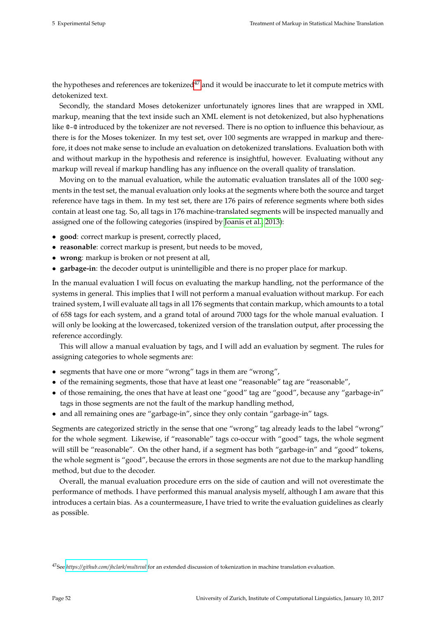the hypotheses and references are tokenized<sup>[47](#page-58-0)</sup> and it would be inaccurate to let it compute metrics with detokenized text.

Secondly, the standard Moses detokenizer unfortunately ignores lines that are wrapped in XML markup, meaning that the text inside such an XML element is not detokenized, but also hyphenations like @-@ introduced by the tokenizer are not reversed. There is no option to influence this behaviour, as there is for the Moses tokenizer. In my test set, over 100 segments are wrapped in markup and therefore, it does not make sense to include an evaluation on detokenized translations. Evaluation both with and without markup in the hypothesis and reference is insightful, however. Evaluating without any markup will reveal if markup handling has any influence on the overall quality of translation.

Moving on to the manual evaluation, while the automatic evaluation translates all of the 1000 segments in the test set, the manual evaluation only looks at the segments where both the source and target reference have tags in them. In my test set, there are 176 pairs of reference segments where both sides contain at least one tag. So, all tags in 176 machine-translated segments will be inspected manually and assigned one of the following categories (inspired by [Joanis et al., 2013\)](#page-77-0):

- **good**: correct markup is present, correctly placed,
- **reasonable**: correct markup is present, but needs to be moved,
- **wrong**: markup is broken or not present at all,
- **garbage-in**: the decoder output is unintelligible and there is no proper place for markup.

In the manual evaluation I will focus on evaluating the markup handling, not the performance of the systems in general. This implies that I will not perform a manual evaluation without markup. For each trained system, I will evaluate all tags in all 176 segments that contain markup, which amounts to a total of 658 tags for each system, and a grand total of around 7000 tags for the whole manual evaluation. I will only be looking at the lowercased, tokenized version of the translation output, after processing the reference accordingly.

This will allow a manual evaluation by tags, and I will add an evaluation by segment. The rules for assigning categories to whole segments are:

- segments that have one or more "wrong" tags in them are "wrong",
- of the remaining segments, those that have at least one "reasonable" tag are "reasonable",
- of those remaining, the ones that have at least one "good" tag are "good", because any "garbage-in" tags in those segments are not the fault of the markup handling method,
- and all remaining ones are "garbage-in", since they only contain "garbage-in" tags.

Segments are categorized strictly in the sense that one "wrong" tag already leads to the label "wrong" for the whole segment. Likewise, if "reasonable" tags co-occur with "good" tags, the whole segment will still be "reasonable". On the other hand, if a segment has both "garbage-in" and "good" tokens, the whole segment is "good", because the errors in those segments are not due to the markup handling method, but due to the decoder.

Overall, the manual evaluation procedure errs on the side of caution and will not overestimate the performance of methods. I have performed this manual analysis myself, although I am aware that this introduces a certain bias. As a countermeasure, I have tried to write the evaluation guidelines as clearly as possible.

<span id="page-58-0"></span><sup>47</sup>See *<https://github.com/jhclark/multeval>* for an extended discussion of tokenization in machine translation evaluation.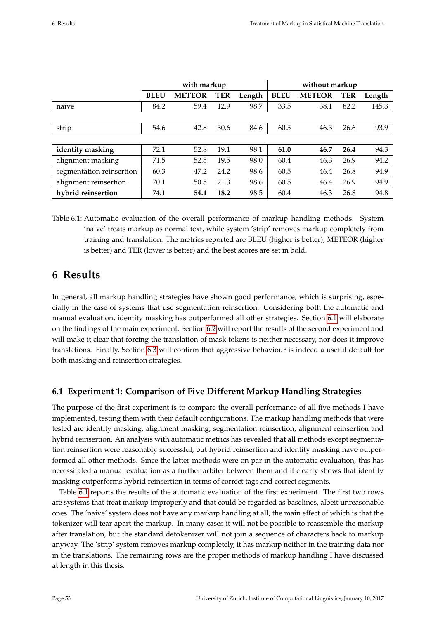<span id="page-59-1"></span>

|                          | with markup |               |            | without markup |             |               |      |        |
|--------------------------|-------------|---------------|------------|----------------|-------------|---------------|------|--------|
|                          | <b>BLEU</b> | <b>METEOR</b> | <b>TER</b> | Length         | <b>BLEU</b> | <b>METEOR</b> | TER  | Length |
| naive                    | 84.2        | 59.4          | 12.9       | 98.7           | 33.5        | 38.1          | 82.2 | 145.3  |
|                          |             |               |            |                |             |               |      |        |
| strip                    | 54.6        | 42.8          | 30.6       | 84.6           | 60.5        | 46.3          | 26.6 | 93.9   |
|                          |             |               |            |                |             |               |      |        |
| identity masking         | 72.1        | 52.8          | 19.1       | 98.1           | 61.0        | 46.7          | 26.4 | 94.3   |
| alignment masking        | 71.5        | 52.5          | 19.5       | 98.0           | 60.4        | 46.3          | 26.9 | 94.2   |
| segmentation reinsertion | 60.3        | 47.2          | 24.2       | 98.6           | 60.5        | 46.4          | 26.8 | 94.9   |
| alignment reinsertion    | 70.1        | 50.5          | 21.3       | 98.6           | 60.5        | 46.4          | 26.9 | 94.9   |
| hybrid reinsertion       | 74.1        | 54.1          | 18.2       | 98.5           | 60.4        | 46.3          | 26.8 | 94.8   |

Table 6.1: Automatic evaluation of the overall performance of markup handling methods. System 'naive' treats markup as normal text, while system 'strip' removes markup completely from training and translation. The metrics reported are BLEU (higher is better), METEOR (higher is better) and TER (lower is better) and the best scores are set in bold.

# **6 Results**

In general, all markup handling strategies have shown good performance, which is surprising, especially in the case of systems that use segmentation reinsertion. Considering both the automatic and manual evaluation, identity masking has outperformed all other strategies. Section [6.1](#page-59-0) will elaborate on the findings of the main experiment. Section [6.2](#page-61-0) will report the results of the second experiment and will make it clear that forcing the translation of mask tokens is neither necessary, nor does it improve translations. Finally, Section [6.3](#page-62-0) will confirm that aggressive behaviour is indeed a useful default for both masking and reinsertion strategies.

# <span id="page-59-0"></span>**6.1 Experiment 1: Comparison of Five Different Markup Handling Strategies**

The purpose of the first experiment is to compare the overall performance of all five methods I have implemented, testing them with their default configurations. The markup handling methods that were tested are identity masking, alignment masking, segmentation reinsertion, alignment reinsertion and hybrid reinsertion. An analysis with automatic metrics has revealed that all methods except segmentation reinsertion were reasonably successful, but hybrid reinsertion and identity masking have outperformed all other methods. Since the latter methods were on par in the automatic evaluation, this has necessitated a manual evaluation as a further arbiter between them and it clearly shows that identity masking outperforms hybrid reinsertion in terms of correct tags and correct segments.

Table [6.1](#page-59-1) reports the results of the automatic evaluation of the first experiment. The first two rows are systems that treat markup improperly and that could be regarded as baselines, albeit unreasonable ones. The 'naive' system does not have any markup handling at all, the main effect of which is that the tokenizer will tear apart the markup. In many cases it will not be possible to reassemble the markup after translation, but the standard detokenizer will not join a sequence of characters back to markup anyway. The 'strip' system removes markup completely, it has markup neither in the training data nor in the translations. The remaining rows are the proper methods of markup handling I have discussed at length in this thesis.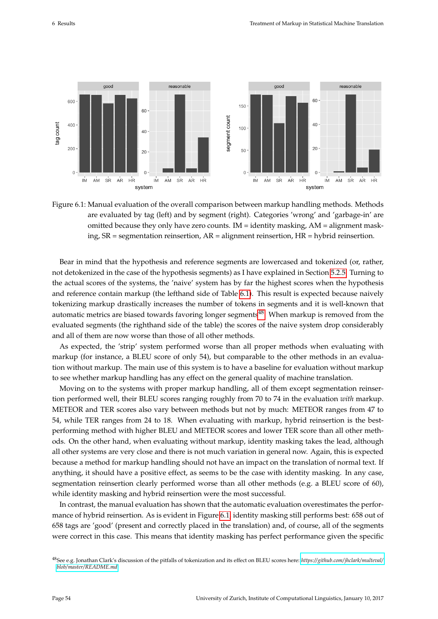<span id="page-60-1"></span>

Figure 6.1: Manual evaluation of the overall comparison between markup handling methods. Methods are evaluated by tag (left) and by segment (right). Categories 'wrong' and 'garbage-in' are omitted because they only have zero counts.  $IM = identity$  masking,  $AM = alignment$  masking, SR = segmentation reinsertion, AR = alignment reinsertion, HR = hybrid reinsertion.

Bear in mind that the hypothesis and reference segments are lowercased and tokenized (or, rather, not detokenized in the case of the hypothesis segments) as I have explained in Section [5.2.5.](#page-57-0) Turning to the actual scores of the systems, the 'naive' system has by far the highest scores when the hypothesis and reference contain markup (the lefthand side of Table [6.1\)](#page-59-1). This result is expected because naively tokenizing markup drastically increases the number of tokens in segments and it is well-known that automatic metrics are biased towards favoring longer segments<sup>[48](#page-60-0)</sup>. When markup is removed from the evaluated segments (the righthand side of the table) the scores of the naive system drop considerably and all of them are now worse than those of all other methods.

As expected, the 'strip' system performed worse than all proper methods when evaluating with markup (for instance, a BLEU score of only 54), but comparable to the other methods in an evaluation without markup. The main use of this system is to have a baseline for evaluation without markup to see whether markup handling has any effect on the general quality of machine translation.

Moving on to the systems with proper markup handling, all of them except segmentation reinsertion performed well, their BLEU scores ranging roughly from 70 to 74 in the evaluation *with* markup. METEOR and TER scores also vary between methods but not by much: METEOR ranges from 47 to 54, while TER ranges from 24 to 18. When evaluating with markup, hybrid reinsertion is the bestperforming method with higher BLEU and METEOR scores and lower TER score than all other methods. On the other hand, when evaluating without markup, identity masking takes the lead, although all other systems are very close and there is not much variation in general now. Again, this is expected because a method for markup handling should not have an impact on the translation of normal text. If anything, it should have a positive effect, as seems to be the case with identity masking. In any case, segmentation reinsertion clearly performed worse than all other methods (e.g. a BLEU score of 60), while identity masking and hybrid reinsertion were the most successful.

In contrast, the manual evaluation has shown that the automatic evaluation overestimates the performance of hybrid reinsertion. As is evident in Figure [6.1,](#page-60-1) identity masking still performs best: 658 out of 658 tags are 'good' (present and correctly placed in the translation) and, of course, all of the segments were correct in this case. This means that identity masking has perfect performance given the specific

<span id="page-60-0"></span><sup>48</sup>See e.g. Jonathan Clark's discussion of the pitfalls of tokenization and its effect on BLEU scores here: *[https://github.com/jhclark/multeval/](https://github.com/jhclark/multeval/blob/master/README.md) [blob/master/README.md](https://github.com/jhclark/multeval/blob/master/README.md)*.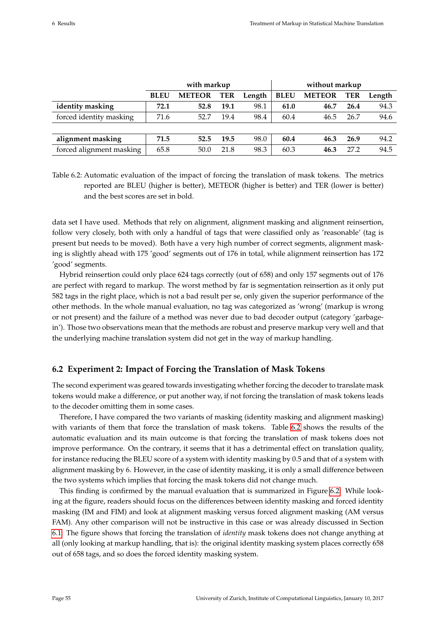<span id="page-61-1"></span>

|                          | with markup |               |      |        | without markup |               |      |        |
|--------------------------|-------------|---------------|------|--------|----------------|---------------|------|--------|
|                          | <b>BLEU</b> | <b>METEOR</b> | TER  | Length | <b>BLEU</b>    | <b>METEOR</b> | TER  | Length |
| identity masking         | 72.1        | 52.8          | 19.1 | 98.1   | 61.0           | 46.7          | 26.4 | 94.3   |
| forced identity masking  | 71.6        | 52.7          | 19.4 | 98.4   | 60.4           | 46.5          | 26.7 | 94.6   |
|                          |             |               |      |        |                |               |      |        |
| alignment masking        | 71.5        | 52.5          | 19.5 | 98.0   | 60.4           | 46.3          | 26.9 | 94.2   |
| forced alignment masking | 65.8        | 50.0          | 21.8 | 98.3   | 60.3           | 46.3          | 27.2 | 94.5   |

Table 6.2: Automatic evaluation of the impact of forcing the translation of mask tokens. The metrics reported are BLEU (higher is better), METEOR (higher is better) and TER (lower is better) and the best scores are set in bold.

data set I have used. Methods that rely on alignment, alignment masking and alignment reinsertion, follow very closely, both with only a handful of tags that were classified only as 'reasonable' (tag is present but needs to be moved). Both have a very high number of correct segments, alignment masking is slightly ahead with 175 'good' segments out of 176 in total, while alignment reinsertion has 172 'good' segments.

Hybrid reinsertion could only place 624 tags correctly (out of 658) and only 157 segments out of 176 are perfect with regard to markup. The worst method by far is segmentation reinsertion as it only put 582 tags in the right place, which is not a bad result per se, only given the superior performance of the other methods. In the whole manual evaluation, no tag was categorized as 'wrong' (markup is wrong or not present) and the failure of a method was never due to bad decoder output (category 'garbagein'). Those two observations mean that the methods are robust and preserve markup very well and that the underlying machine translation system did not get in the way of markup handling.

# <span id="page-61-0"></span>**6.2 Experiment 2: Impact of Forcing the Translation of Mask Tokens**

The second experiment was geared towards investigating whether forcing the decoder to translate mask tokens would make a difference, or put another way, if not forcing the translation of mask tokens leads to the decoder omitting them in some cases.

Therefore, I have compared the two variants of masking (identity masking and alignment masking) with variants of them that force the translation of mask tokens. Table [6.2](#page-61-1) shows the results of the automatic evaluation and its main outcome is that forcing the translation of mask tokens does not improve performance. On the contrary, it seems that it has a detrimental effect on translation quality, for instance reducing the BLEU score of a system with identity masking by 0.5 and that of a system with alignment masking by 6. However, in the case of identity masking, it is only a small difference between the two systems which implies that forcing the mask tokens did not change much.

This finding is confirmed by the manual evaluation that is summarized in Figure [6.2.](#page-62-1) While looking at the figure, readers should focus on the differences between identity masking and forced identity masking (IM and FIM) and look at alignment masking versus forced alignment masking (AM versus FAM). Any other comparison will not be instructive in this case or was already discussed in Section [6.1.](#page-59-0) The figure shows that forcing the translation of *identity* mask tokens does not change anything at all (only looking at markup handling, that is): the original identity masking system places correctly 658 out of 658 tags, and so does the forced identity masking system.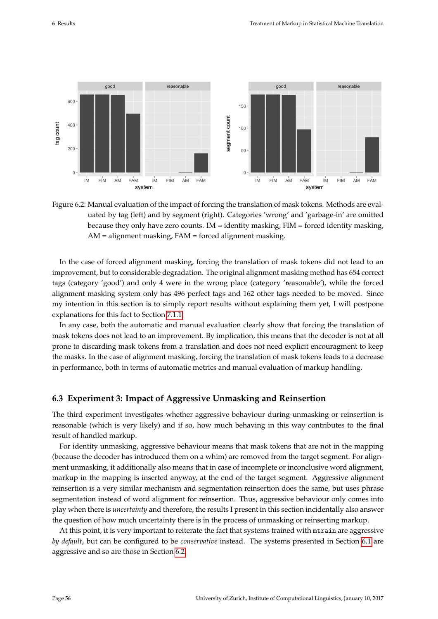<span id="page-62-1"></span>

Figure 6.2: Manual evaluation of the impact of forcing the translation of mask tokens. Methods are evaluated by tag (left) and by segment (right). Categories 'wrong' and 'garbage-in' are omitted because they only have zero counts. IM = identity masking,  $FIM$  = forced identity masking, AM = alignment masking, FAM = forced alignment masking.

In the case of forced alignment masking, forcing the translation of mask tokens did not lead to an improvement, but to considerable degradation. The original alignment masking method has 654 correct tags (category 'good') and only 4 were in the wrong place (category 'reasonable'), while the forced alignment masking system only has 496 perfect tags and 162 other tags needed to be moved. Since my intention in this section is to simply report results without explaining them yet, I will postpone explanations for this fact to Section [7.1.1.](#page-66-0)

In any case, both the automatic and manual evaluation clearly show that forcing the translation of mask tokens does not lead to an improvement. By implication, this means that the decoder is not at all prone to discarding mask tokens from a translation and does not need explicit encouragment to keep the masks. In the case of alignment masking, forcing the translation of mask tokens leads to a decrease in performance, both in terms of automatic metrics and manual evaluation of markup handling.

# <span id="page-62-0"></span>**6.3 Experiment 3: Impact of Aggressive Unmasking and Reinsertion**

The third experiment investigates whether aggressive behaviour during unmasking or reinsertion is reasonable (which is very likely) and if so, how much behaving in this way contributes to the final result of handled markup.

For identity unmasking, aggressive behaviour means that mask tokens that are not in the mapping (because the decoder has introduced them on a whim) are removed from the target segment. For alignment unmasking, it additionally also means that in case of incomplete or inconclusive word alignment, markup in the mapping is inserted anyway, at the end of the target segment. Aggressive alignment reinsertion is a very similar mechanism and segmentation reinsertion does the same, but uses phrase segmentation instead of word alignment for reinsertion. Thus, aggressive behaviour only comes into play when there is *uncertainty* and therefore, the results I present in this section incidentally also answer the question of how much uncertainty there is in the process of unmasking or reinserting markup.

At this point, it is very important to reiterate the fact that systems trained with mtrain are aggressive *by default*, but can be configured to be *conservative* instead. The systems presented in Section [6.1](#page-59-0) are aggressive and so are those in Section [6.2.](#page-61-0)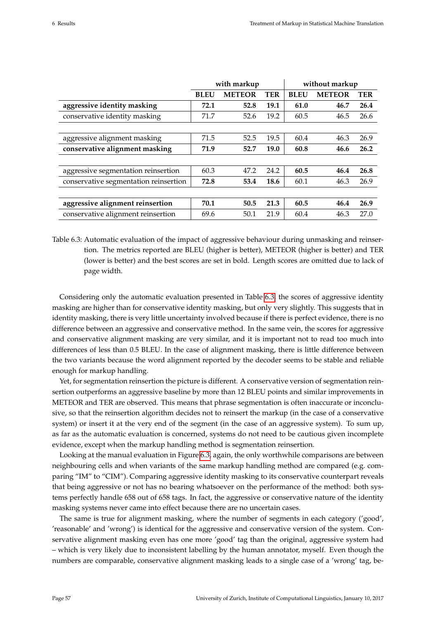<span id="page-63-0"></span>

|                                       |             | with markup   |            | without markup |               |      |  |
|---------------------------------------|-------------|---------------|------------|----------------|---------------|------|--|
|                                       | <b>BLEU</b> | <b>METEOR</b> | <b>TER</b> | <b>BLEU</b>    | <b>METEOR</b> | TER  |  |
| aggressive identity masking           | 72.1        | 52.8          | 19.1       | 61.0           | 46.7          | 26.4 |  |
| conservative identity masking         | 71.7        | 52.6          | 19.2       | 60.5           | 46.5          | 26.6 |  |
|                                       |             |               |            |                |               |      |  |
| aggressive alignment masking          | 71.5        | 52.5          | 19.5       | 60.4           | 46.3          | 26.9 |  |
| conservative alignment masking        | 71.9        | 52.7          | 19.0       | 60.8           | 46.6          | 26.2 |  |
|                                       |             |               |            |                |               |      |  |
| aggressive segmentation reinsertion   | 60.3        | 47.2          | 24.2       | 60.5           | 46.4          | 26.8 |  |
| conservative segmentation reinsertion | 72.8        | 53.4          | 18.6       | 60.1           | 46.3          | 26.9 |  |
|                                       |             |               |            |                |               |      |  |
| aggressive alignment reinsertion      | 70.1        | 50.5          | 21.3       | 60.5           | 46.4          | 26.9 |  |
| conservative alignment reinsertion    | 69.6        | 50.1          | 21.9       | 60.4           | 46.3          | 27.0 |  |

Table 6.3: Automatic evaluation of the impact of aggressive behaviour during unmasking and reinsertion. The metrics reported are BLEU (higher is better), METEOR (higher is better) and TER (lower is better) and the best scores are set in bold. Length scores are omitted due to lack of page width.

Considering only the automatic evaluation presented in Table [6.3,](#page-63-0) the scores of aggressive identity masking are higher than for conservative identity masking, but only very slightly. This suggests that in identity masking, there is very little uncertainty involved because if there is perfect evidence, there is no difference between an aggressive and conservative method. In the same vein, the scores for aggressive and conservative alignment masking are very similar, and it is important not to read too much into differences of less than 0.5 BLEU. In the case of alignment masking, there is little difference between the two variants because the word alignment reported by the decoder seems to be stable and reliable enough for markup handling.

Yet, for segmentation reinsertion the picture is different. A conservative version of segmentation reinsertion outperforms an aggressive baseline by more than 12 BLEU points and similar improvements in METEOR and TER are observed. This means that phrase segmentation is often inaccurate or inconclusive, so that the reinsertion algorithm decides not to reinsert the markup (in the case of a conservative system) or insert it at the very end of the segment (in the case of an aggressive system). To sum up, as far as the automatic evaluation is concerned, systems do not need to be cautious given incomplete evidence, except when the markup handling method is segmentation reinsertion.

Looking at the manual evaluation in Figure [6.3,](#page-64-0) again, the only worthwhile comparisons are between neighbouring cells and when variants of the same markup handling method are compared (e.g. comparing "IM" to "CIM"). Comparing aggressive identity masking to its conservative counterpart reveals that being aggressive or not has no bearing whatsoever on the performance of the method: both systems perfectly handle 658 out of 658 tags. In fact, the aggressive or conservative nature of the identity masking systems never came into effect because there are no uncertain cases.

The same is true for alignment masking, where the number of segments in each category ('good', 'reasonable' and 'wrong') is identical for the aggressive and conservative version of the system. Conservative alignment masking even has one more 'good' tag than the original, aggressive system had – which is very likely due to inconsistent labelling by the human annotator, myself. Even though the numbers are comparable, conservative alignment masking leads to a single case of a 'wrong' tag, be-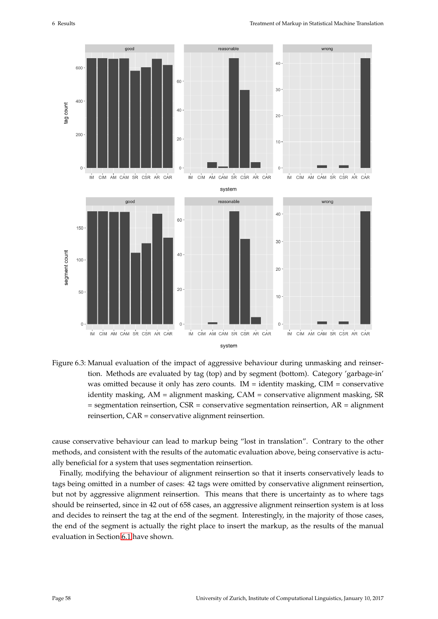<span id="page-64-0"></span>

Figure 6.3: Manual evaluation of the impact of aggressive behaviour during unmasking and reinsertion. Methods are evaluated by tag (top) and by segment (bottom). Category 'garbage-in' was omitted because it only has zero counts.  $IM = identity$  masking,  $CIM =$  conservative identity masking, AM = alignment masking, CAM = conservative alignment masking, SR  $=$  segmentation reinsertion, CSR  $=$  conservative segmentation reinsertion, AR  $=$  alignment reinsertion, CAR = conservative alignment reinsertion.

cause conservative behaviour can lead to markup being "lost in translation". Contrary to the other methods, and consistent with the results of the automatic evaluation above, being conservative is actually beneficial for a system that uses segmentation reinsertion.

Finally, modifying the behaviour of alignment reinsertion so that it inserts conservatively leads to tags being omitted in a number of cases: 42 tags were omitted by conservative alignment reinsertion, but not by aggressive alignment reinsertion. This means that there is uncertainty as to where tags should be reinserted, since in 42 out of 658 cases, an aggressive alignment reinsertion system is at loss and decides to reinsert the tag at the end of the segment. Interestingly, in the majority of those cases, the end of the segment is actually the right place to insert the markup, as the results of the manual evaluation in Section [6.1](#page-59-0) have shown.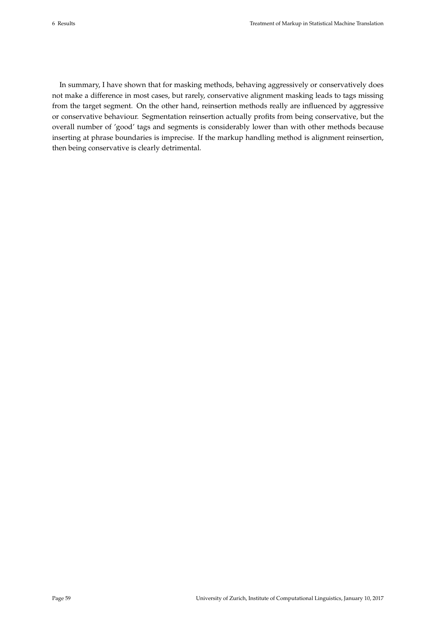In summary, I have shown that for masking methods, behaving aggressively or conservatively does not make a difference in most cases, but rarely, conservative alignment masking leads to tags missing from the target segment. On the other hand, reinsertion methods really are influenced by aggressive or conservative behaviour. Segmentation reinsertion actually profits from being conservative, but the overall number of 'good' tags and segments is considerably lower than with other methods because inserting at phrase boundaries is imprecise. If the markup handling method is alignment reinsertion, then being conservative is clearly detrimental.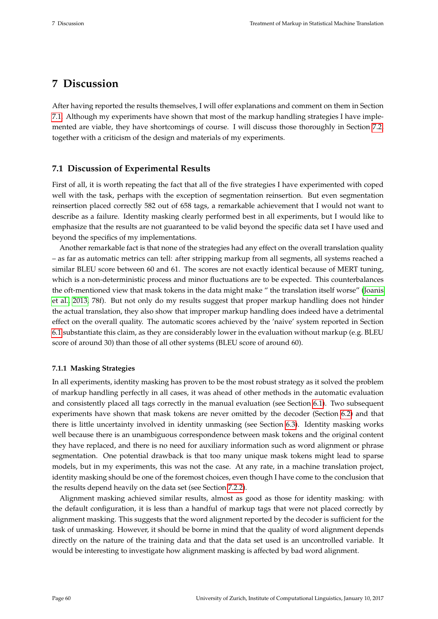# **7 Discussion**

After having reported the results themselves, I will offer explanations and comment on them in Section [7.1.](#page-66-1) Although my experiments have shown that most of the markup handling strategies I have implemented are viable, they have shortcomings of course. I will discuss those thoroughly in Section [7.2,](#page-68-0) together with a criticism of the design and materials of my experiments.

# <span id="page-66-1"></span>**7.1 Discussion of Experimental Results**

First of all, it is worth repeating the fact that all of the five strategies I have experimented with coped well with the task, perhaps with the exception of segmentation reinsertion. But even segmentation reinsertion placed correctly 582 out of 658 tags, a remarkable achievement that I would not want to describe as a failure. Identity masking clearly performed best in all experiments, but I would like to emphasize that the results are not guaranteed to be valid beyond the specific data set I have used and beyond the specifics of my implementations.

Another remarkable fact is that none of the strategies had any effect on the overall translation quality – as far as automatic metrics can tell: after stripping markup from all segments, all systems reached a similar BLEU score between 60 and 61. The scores are not exactly identical because of MERT tuning, which is a non-deterministic process and minor fluctuations are to be expected. This counterbalances the oft-mentioned view that mask tokens in the data might make " the translation itself worse" [\(Joanis](#page-77-0) [et al., 2013,](#page-77-0) 78f). But not only do my results suggest that proper markup handling does not hinder the actual translation, they also show that improper markup handling does indeed have a detrimental effect on the overall quality. The automatic scores achieved by the 'naive' system reported in Section [6.1](#page-59-0) substantiate this claim, as they are considerably lower in the evaluation without markup (e.g. BLEU score of around 30) than those of all other systems (BLEU score of around 60).

### <span id="page-66-0"></span>**7.1.1 Masking Strategies**

In all experiments, identity masking has proven to be the most robust strategy as it solved the problem of markup handling perfectly in all cases, it was ahead of other methods in the automatic evaluation and consistently placed all tags correctly in the manual evaluation (see Section [6.1\)](#page-59-0). Two subsequent experiments have shown that mask tokens are never omitted by the decoder (Section [6.2\)](#page-61-0) and that there is little uncertainty involved in identity unmasking (see Section [6.3\)](#page-62-0). Identity masking works well because there is an unambiguous correspondence between mask tokens and the original content they have replaced, and there is no need for auxiliary information such as word alignment or phrase segmentation. One potential drawback is that too many unique mask tokens might lead to sparse models, but in my experiments, this was not the case. At any rate, in a machine translation project, identity masking should be one of the foremost choices, even though I have come to the conclusion that the results depend heavily on the data set (see Section [7.2.2\)](#page-69-0).

Alignment masking achieved similar results, almost as good as those for identity masking: with the default configuration, it is less than a handful of markup tags that were not placed correctly by alignment masking. This suggests that the word alignment reported by the decoder is sufficient for the task of unmasking. However, it should be borne in mind that the quality of word alignment depends directly on the nature of the training data and that the data set used is an uncontrolled variable. It would be interesting to investigate how alignment masking is affected by bad word alignment.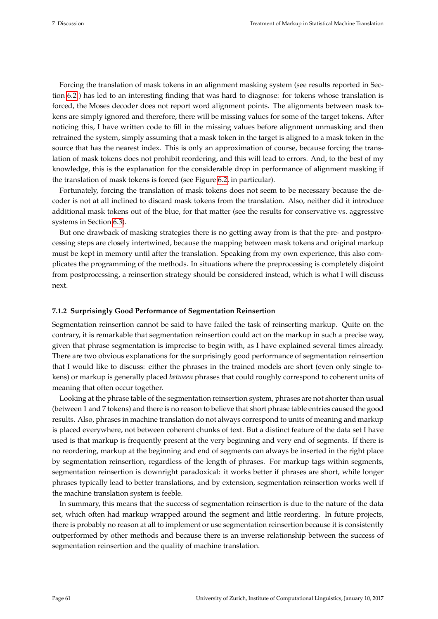Forcing the translation of mask tokens in an alignment masking system (see results reported in Section [6.2](#page-61-0) ) has led to an interesting finding that was hard to diagnose: for tokens whose translation is forced, the Moses decoder does not report word alignment points. The alignments between mask tokens are simply ignored and therefore, there will be missing values for some of the target tokens. After noticing this, I have written code to fill in the missing values before alignment unmasking and then retrained the system, simply assuming that a mask token in the target is aligned to a mask token in the source that has the nearest index. This is only an approximation of course, because forcing the translation of mask tokens does not prohibit reordering, and this will lead to errors. And, to the best of my knowledge, this is the explanation for the considerable drop in performance of alignment masking if the translation of mask tokens is forced (see Figure [6.2,](#page-62-1) in particular).

Fortunately, forcing the translation of mask tokens does not seem to be necessary because the decoder is not at all inclined to discard mask tokens from the translation. Also, neither did it introduce additional mask tokens out of the blue, for that matter (see the results for conservative vs. aggressive systems in Section [6.3\)](#page-62-0).

But one drawback of masking strategies there is no getting away from is that the pre- and postprocessing steps are closely intertwined, because the mapping between mask tokens and original markup must be kept in memory until after the translation. Speaking from my own experience, this also complicates the programming of the methods. In situations where the preprocessing is completely disjoint from postprocessing, a reinsertion strategy should be considered instead, which is what I will discuss next.

### <span id="page-67-0"></span>**7.1.2 Surprisingly Good Performance of Segmentation Reinsertion**

Segmentation reinsertion cannot be said to have failed the task of reinserting markup. Quite on the contrary, it is remarkable that segmentation reinsertion could act on the markup in such a precise way, given that phrase segmentation is imprecise to begin with, as I have explained several times already. There are two obvious explanations for the surprisingly good performance of segmentation reinsertion that I would like to discuss: either the phrases in the trained models are short (even only single tokens) or markup is generally placed *between* phrases that could roughly correspond to coherent units of meaning that often occur together.

Looking at the phrase table of the segmentation reinsertion system, phrases are not shorter than usual (between 1 and 7 tokens) and there is no reason to believe that short phrase table entries caused the good results. Also, phrases in machine translation do not always correspond to units of meaning and markup is placed everywhere, not between coherent chunks of text. But a distinct feature of the data set I have used is that markup is frequently present at the very beginning and very end of segments. If there is no reordering, markup at the beginning and end of segments can always be inserted in the right place by segmentation reinsertion, regardless of the length of phrases. For markup tags within segments, segmentation reinsertion is downright paradoxical: it works better if phrases are short, while longer phrases typically lead to better translations, and by extension, segmentation reinsertion works well if the machine translation system is feeble.

In summary, this means that the success of segmentation reinsertion is due to the nature of the data set, which often had markup wrapped around the segment and little reordering. In future projects, there is probably no reason at all to implement or use segmentation reinsertion because it is consistently outperformed by other methods and because there is an inverse relationship between the success of segmentation reinsertion and the quality of machine translation.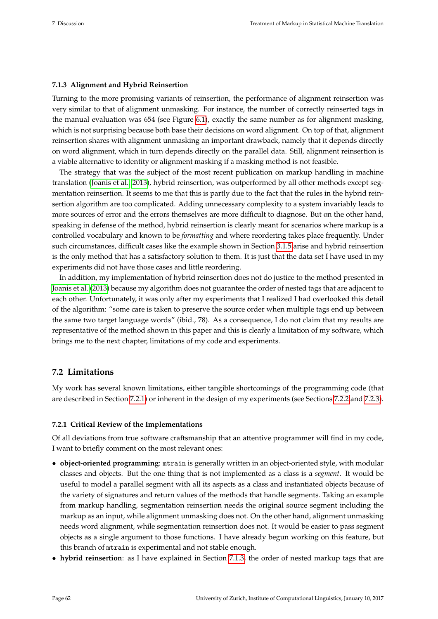### <span id="page-68-2"></span>**7.1.3 Alignment and Hybrid Reinsertion**

Turning to the more promising variants of reinsertion, the performance of alignment reinsertion was very similar to that of alignment unmasking. For instance, the number of correctly reinserted tags in the manual evaluation was 654 (see Figure [6.1\)](#page-60-1), exactly the same number as for alignment masking, which is not surprising because both base their decisions on word alignment. On top of that, alignment reinsertion shares with alignment unmasking an important drawback, namely that it depends directly on word alignment, which in turn depends directly on the parallel data. Still, alignment reinsertion is a viable alternative to identity or alignment masking if a masking method is not feasible.

The strategy that was the subject of the most recent publication on markup handling in machine translation [\(Joanis et al., 2013\)](#page-77-0), hybrid reinsertion, was outperformed by all other methods except segmentation reinsertion. It seems to me that this is partly due to the fact that the rules in the hybrid reinsertion algorithm are too complicated. Adding unnecessary complexity to a system invariably leads to more sources of error and the errors themselves are more difficult to diagnose. But on the other hand, speaking in defense of the method, hybrid reinsertion is clearly meant for scenarios where markup is a controlled vocabulary and known to be *formatting* and where reordering takes place frequently. Under such circumstances, difficult cases like the example shown in Section [3.1.5](#page-30-0) arise and hybrid reinsertion is the only method that has a satisfactory solution to them. It is just that the data set I have used in my experiments did not have those cases and little reordering.

In addition, my implementation of hybrid reinsertion does not do justice to the method presented in [Joanis et al.](#page-77-0) [\(2013\)](#page-77-0) because my algorithm does not guarantee the order of nested tags that are adjacent to each other. Unfortunately, it was only after my experiments that I realized I had overlooked this detail of the algorithm: "some care is taken to preserve the source order when multiple tags end up between the same two target language words" (ibid., 78). As a consequence, I do not claim that my results are representative of the method shown in this paper and this is clearly a limitation of my software, which brings me to the next chapter, limitations of my code and experiments.

# <span id="page-68-0"></span>**7.2 Limitations**

My work has several known limitations, either tangible shortcomings of the programming code (that are described in Section [7.2.1\)](#page-68-1) or inherent in the design of my experiments (see Sections [7.2.2](#page-69-0) and [7.2.3\)](#page-70-0).

### <span id="page-68-1"></span>**7.2.1 Critical Review of the Implementations**

Of all deviations from true software craftsmanship that an attentive programmer will find in my code, I want to briefly comment on the most relevant ones:

- **object-oriented programming**: mtrain is generally written in an object-oriented style, with modular classes and objects. But the one thing that is not implemented as a class is a *segment*. It would be useful to model a parallel segment with all its aspects as a class and instantiated objects because of the variety of signatures and return values of the methods that handle segments. Taking an example from markup handling, segmentation reinsertion needs the original source segment including the markup as an input, while alignment unmasking does not. On the other hand, alignment unmasking needs word alignment, while segmentation reinsertion does not. It would be easier to pass segment objects as a single argument to those functions. I have already begun working on this feature, but this branch of mtrain is experimental and not stable enough.
- **hybrid reinsertion**: as I have explained in Section [7.1.3,](#page-68-2) the order of nested markup tags that are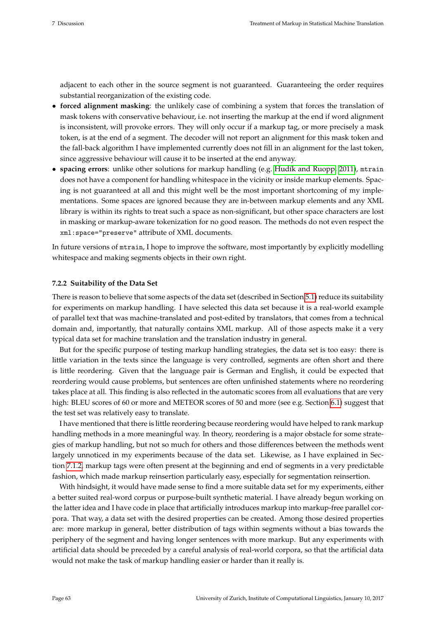adjacent to each other in the source segment is not guaranteed. Guaranteeing the order requires substantial reorganization of the existing code.

- **forced alignment masking**: the unlikely case of combining a system that forces the translation of mask tokens with conservative behaviour, i.e. not inserting the markup at the end if word alignment is inconsistent, will provoke errors. They will only occur if a markup tag, or more precisely a mask token, is at the end of a segment. The decoder will not report an alignment for this mask token and the fall-back algorithm I have implemented currently does not fill in an alignment for the last token, since aggressive behaviour will cause it to be inserted at the end anyway.
- **spacing errors**: unlike other solutions for markup handling (e.g. [Hudík and Ruopp, 2011\)](#page-76-0), mtrain does not have a component for handling whitespace in the vicinity or inside markup elements. Spacing is not guaranteed at all and this might well be the most important shortcoming of my implementations. Some spaces are ignored because they are in-between markup elements and any XML library is within its rights to treat such a space as non-significant, but other space characters are lost in masking or markup-aware tokenization for no good reason. The methods do not even respect the xml:space="preserve" attribute of XML documents.

In future versions of mtrain, I hope to improve the software, most importantly by explicitly modelling whitespace and making segments objects in their own right.

### <span id="page-69-0"></span>**7.2.2 Suitability of the Data Set**

There is reason to believe that some aspects of the data set (described in Section [5.1\)](#page-52-1) reduce its suitability for experiments on markup handling. I have selected this data set because it is a real-world example of parallel text that was machine-translated and post-edited by translators, that comes from a technical domain and, importantly, that naturally contains XML markup. All of those aspects make it a very typical data set for machine translation and the translation industry in general.

But for the specific purpose of testing markup handling strategies, the data set is too easy: there is little variation in the texts since the language is very controlled, segments are often short and there is little reordering. Given that the language pair is German and English, it could be expected that reordering would cause problems, but sentences are often unfinished statements where no reordering takes place at all. This finding is also reflected in the automatic scores from all evaluations that are very high: BLEU scores of 60 or more and METEOR scores of 50 and more (see e.g. Section [6.1\)](#page-59-1) suggest that the test set was relatively easy to translate.

I have mentioned that there is little reordering because reordering would have helped to rank markup handling methods in a more meaningful way. In theory, reordering is a major obstacle for some strategies of markup handling, but not so much for others and those differences between the methods went largely unnoticed in my experiments because of the data set. Likewise, as I have explained in Section [7.1.2,](#page-67-0) markup tags were often present at the beginning and end of segments in a very predictable fashion, which made markup reinsertion particularly easy, especially for segmentation reinsertion.

With hindsight, it would have made sense to find a more suitable data set for my experiments, either a better suited real-word corpus or purpose-built synthetic material. I have already begun working on the latter idea and I have code in place that artificially introduces markup into markup-free parallel corpora. That way, a data set with the desired properties can be created. Among those desired properties are: more markup in general, better distribution of tags within segments without a bias towards the periphery of the segment and having longer sentences with more markup. But any experiments with artificial data should be preceded by a careful analysis of real-world corpora, so that the artificial data would not make the task of markup handling easier or harder than it really is.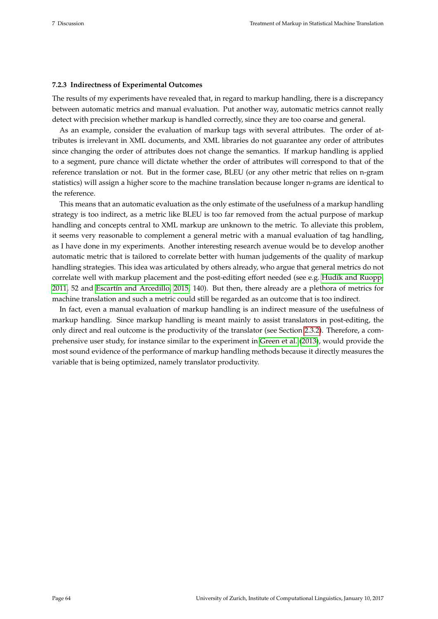### <span id="page-70-0"></span>**7.2.3 Indirectness of Experimental Outcomes**

The results of my experiments have revealed that, in regard to markup handling, there is a discrepancy between automatic metrics and manual evaluation. Put another way, automatic metrics cannot really detect with precision whether markup is handled correctly, since they are too coarse and general.

As an example, consider the evaluation of markup tags with several attributes. The order of attributes is irrelevant in XML documents, and XML libraries do not guarantee any order of attributes since changing the order of attributes does not change the semantics. If markup handling is applied to a segment, pure chance will dictate whether the order of attributes will correspond to that of the reference translation or not. But in the former case, BLEU (or any other metric that relies on n-gram statistics) will assign a higher score to the machine translation because longer n-grams are identical to the reference.

This means that an automatic evaluation as the only estimate of the usefulness of a markup handling strategy is too indirect, as a metric like BLEU is too far removed from the actual purpose of markup handling and concepts central to XML markup are unknown to the metric. To alleviate this problem, it seems very reasonable to complement a general metric with a manual evaluation of tag handling, as I have done in my experiments. Another interesting research avenue would be to develop another automatic metric that is tailored to correlate better with human judgements of the quality of markup handling strategies. This idea was articulated by others already, who argue that general metrics do not correlate well with markup placement and the post-editing effort needed (see e.g. [Hudík and Ruopp,](#page-76-0) [2011,](#page-76-0) 52 and [Escartín and Arcedillo, 2015,](#page-76-1) 140). But then, there already are a plethora of metrics for machine translation and such a metric could still be regarded as an outcome that is too indirect.

In fact, even a manual evaluation of markup handling is an indirect measure of the usefulness of markup handling. Since markup handling is meant mainly to assist translators in post-editing, the only direct and real outcome is the productivity of the translator (see Section [2.3.2\)](#page-24-0). Therefore, a comprehensive user study, for instance similar to the experiment in [Green et al.](#page-76-2) [\(2013\)](#page-76-2), would provide the most sound evidence of the performance of markup handling methods because it directly measures the variable that is being optimized, namely translator productivity.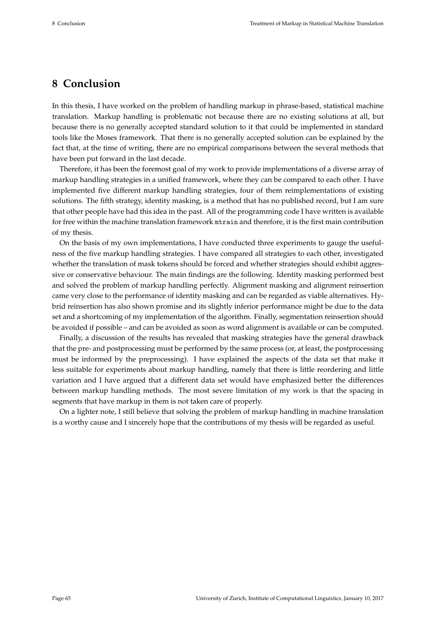# **8 Conclusion**

In this thesis, I have worked on the problem of handling markup in phrase-based, statistical machine translation. Markup handling is problematic not because there are no existing solutions at all, but because there is no generally accepted standard solution to it that could be implemented in standard tools like the Moses framework. That there is no generally accepted solution can be explained by the fact that, at the time of writing, there are no empirical comparisons between the several methods that have been put forward in the last decade.

Therefore, it has been the foremost goal of my work to provide implementations of a diverse array of markup handling strategies in a unified framework, where they can be compared to each other. I have implemented five different markup handling strategies, four of them reimplementations of existing solutions. The fifth strategy, identity masking, is a method that has no published record, but I am sure that other people have had this idea in the past. All of the programming code I have written is available for free within the machine translation framework mtrain and therefore, it is the first main contribution of my thesis.

On the basis of my own implementations, I have conducted three experiments to gauge the usefulness of the five markup handling strategies. I have compared all strategies to each other, investigated whether the translation of mask tokens should be forced and whether strategies should exhibit aggressive or conservative behaviour. The main findings are the following. Identity masking performed best and solved the problem of markup handling perfectly. Alignment masking and alignment reinsertion came very close to the performance of identity masking and can be regarded as viable alternatives. Hybrid reinsertion has also shown promise and its slightly inferior performance might be due to the data set and a shortcoming of my implementation of the algorithm. Finally, segmentation reinsertion should be avoided if possible – and can be avoided as soon as word alignment is available or can be computed.

Finally, a discussion of the results has revealed that masking strategies have the general drawback that the pre- and postprocessing must be performed by the same process (or, at least, the postprocessing must be informed by the preprocessing). I have explained the aspects of the data set that make it less suitable for experiments about markup handling, namely that there is little reordering and little variation and I have argued that a different data set would have emphasized better the differences between markup handling methods. The most severe limitation of my work is that the spacing in segments that have markup in them is not taken care of properly.

On a lighter note, I still believe that solving the problem of markup handling in machine translation is a worthy cause and I sincerely hope that the contributions of my thesis will be regarded as useful.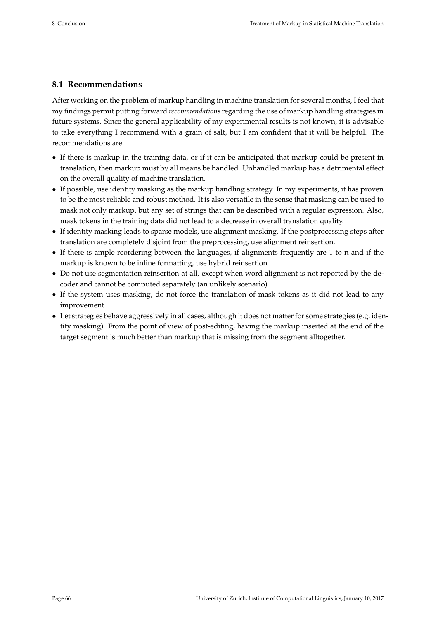## **8.1 Recommendations**

After working on the problem of markup handling in machine translation for several months, I feel that my findings permit putting forward *recommendations*regarding the use of markup handling strategies in future systems. Since the general applicability of my experimental results is not known, it is advisable to take everything I recommend with a grain of salt, but I am confident that it will be helpful. The recommendations are:

- If there is markup in the training data, or if it can be anticipated that markup could be present in translation, then markup must by all means be handled. Unhandled markup has a detrimental effect on the overall quality of machine translation.
- If possible, use identity masking as the markup handling strategy. In my experiments, it has proven to be the most reliable and robust method. It is also versatile in the sense that masking can be used to mask not only markup, but any set of strings that can be described with a regular expression. Also, mask tokens in the training data did not lead to a decrease in overall translation quality.
- If identity masking leads to sparse models, use alignment masking. If the postprocessing steps after translation are completely disjoint from the preprocessing, use alignment reinsertion.
- If there is ample reordering between the languages, if alignments frequently are 1 to n and if the markup is known to be inline formatting, use hybrid reinsertion.
- Do not use segmentation reinsertion at all, except when word alignment is not reported by the decoder and cannot be computed separately (an unlikely scenario).
- If the system uses masking, do not force the translation of mask tokens as it did not lead to any improvement.
- Let strategies behave aggressively in all cases, although it does not matter for some strategies (e.g. identity masking). From the point of view of post-editing, having the markup inserted at the end of the target segment is much better than markup that is missing from the segment alltogether.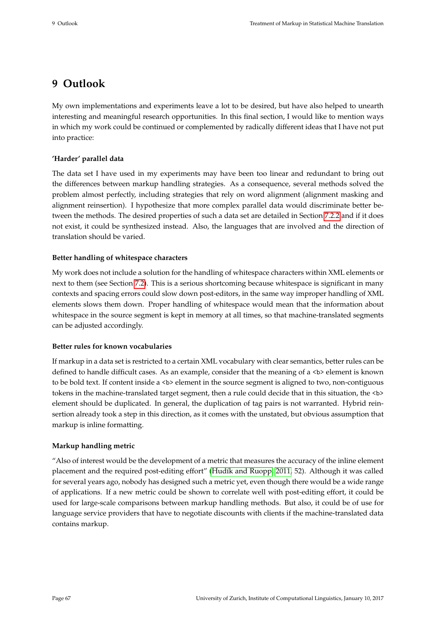# **9 Outlook**

My own implementations and experiments leave a lot to be desired, but have also helped to unearth interesting and meaningful research opportunities. In this final section, I would like to mention ways in which my work could be continued or complemented by radically different ideas that I have not put into practice:

## **'Harder' parallel data**

The data set I have used in my experiments may have been too linear and redundant to bring out the differences between markup handling strategies. As a consequence, several methods solved the problem almost perfectly, including strategies that rely on word alignment (alignment masking and alignment reinsertion). I hypothesize that more complex parallel data would discriminate better between the methods. The desired properties of such a data set are detailed in Section [7.2.2](#page-69-0) and if it does not exist, it could be synthesized instead. Also, the languages that are involved and the direction of translation should be varied.

## **Better handling of whitespace characters**

My work does not include a solution for the handling of whitespace characters within XML elements or next to them (see Section [7.2\)](#page-68-0). This is a serious shortcoming because whitespace is significant in many contexts and spacing errors could slow down post-editors, in the same way improper handling of XML elements slows them down. Proper handling of whitespace would mean that the information about whitespace in the source segment is kept in memory at all times, so that machine-translated segments can be adjusted accordingly.

## **Better rules for known vocabularies**

If markup in a data set is restricted to a certain XML vocabulary with clear semantics, better rules can be defined to handle difficult cases. As an example, consider that the meaning of a <b> element is known to be bold text. If content inside a <b> element in the source segment is aligned to two, non-contiguous tokens in the machine-translated target segment, then a rule could decide that in this situation, the <br/>b> element should be duplicated. In general, the duplication of tag pairs is not warranted. Hybrid reinsertion already took a step in this direction, as it comes with the unstated, but obvious assumption that markup is inline formatting.

## **Markup handling metric**

"Also of interest would be the development of a metric that measures the accuracy of the inline element placement and the required post-editing effort" [\(Hudík and Ruopp, 2011,](#page-76-0) 52). Although it was called for several years ago, nobody has designed such a metric yet, even though there would be a wide range of applications. If a new metric could be shown to correlate well with post-editing effort, it could be used for large-scale comparisons between markup handling methods. But also, it could be of use for language service providers that have to negotiate discounts with clients if the machine-translated data contains markup.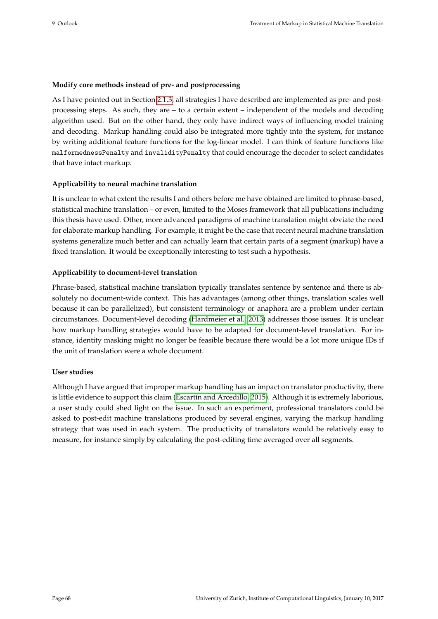#### **Modify core methods instead of pre- and postprocessing**

As I have pointed out in Section [2.1.3,](#page-15-0) all strategies I have described are implemented as pre- and postprocessing steps. As such, they are – to a certain extent – independent of the models and decoding algorithm used. But on the other hand, they only have indirect ways of influencing model training and decoding. Markup handling could also be integrated more tightly into the system, for instance by writing additional feature functions for the log-linear model. I can think of feature functions like malformednessPenalty and invalidityPenalty that could encourage the decoder to select candidates that have intact markup.

#### **Applicability to neural machine translation**

It is unclear to what extent the results I and others before me have obtained are limited to phrase-based, statistical machine translation – or even, limited to the Moses framework that all publications including this thesis have used. Other, more advanced paradigms of machine translation might obviate the need for elaborate markup handling. For example, it might be the case that recent neural machine translation systems generalize much better and can actually learn that certain parts of a segment (markup) have a fixed translation. It would be exceptionally interesting to test such a hypothesis.

## **Applicability to document-level translation**

Phrase-based, statistical machine translation typically translates sentence by sentence and there is absolutely no document-wide context. This has advantages (among other things, translation scales well because it can be parallelized), but consistent terminology or anaphora are a problem under certain circumstances. Document-level decoding [\(Hardmeier et al., 2013\)](#page-76-1) addresses those issues. It is unclear how markup handling strategies would have to be adapted for document-level translation. For instance, identity masking might no longer be feasible because there would be a lot more unique IDs if the unit of translation were a whole document.

## **User studies**

Although I have argued that improper markup handling has an impact on translator productivity, there is little evidence to support this claim [\(Escartín and Arcedillo, 2015\)](#page-76-2). Although it is extremely laborious, a user study could shed light on the issue. In such an experiment, professional translators could be asked to post-edit machine translations produced by several engines, varying the markup handling strategy that was used in each system. The productivity of translators would be relatively easy to measure, for instance simply by calculating the post-editing time averaged over all segments.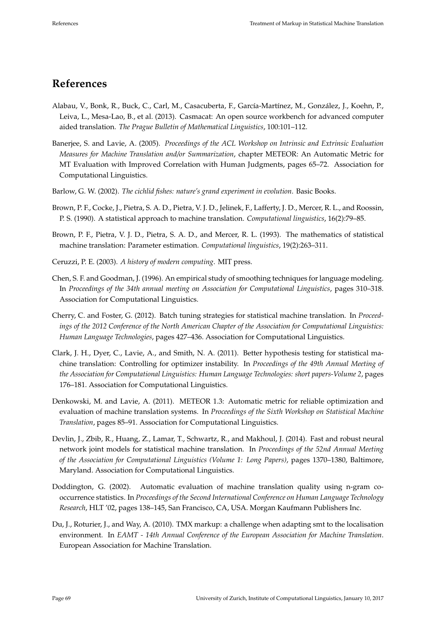# **References**

- Alabau, V., Bonk, R., Buck, C., Carl, M., Casacuberta, F., García-Martínez, M., González, J., Koehn, P., Leiva, L., Mesa-Lao, B., et al. (2013). Casmacat: An open source workbench for advanced computer aided translation. *The Prague Bulletin of Mathematical Linguistics*, 100:101–112.
- Banerjee, S. and Lavie, A. (2005). *Proceedings of the ACL Workshop on Intrinsic and Extrinsic Evaluation Measures for Machine Translation and/or Summarization*, chapter METEOR: An Automatic Metric for MT Evaluation with Improved Correlation with Human Judgments, pages 65–72. Association for Computational Linguistics.
- Barlow, G. W. (2002). *The cichlid fishes: nature's grand experiment in evolution*. Basic Books.
- Brown, P. F., Cocke, J., Pietra, S. A. D., Pietra, V. J. D., Jelinek, F., Lafferty, J. D., Mercer, R. L., and Roossin, P. S. (1990). A statistical approach to machine translation. *Computational linguistics*, 16(2):79–85.
- Brown, P. F., Pietra, V. J. D., Pietra, S. A. D., and Mercer, R. L. (1993). The mathematics of statistical machine translation: Parameter estimation. *Computational linguistics*, 19(2):263–311.
- Ceruzzi, P. E. (2003). *A history of modern computing*. MIT press.
- Chen, S. F. and Goodman, J. (1996). An empirical study of smoothing techniques for language modeling. In *Proceedings of the 34th annual meeting on Association for Computational Linguistics*, pages 310–318. Association for Computational Linguistics.
- Cherry, C. and Foster, G. (2012). Batch tuning strategies for statistical machine translation. In *Proceedings of the 2012 Conference of the North American Chapter of the Association for Computational Linguistics: Human Language Technologies*, pages 427–436. Association for Computational Linguistics.
- Clark, J. H., Dyer, C., Lavie, A., and Smith, N. A. (2011). Better hypothesis testing for statistical machine translation: Controlling for optimizer instability. In *Proceedings of the 49th Annual Meeting of the Association for Computational Linguistics: Human Language Technologies: short papers-Volume 2*, pages 176–181. Association for Computational Linguistics.
- Denkowski, M. and Lavie, A. (2011). METEOR 1.3: Automatic metric for reliable optimization and evaluation of machine translation systems. In *Proceedings of the Sixth Workshop on Statistical Machine Translation*, pages 85–91. Association for Computational Linguistics.
- Devlin, J., Zbib, R., Huang, Z., Lamar, T., Schwartz, R., and Makhoul, J. (2014). Fast and robust neural network joint models for statistical machine translation. In *Proceedings of the 52nd Annual Meeting of the Association for Computational Linguistics (Volume 1: Long Papers)*, pages 1370–1380, Baltimore, Maryland. Association for Computational Linguistics.
- Doddington, G. (2002). Automatic evaluation of machine translation quality using n-gram cooccurrence statistics. In *Proceedings of the Second International Conference on Human Language Technology Research*, HLT '02, pages 138–145, San Francisco, CA, USA. Morgan Kaufmann Publishers Inc.
- Du, J., Roturier, J., and Way, A. (2010). TMX markup: a challenge when adapting smt to the localisation environment. In *EAMT - 14th Annual Conference of the European Association for Machine Translation*. European Association for Machine Translation.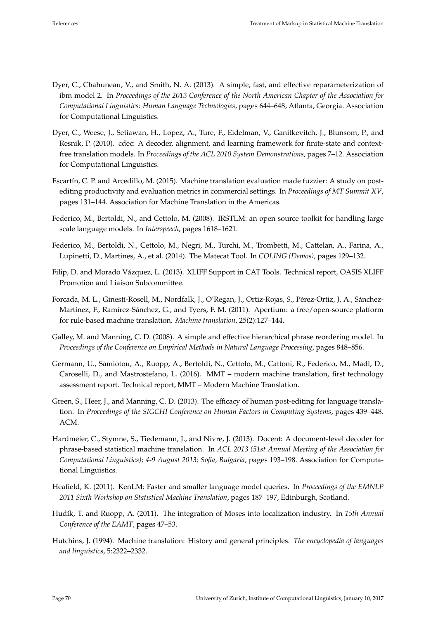- Dyer, C., Chahuneau, V., and Smith, N. A. (2013). A simple, fast, and effective reparameterization of ibm model 2. In *Proceedings of the 2013 Conference of the North American Chapter of the Association for Computational Linguistics: Human Language Technologies*, pages 644–648, Atlanta, Georgia. Association for Computational Linguistics.
- Dyer, C., Weese, J., Setiawan, H., Lopez, A., Ture, F., Eidelman, V., Ganitkevitch, J., Blunsom, P., and Resnik, P. (2010). cdec: A decoder, alignment, and learning framework for finite-state and contextfree translation models. In *Proceedings of the ACL 2010 System Demonstrations*, pages 7–12. Association for Computational Linguistics.
- <span id="page-76-2"></span>Escartín, C. P. and Arcedillo, M. (2015). Machine translation evaluation made fuzzier: A study on postediting productivity and evaluation metrics in commercial settings. In *Proceedings of MT Summit XV*, pages 131–144. Association for Machine Translation in the Americas.
- Federico, M., Bertoldi, N., and Cettolo, M. (2008). IRSTLM: an open source toolkit for handling large scale language models. In *Interspeech*, pages 1618–1621.
- Federico, M., Bertoldi, N., Cettolo, M., Negri, M., Turchi, M., Trombetti, M., Cattelan, A., Farina, A., Lupinetti, D., Martines, A., et al. (2014). The Matecat Tool. In *COLING (Demos)*, pages 129–132.
- Filip, D. and Morado Vázquez, L. (2013). XLIFF Support in CAT Tools. Technical report, OASIS XLIFF Promotion and Liaison Subcommittee.
- Forcada, M. L., Ginestí-Rosell, M., Nordfalk, J., O'Regan, J., Ortiz-Rojas, S., Pérez-Ortiz, J. A., Sánchez-Martínez, F., Ramírez-Sánchez, G., and Tyers, F. M. (2011). Apertium: a free/open-source platform for rule-based machine translation. *Machine translation*, 25(2):127–144.
- Galley, M. and Manning, C. D. (2008). A simple and effective hierarchical phrase reordering model. In *Proceedings of the Conference on Empirical Methods in Natural Language Processing*, pages 848–856.
- Germann, U., Samiotou, A., Ruopp, A., Bertoldi, N., Cettolo, M., Cattoni, R., Federico, M., Madl, D., Caroselli, D., and Mastrostefano, L. (2016). MMT – modern machine translation, first technology assessment report. Technical report, MMT – Modern Machine Translation.
- Green, S., Heer, J., and Manning, C. D. (2013). The efficacy of human post-editing for language translation. In *Proceedings of the SIGCHI Conference on Human Factors in Computing Systems*, pages 439–448. ACM.
- <span id="page-76-1"></span>Hardmeier, C., Stymne, S., Tiedemann, J., and Nivre, J. (2013). Docent: A document-level decoder for phrase-based statistical machine translation. In *ACL 2013 (51st Annual Meeting of the Association for Computational Linguistics); 4-9 August 2013; Sofia, Bulgaria*, pages 193–198. Association for Computational Linguistics.
- Heafield, K. (2011). KenLM: Faster and smaller language model queries. In *Proceedings of the EMNLP 2011 Sixth Workshop on Statistical Machine Translation*, pages 187–197, Edinburgh, Scotland.
- <span id="page-76-0"></span>Hudík, T. and Ruopp, A. (2011). The integration of Moses into localization industry. In *15th Annual Conference of the EAMT*, pages 47–53.
- Hutchins, J. (1994). Machine translation: History and general principles. *The encyclopedia of languages and linguistics*, 5:2322–2332.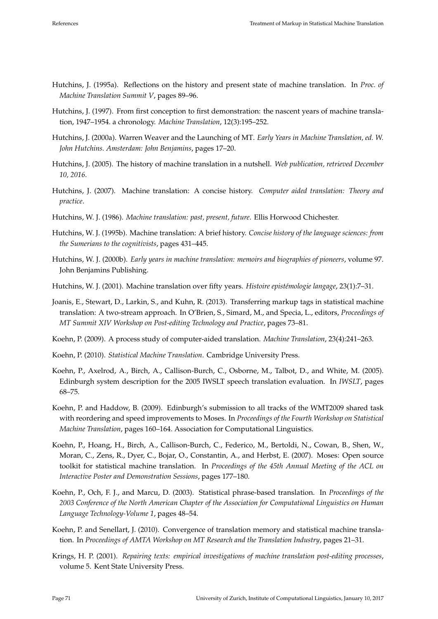- Hutchins, J. (1995a). Reflections on the history and present state of machine translation. In *Proc. of Machine Translation Summit V*, pages 89–96.
- Hutchins, J. (1997). From first conception to first demonstration: the nascent years of machine translation, 1947–1954. a chronology. *Machine Translation*, 12(3):195–252.
- Hutchins, J. (2000a). Warren Weaver and the Launching of MT. *Early Years in Machine Translation, ed. W. John Hutchins. Amsterdam: John Benjamins*, pages 17–20.
- Hutchins, J. (2005). The history of machine translation in a nutshell. *Web publication, retrieved December 10, 2016*.
- Hutchins, J. (2007). Machine translation: A concise history. *Computer aided translation: Theory and practice*.
- Hutchins, W. J. (1986). *Machine translation: past, present, future*. Ellis Horwood Chichester.
- Hutchins, W. J. (1995b). Machine translation: A brief history. *Concise history of the language sciences: from the Sumerians to the cognitivists*, pages 431–445.
- Hutchins, W. J. (2000b). *Early years in machine translation: memoirs and biographies of pioneers*, volume 97. John Benjamins Publishing.
- Hutchins, W. J. (2001). Machine translation over fifty years. *Histoire epistémologie langage*, 23(1):7–31.
- Joanis, E., Stewart, D., Larkin, S., and Kuhn, R. (2013). Transferring markup tags in statistical machine translation: A two-stream approach. In O'Brien, S., Simard, M., and Specia, L., editors, *Proceedings of MT Summit XIV Workshop on Post-editing Technology and Practice*, pages 73–81.
- Koehn, P. (2009). A process study of computer-aided translation. *Machine Translation*, 23(4):241–263.
- Koehn, P. (2010). *Statistical Machine Translation*. Cambridge University Press.
- Koehn, P., Axelrod, A., Birch, A., Callison-Burch, C., Osborne, M., Talbot, D., and White, M. (2005). Edinburgh system description for the 2005 IWSLT speech translation evaluation. In *IWSLT*, pages 68–75.
- Koehn, P. and Haddow, B. (2009). Edinburgh's submission to all tracks of the WMT2009 shared task with reordering and speed improvements to Moses. In *Proceedings of the Fourth Workshop on Statistical Machine Translation*, pages 160–164. Association for Computational Linguistics.
- Koehn, P., Hoang, H., Birch, A., Callison-Burch, C., Federico, M., Bertoldi, N., Cowan, B., Shen, W., Moran, C., Zens, R., Dyer, C., Bojar, O., Constantin, A., and Herbst, E. (2007). Moses: Open source toolkit for statistical machine translation. In *Proceedings of the 45th Annual Meeting of the ACL on Interactive Poster and Demonstration Sessions*, pages 177–180.
- Koehn, P., Och, F. J., and Marcu, D. (2003). Statistical phrase-based translation. In *Proceedings of the 2003 Conference of the North American Chapter of the Association for Computational Linguistics on Human Language Technology-Volume 1*, pages 48–54.
- Koehn, P. and Senellart, J. (2010). Convergence of translation memory and statistical machine translation. In *Proceedings of AMTA Workshop on MT Research and the Translation Industry*, pages 21–31.
- Krings, H. P. (2001). *Repairing texts: empirical investigations of machine translation post-editing processes*, volume 5. Kent State University Press.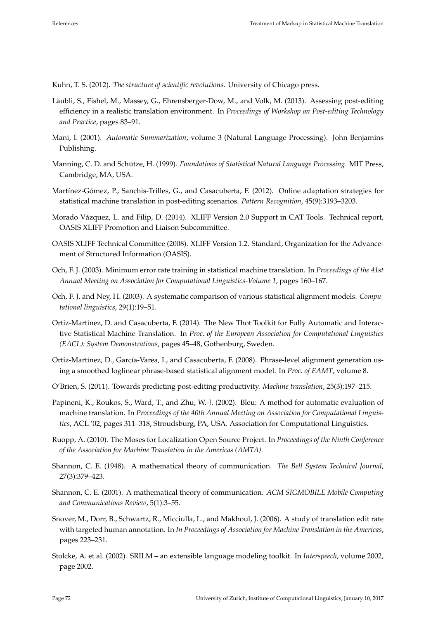Kuhn, T. S. (2012). *The structure of scientific revolutions*. University of Chicago press.

- Läubli, S., Fishel, M., Massey, G., Ehrensberger-Dow, M., and Volk, M. (2013). Assessing post-editing efficiency in a realistic translation environment. In *Proceedings of Workshop on Post-editing Technology and Practice*, pages 83–91.
- Mani, I. (2001). *Automatic Summarization*, volume 3 (Natural Language Processing). John Benjamins Publishing.
- Manning, C. D. and Schütze, H. (1999). *Foundations of Statistical Natural Language Processing*. MIT Press, Cambridge, MA, USA.
- Martínez-Gómez, P., Sanchis-Trilles, G., and Casacuberta, F. (2012). Online adaptation strategies for statistical machine translation in post-editing scenarios. *Pattern Recognition*, 45(9):3193–3203.
- Morado Vázquez, L. and Filip, D. (2014). XLIFF Version 2.0 Support in CAT Tools. Technical report, OASIS XLIFF Promotion and Liaison Subcommittee.
- OASIS XLIFF Technical Committee (2008). XLIFF Version 1.2. Standard, Organization for the Advancement of Structured Information (OASIS).
- Och, F. J. (2003). Minimum error rate training in statistical machine translation. In *Proceedings of the 41st Annual Meeting on Association for Computational Linguistics-Volume 1*, pages 160–167.
- Och, F. J. and Ney, H. (2003). A systematic comparison of various statistical alignment models. *Computational linguistics*, 29(1):19–51.
- Ortiz-Martínez, D. and Casacuberta, F. (2014). The New Thot Toolkit for Fully Automatic and Interactive Statistical Machine Translation. In *Proc. of the European Association for Computational Linguistics (EACL): System Demonstrations*, pages 45–48, Gothenburg, Sweden.
- Ortiz-Martínez, D., García-Varea, I., and Casacuberta, F. (2008). Phrase-level alignment generation using a smoothed loglinear phrase-based statistical alignment model. In *Proc. of EAMT*, volume 8.
- O'Brien, S. (2011). Towards predicting post-editing productivity. *Machine translation*, 25(3):197–215.
- Papineni, K., Roukos, S., Ward, T., and Zhu, W.-J. (2002). Bleu: A method for automatic evaluation of machine translation. In *Proceedings of the 40th Annual Meeting on Association for Computational Linguistics*, ACL '02, pages 311–318, Stroudsburg, PA, USA. Association for Computational Linguistics.
- Ruopp, A. (2010). The Moses for Localization Open Source Project. In *Proceedings of the Ninth Conference of the Association for Machine Translation in the Americas (AMTA)*.
- Shannon, C. E. (1948). A mathematical theory of communication. *The Bell System Technical Journal*, 27(3):379–423.
- Shannon, C. E. (2001). A mathematical theory of communication. *ACM SIGMOBILE Mobile Computing and Communications Review*, 5(1):3–55.
- Snover, M., Dorr, B., Schwartz, R., Micciulla, L., and Makhoul, J. (2006). A study of translation edit rate with targeted human annotation. In *In Proceedings of Association for Machine Translation in the Americas*, pages 223–231.
- Stolcke, A. et al. (2002). SRILM an extensible language modeling toolkit. In *Interspeech*, volume 2002, page 2002.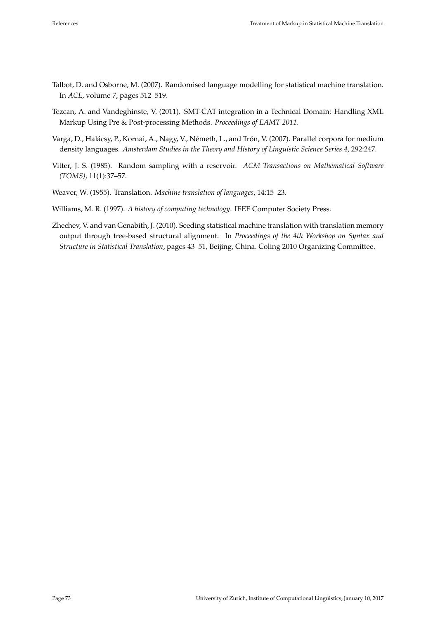- Talbot, D. and Osborne, M. (2007). Randomised language modelling for statistical machine translation. In *ACL*, volume 7, pages 512–519.
- Tezcan, A. and Vandeghinste, V. (2011). SMT-CAT integration in a Technical Domain: Handling XML Markup Using Pre & Post-processing Methods. *Proceedings of EAMT 2011*.
- Varga, D., Halácsy, P., Kornai, A., Nagy, V., Németh, L., and Trón, V. (2007). Parallel corpora for medium density languages. *Amsterdam Studies in the Theory and History of Linguistic Science Series 4*, 292:247.
- Vitter, J. S. (1985). Random sampling with a reservoir. *ACM Transactions on Mathematical Software (TOMS)*, 11(1):37–57.
- Weaver, W. (1955). Translation. *Machine translation of languages*, 14:15–23.
- Williams, M. R. (1997). *A history of computing technology*. IEEE Computer Society Press.
- Zhechev, V. and van Genabith, J. (2010). Seeding statistical machine translation with translation memory output through tree-based structural alignment. In *Proceedings of the 4th Workshop on Syntax and Structure in Statistical Translation*, pages 43–51, Beijing, China. Coling 2010 Organizing Committee.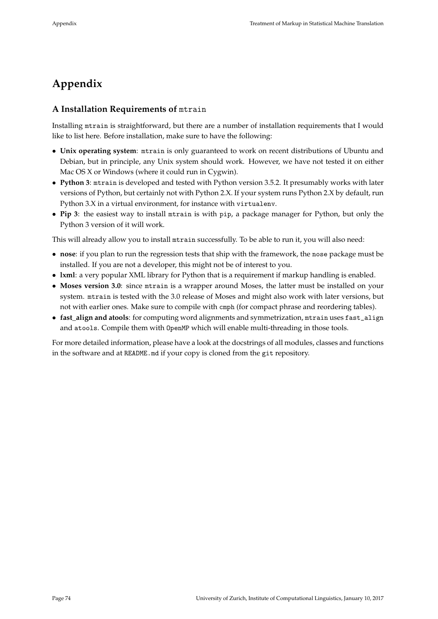# **Appendix**

## **A Installation Requirements of** mtrain

Installing mtrain is straightforward, but there are a number of installation requirements that I would like to list here. Before installation, make sure to have the following:

- **Unix operating system**: mtrain is only guaranteed to work on recent distributions of Ubuntu and Debian, but in principle, any Unix system should work. However, we have not tested it on either Mac OS X or Windows (where it could run in Cygwin).
- **Python 3**: mtrain is developed and tested with Python version 3.5.2. It presumably works with later versions of Python, but certainly not with Python 2.X. If your system runs Python 2.X by default, run Python 3.X in a virtual environment, for instance with virtualenv.
- **Pip 3**: the easiest way to install mtrain is with pip, a package manager for Python, but only the Python 3 version of it will work.

This will already allow you to install mtrain successfully. To be able to run it, you will also need:

- **nose**: if you plan to run the regression tests that ship with the framework, the nose package must be installed. If you are not a developer, this might not be of interest to you.
- **lxml**: a very popular XML library for Python that is a requirement if markup handling is enabled.
- **Moses version 3.0**: since mtrain is a wrapper around Moses, the latter must be installed on your system. mtrain is tested with the 3.0 release of Moses and might also work with later versions, but not with earlier ones. Make sure to compile with cmph (for compact phrase and reordering tables).
- fast align and atools: for computing word alignments and symmetrization, mtrain uses fast\_align and atools. Compile them with OpenMP which will enable multi-threading in those tools.

For more detailed information, please have a look at the docstrings of all modules, classes and functions in the software and at README.md if your copy is cloned from the git repository.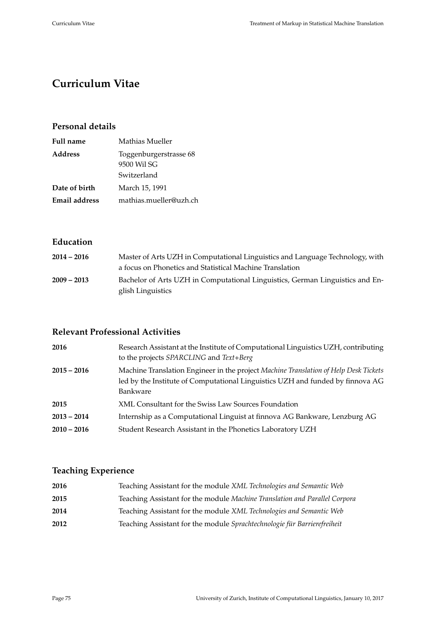# **Curriculum Vitae**

## **Personal details**

| <b>Full name</b> | Mathias Mueller                                      |
|------------------|------------------------------------------------------|
| <b>Address</b>   | Toggenburgerstrasse 68<br>9500 Wil SG<br>Switzerland |
| Date of birth    | March 15, 1991                                       |
| Email address    | mathias.mueller@uzh.ch                               |

# **Education**

| $2014 - 2016$ | Master of Arts UZH in Computational Linguistics and Language Technology, with |
|---------------|-------------------------------------------------------------------------------|
|               | a focus on Phonetics and Statistical Machine Translation                      |
| $2009 - 2013$ | Bachelor of Arts UZH in Computational Linguistics, German Linguistics and En- |
|               | glish Linguistics                                                             |

# **Relevant Professional Activities**

| 2016          | Research Assistant at the Institute of Computational Linguistics UZH, contributing<br>to the projects SPARCLING and Text+Berg                                                      |
|---------------|------------------------------------------------------------------------------------------------------------------------------------------------------------------------------------|
| 2015 – 2016   | Machine Translation Engineer in the project Machine Translation of Help Desk Tickets<br>led by the Institute of Computational Linguistics UZH and funded by finnova AG<br>Bankware |
| 2015          | XML Consultant for the Swiss Law Sources Foundation                                                                                                                                |
| $2013 - 2014$ | Internship as a Computational Linguist at finnova AG Bankware, Lenzburg AG                                                                                                         |
| $2010 - 2016$ | Student Research Assistant in the Phonetics Laboratory UZH                                                                                                                         |

## **Teaching Experience**

| 2016 | Teaching Assistant for the module XML Technologies and Semantic Web        |
|------|----------------------------------------------------------------------------|
| 2015 | Teaching Assistant for the module Machine Translation and Parallel Corpora |
| 2014 | Teaching Assistant for the module XML Technologies and Semantic Web        |
| 2012 | Teaching Assistant for the module Sprachtechnologie für Barrierefreiheit   |